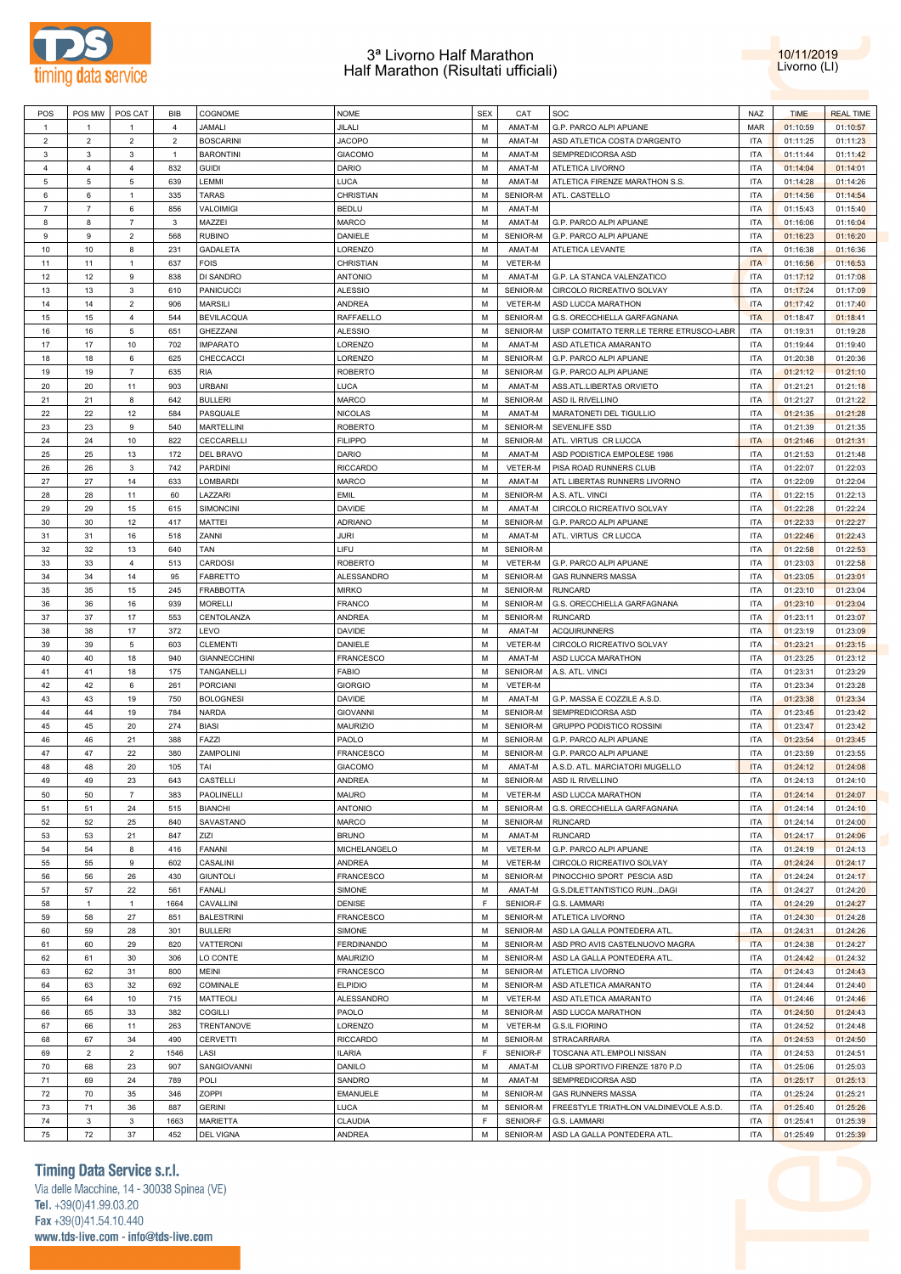



| POS            | POS MW         | POS CAT        | BIB            | COGNOME             | <b>NOME</b>       | <b>SEX</b> | CAT            | SOC                                      | NAZ        | <b>TIME</b> | <b>REAL TIME</b> |
|----------------|----------------|----------------|----------------|---------------------|-------------------|------------|----------------|------------------------------------------|------------|-------------|------------------|
| $\mathbf{1}$   | $\mathbf{1}$   | $\mathbf{1}$   | $\overline{4}$ | JAMALI              | JILALI            | M          | AMAT-M         | G.P. PARCO ALPI APUANE                   | <b>MAR</b> | 01:10:59    | 01:10:57         |
| $\overline{2}$ | $\overline{2}$ | $\overline{2}$ | $\overline{2}$ | <b>BOSCARINI</b>    | <b>JACOPO</b>     | M          | AMAT-M         | ASD ATLETICA COSTA D'ARGENTO             | <b>ITA</b> | 01:11:25    | 01:11:23         |
| $\mathbf{3}$   | 3              | 3              | $\mathbf{1}$   | <b>BARONTINI</b>    | <b>GIACOMO</b>    | M          | AMAT-M         | SEMPREDICORSA ASD                        | <b>ITA</b> | 01:11:44    | 01:11:42         |
|                |                |                |                |                     |                   |            |                |                                          |            |             |                  |
| $\overline{4}$ | $\overline{4}$ | $\overline{4}$ | 832            | <b>GUIDI</b>        | DARIO             | M          | AMAT-M         | ATLETICA LIVORNO                         | <b>ITA</b> | 01:14:04    | 01:14:01         |
| 5              | 5              | 5              | 639            | LEMMI               | <b>LUCA</b>       | M          | AMAT-M         | ATLETICA FIRENZE MARATHON S.S.           | <b>ITA</b> | 01:14:28    | 01:14:26         |
| 6              | 6              | $\mathbf{1}$   | 335            | <b>TARAS</b>        | CHRISTIAN         | M          | SENIOR-M       | ATL. CASTELLO                            | <b>ITA</b> | 01:14:56    | 01:14:54         |
| $\overline{7}$ | $\overline{7}$ | 6              | 856            | VALOIMIGI           | <b>BEDLU</b>      | M          | AMAT-M         |                                          | <b>ITA</b> | 01:15:43    | 01:15:40         |
| 8              | 8              | $\overline{7}$ | 3              | MAZZEI              | <b>MARCO</b>      | M          | AMAT-M         | G.P. PARCO ALPI APUANE                   | <b>ITA</b> | 01:16:06    | 01:16:04         |
| $\mathsf g$    | 9              | $\overline{2}$ | 568            | <b>RUBINO</b>       | DANIELE           | M          | SENIOR-M       | G.P. PARCO ALPI APUANE                   | <b>ITA</b> | 01:16:23    | 01:16:20         |
| 10             | 10             | 8              | 231            | <b>GADALETA</b>     | LORENZO           | M          | AMAT-M         | ATLETICA LEVANTE                         | <b>ITA</b> | 01:16:38    | 01:16:36         |
| 11             | 11             | $\mathbf{1}$   | 637            | FOIS                | <b>CHRISTIAN</b>  | M          | VETER-M        |                                          | <b>ITA</b> | 01:16:56    | 01:16:53         |
|                |                |                |                |                     |                   |            |                |                                          |            |             |                  |
| 12             | 12             | 9              | 838            | <b>DI SANDRO</b>    | <b>ANTONIO</b>    | M          | AMAT-M         | G.P. LA STANCA VALENZATICO               | <b>ITA</b> | 01:17:12    | 01:17:08         |
| 13             | 13             | 3              | 610            | <b>PANICUCCI</b>    | <b>ALESSIO</b>    | M          | SENIOR-M       | CIRCOLO RICREATIVO SOLVAY                | <b>ITA</b> | 01:17:24    | 01:17:09         |
| 14             | 14             | $\overline{2}$ | 906            | <b>MARSILI</b>      | <b>ANDREA</b>     | M          | VETER-M        | ASD LUCCA MARATHON                       | <b>ITA</b> | 01:17:42    | 01:17:40         |
| 15             | 15             | $\overline{4}$ | 544            | <b>BEVILACQUA</b>   | RAFFAELLO         | М          | SENIOR-M       | G.S. ORECCHIELLA GARFAGNANA              | <b>ITA</b> | 01:18:47    | 01:18:41         |
| 16             | 16             | 5              | 651            | GHEZZANI            | <b>ALESSIO</b>    | М          | SENIOR-M       | UISP COMITATO TERR.LE TERRE ETRUSCO-LABR | <b>ITA</b> | 01:19:31    | 01:19:28         |
| 17             | 17             | 10             | 702            | <b>IMPARATO</b>     | LORENZO           | М          | AMAT-M         | ASD ATLETICA AMARANTO                    | <b>ITA</b> | 01:19:44    | 01:19:40         |
| 18             | 18             | 6              | 625            | CHECCACCI           | LORENZO           | M          | SENIOR-M       | G.P. PARCO ALPI APUANE                   | <b>ITA</b> | 01:20:38    | 01:20:36         |
| 19             | 19             | $\overline{7}$ | 635            | <b>RIA</b>          | <b>ROBERTO</b>    | М          | SENIOR-M       | G.P. PARCO ALPI APUANE                   | <b>ITA</b> | 01:21:12    | 01:21:10         |
|                |                |                |                |                     |                   |            |                |                                          |            |             |                  |
| 20             | 20             | 11             | 903            | <b>URBANI</b>       | <b>LUCA</b>       | M          | AMAT-M         | ASS.ATL.LIBERTAS ORVIETO                 | <b>ITA</b> | 01:21:21    | 01:21:18         |
| 21             | 21             | 8              | 642            | <b>BULLERI</b>      | <b>MARCO</b>      | M          | SENIOR-M       | ASD IL RIVELLINO                         | <b>ITA</b> | 01:21:27    | 01:21:22         |
| 22             | 22             | 12             | 584            | PASQUALE            | <b>NICOLAS</b>    | M          | AMAT-M         | MARATONETI DEL TIGULLIO                  | <b>ITA</b> | 01:21:35    | 01:21:28         |
| 23             | 23             | 9              | 540            | <b>MARTELLINI</b>   | <b>ROBERTO</b>    | M          | SENIOR-M       | <b>SEVENLIFE SSD</b>                     | <b>ITA</b> | 01:21:39    | 01:21:35         |
| 24             | 24             | 10             | 822            | CECCARELLI          | <b>FILIPPO</b>    | М          | SENIOR-M       | ATL. VIRTUS CR LUCCA                     | <b>ITA</b> | 01:21:46    | 01:21:31         |
| 25             | 25             | 13             | 172            | DEL BRAVO           | DARIO             | M          | AMAT-M         | ASD PODISTICA EMPOLESE 1986              | <b>ITA</b> | 01:21:53    | 01:21:48         |
| 26             | 26             | 3              | 742            | PARDINI             | <b>RICCARDO</b>   | M          | VETER-M        | PISA ROAD RUNNERS CLUB                   | <b>ITA</b> | 01:22:07    | 01:22:03         |
| 27             | 27             | 14             | 633            | <b>LOMBARDI</b>     | <b>MARCO</b>      | M          | AMAT-M         | ATL LIBERTAS RUNNERS LIVORNO             | <b>ITA</b> | 01:22:09    | 01:22:04         |
|                |                |                |                |                     |                   |            |                |                                          |            |             |                  |
| 28             | 28             | 11             | 60             | LAZZARI             | <b>EMIL</b>       | M          | SENIOR-M       | A.S. ATL. VINCI                          | <b>ITA</b> | 01:22:15    | 01:22:13         |
| 29             | 29             | 15             | 615            | <b>SIMONCINI</b>    | <b>DAVIDE</b>     | M          | AMAT-M         | CIRCOLO RICREATIVO SOLVAY                | <b>ITA</b> | 01:22:28    | 01:22:24         |
| 30             | 30             | 12             | 417            | MATTEI              | <b>ADRIANO</b>    | M          | SENIOR-M       | G.P. PARCO ALPI APUANE                   | <b>ITA</b> | 01:22:33    | 01:22:27         |
| 31             | 31             | 16             | 518            | ZANNI               | JURI              | M          | AMAT-M         | ATL. VIRTUS CR LUCCA                     | <b>ITA</b> | 01:22:46    | 01:22:43         |
| 32             | 32             | 13             | 640            | TAN                 | LIFU              | M          | SENIOR-M       |                                          | <b>ITA</b> | 01:22:58    | 01:22:53         |
| 33             | 33             | $\overline{4}$ | 513            | CARDOSI             | <b>ROBERTO</b>    | M          | VETER-M        | G.P. PARCO ALPI APUANE                   | <b>ITA</b> | 01:23:03    | 01:22:58         |
| 34             | 34             | 14             | 95             | <b>FABRETTO</b>     | <b>ALESSANDRO</b> | M          | SENIOR-M       | <b>GAS RUNNERS MASSA</b>                 | <b>ITA</b> | 01:23:05    | 01:23:01         |
| 35             | 35             | 15             | 245            | <b>FRABBOTTA</b>    | <b>MIRKO</b>      | M          | SENIOR-M       | <b>RUNCARD</b>                           | <b>ITA</b> | 01:23:10    | 01:23:04         |
|                |                |                |                |                     |                   |            |                |                                          |            |             |                  |
| 36             | 36             | 16             | 939            | <b>MORELLI</b>      | <b>FRANCO</b>     | M          | SENIOR-M       | G.S. ORECCHIELLA GARFAGNANA              | <b>ITA</b> | 01:23:10    | 01:23:04         |
| 37             | 37             | 17             | 553            | CENTOLANZA          | <b>ANDREA</b>     | M          | SENIOR-M       | <b>RUNCARD</b>                           | <b>ITA</b> | 01:23:11    | 01:23:07         |
| 38             | 38             | 17             | 372            | LEVO                | <b>DAVIDE</b>     | M          | AMAT-M         | <b>ACQUIRUNNERS</b>                      | <b>ITA</b> | 01:23:19    | 01:23:09         |
| 39             | 39             | 5              | 603            | <b>CLEMENTI</b>     | <b>DANIELE</b>    | M          | VETER-M        | CIRCOLO RICREATIVO SOLVAY                | <b>ITA</b> | 01:23:21    | 01:23:15         |
| 40             | 40             | 18             | 940            | <b>GIANNECCHINI</b> | <b>FRANCESCO</b>  | M          | AMAT-M         | ASD LUCCA MARATHON                       | <b>ITA</b> | 01:23:25    | 01:23:12         |
| 41             | 41             | 18             | 175            | TANGANELLI          | <b>FABIO</b>      | М          | SENIOR-M       | A.S. ATL. VINCI                          | <b>ITA</b> | 01:23:31    | 01:23:29         |
| 42             | 42             | 6              | 261            | <b>PORCIANI</b>     | <b>GIORGIO</b>    | M          | VETER-M        |                                          | <b>ITA</b> | 01:23:34    | 01:23:28         |
| 43             | 43             | 19             | 750            | <b>BOLOGNESI</b>    | <b>DAVIDE</b>     | М          | AMAT-M         | G.P. MASSA E COZZILE A.S.D.              | <b>ITA</b> | 01:23:38    | 01:23:34         |
|                |                |                |                |                     |                   | M          |                | SEMPREDICORSA ASD                        |            |             |                  |
| 44             | 44             | 19             | 784            | <b>NARDA</b>        | <b>GIOVANNI</b>   |            | SENIOR-M       |                                          | <b>ITA</b> | 01:23:45    | 01:23:42         |
| 45             | 45             | 20             | 274            | <b>BIASI</b>        | <b>MAURIZIO</b>   | М          | SENIOR-M       | GRUPPO PODISTICO ROSSINI                 | <b>ITA</b> | 01:23:47    | 01:23:42         |
| 46             | 46             | 21             | 388            | FAZZI               | PAOLO             | M          | SENIOR-M       | G.P. PARCO ALPI APUANE                   | <b>ITA</b> | 01:23:54    | 01:23:45         |
| 47             | 47             | 22             | 380            | ZAMPOLINI           | <b>FRANCESCO</b>  | M          | SENIOR-M       | G.P. PARCO ALPI APUANE                   | <b>ITA</b> | 01:23:59    | 01:23:55         |
| 48             | 48             | 20             | 105            | TAI                 | <b>GIACOMO</b>    | м          | AMAT-M         | A.S.D. ATL. MARCIATORI MUGELLO           | <b>ITA</b> | 01:24:12    | 01:24:08         |
| 49             | 49             | 23             | 643            | CASTELLI            | ANDREA            | M          |                | SENIOR-M ASD IL RIVELLINO                | <b>ITA</b> | 01:24:13    | 01:24:10         |
| 50             | 50             | $\overline{7}$ | 383            | PAOLINELLI          | <b>MAURO</b>      | М          | <b>VETER-M</b> | ASD LUCCA MARATHON                       | <b>ITA</b> | 01:24:14    | 01:24:07         |
| 51             | 51             | 24             | 515            | <b>BIANCHI</b>      | <b>ANTONIO</b>    | M          | SENIOR-M       | G.S. ORECCHIELLA GARFAGNANA              | <b>ITA</b> | 01:24:14    | 01:24:10         |
|                |                |                | 840            |                     | <b>MARCO</b>      | М          | SENIOR-M       | <b>RUNCARD</b>                           | <b>ITA</b> |             |                  |
| 52             | 52             | 25             |                | SAVASTANO           |                   |            |                |                                          |            | 01:24:14    | 01:24:00         |
| 53             | 53             | 21             | 847            | ZIZI                | <b>BRUNO</b>      | M          | AMAT-M         | <b>RUNCARD</b>                           | <b>ITA</b> | 01:24:17    | 01:24:06         |
| 54             | 54             | 8              | 416            | <b>FANANI</b>       | MICHELANGELO      | M          | VETER-M        | G.P. PARCO ALPI APUANE                   | <b>ITA</b> | 01:24:19    | 01:24:13         |
| 55             | 55             | 9              | 602            | CASALINI            | ANDREA            | M          | VETER-M        | CIRCOLO RICREATIVO SOLVAY                | <b>ITA</b> | 01:24:24    | 01:24:17         |
| 56             | 56             | 26             | 430            | <b>GIUNTOLI</b>     | FRANCESCO         | M          | SENIOR-M       | PINOCCHIO SPORT PESCIA ASD               | <b>ITA</b> | 01:24:24    | 01:24:17         |
| 57             | 57             | 22             | 561            | FANALI              | SIMONE            | M          | AMAT-M         | G.S.DILETTANTISTICO RUNDAGI              | <b>ITA</b> | 01:24:27    | 01:24:20         |
| 58             | $\mathbf{1}$   | $\mathbf{1}$   | 1664           | CAVALLINI           | DENISE            | E          | SENIOR-F       | G.S. LAMMARI                             | <b>ITA</b> | 01:24:29    | 01:24:27         |
| 59             | 58             | 27             | 851            | <b>BALESTRINI</b>   | FRANCESCO         | M          | SENIOR-M       | ATLETICA LIVORNO                         | <b>ITA</b> | 01:24:30    | 01:24:28         |
|                | 59             |                | 301            |                     |                   | M          | SENIOR-M       |                                          | <b>ITA</b> |             |                  |
| 60             |                | 28             |                | <b>BULLERI</b>      | SIMONE            |            |                | ASD LA GALLA PONTEDERA ATL.              |            | 01:24:31    | 01:24:26         |
| 61             | 60             | 29             | 820            | VATTERONI           | <b>FERDINANDO</b> | M          | SENIOR-M       | ASD PRO AVIS CASTELNUOVO MAGRA           | <b>ITA</b> | 01:24:38    | 01:24:27         |
| 62             | 61             | 30             | 306            | LO CONTE            | <b>MAURIZIO</b>   | М          | SENIOR-M       | ASD LA GALLA PONTEDERA ATL.              | <b>ITA</b> | 01:24:42    | 01:24:32         |
| 63             | 62             | 31             | 800            | <b>MEINI</b>        | <b>FRANCESCO</b>  | M          | SENIOR-M       | ATLETICA LIVORNO                         | <b>ITA</b> | 01:24:43    | 01:24:43         |
| 64             | 63             | 32             | 692            | <b>COMINALE</b>     | <b>ELPIDIO</b>    | М          | SENIOR-M       | ASD ATLETICA AMARANTO                    | <b>ITA</b> | 01:24:44    | 01:24:40         |
| 65             | 64             | 10             | 715            | MATTEOLI            | ALESSANDRO        | M          | VETER-M        | ASD ATLETICA AMARANTO                    | <b>ITA</b> | 01:24:46    | 01:24:46         |
| 66             | 65             | 33             | 382            | <b>COGILLI</b>      | PAOLO             | М          | SENIOR-M       | ASD LUCCA MARATHON                       | <b>ITA</b> | 01:24:50    | 01:24:43         |
| 67             | 66             | 11             | 263            | TRENTANOVE          | LORENZO           | M          | VETER-M        | <b>G.S.IL FIORINO</b>                    | <b>ITA</b> | 01:24:52    | 01:24:48         |
|                |                |                |                |                     |                   |            |                |                                          |            |             |                  |
| 68             | 67             | 34             | 490            | CERVETTI            | <b>RICCARDO</b>   | М          | SENIOR-M       | STRACARRARA                              | <b>ITA</b> | 01:24:53    | 01:24:50         |
| 69             | $\overline{2}$ | $\overline{c}$ | 1546           | LASI                | ILARIA            | E          | SENIOR-F       | TOSCANA ATL.EMPOLI NISSAN                | <b>ITA</b> | 01:24:53    | 01:24:51         |
| 70             | 68             | 23             | 907            | SANGIOVANNI         | DANILO            | М          | AMAT-M         | CLUB SPORTIVO FIRENZE 1870 P.D           | <b>ITA</b> | 01:25:06    | 01:25:03         |
| 71             | 69             | 24             | 789            | POLI                | SANDRO            | M          | AMAT-M         | SEMPREDICORSA ASD                        | <b>ITA</b> | 01:25:17    | 01:25:13         |
| 72             | 70             | 35             | 346            | <b>ZOPPI</b>        | EMANUELE          | М          | SENIOR-M       | <b>GAS RUNNERS MASSA</b>                 | <b>ITA</b> | 01:25:24    | 01:25:21         |
| 73             | 71             | 36             | 887            | <b>GERINI</b>       | <b>LUCA</b>       | М          | SENIOR-M       | FREESTYLE TRIATHLON VALDINIEVOLE A.S.D.  | <b>ITA</b> | 01:25:40    | 01:25:26         |
|                | 3              |                |                |                     |                   | F          | SENIOR-F       | G.S. LAMMARI                             | <b>ITA</b> |             |                  |
| 74             |                | $\overline{3}$ | 1663           | MARIETTA            | <b>CLAUDIA</b>    |            |                |                                          |            | 01:25:41    | 01:25:39         |
| 75             | 72             | 37             | 452            | <b>DEL VIGNA</b>    | ANDREA            | М          | SENIOR-M       | ASD LA GALLA PONTEDERA ATL               | <b>ITA</b> | 01:25:49    | 01:25:39         |

# **Timing Data Service s.r.l.**

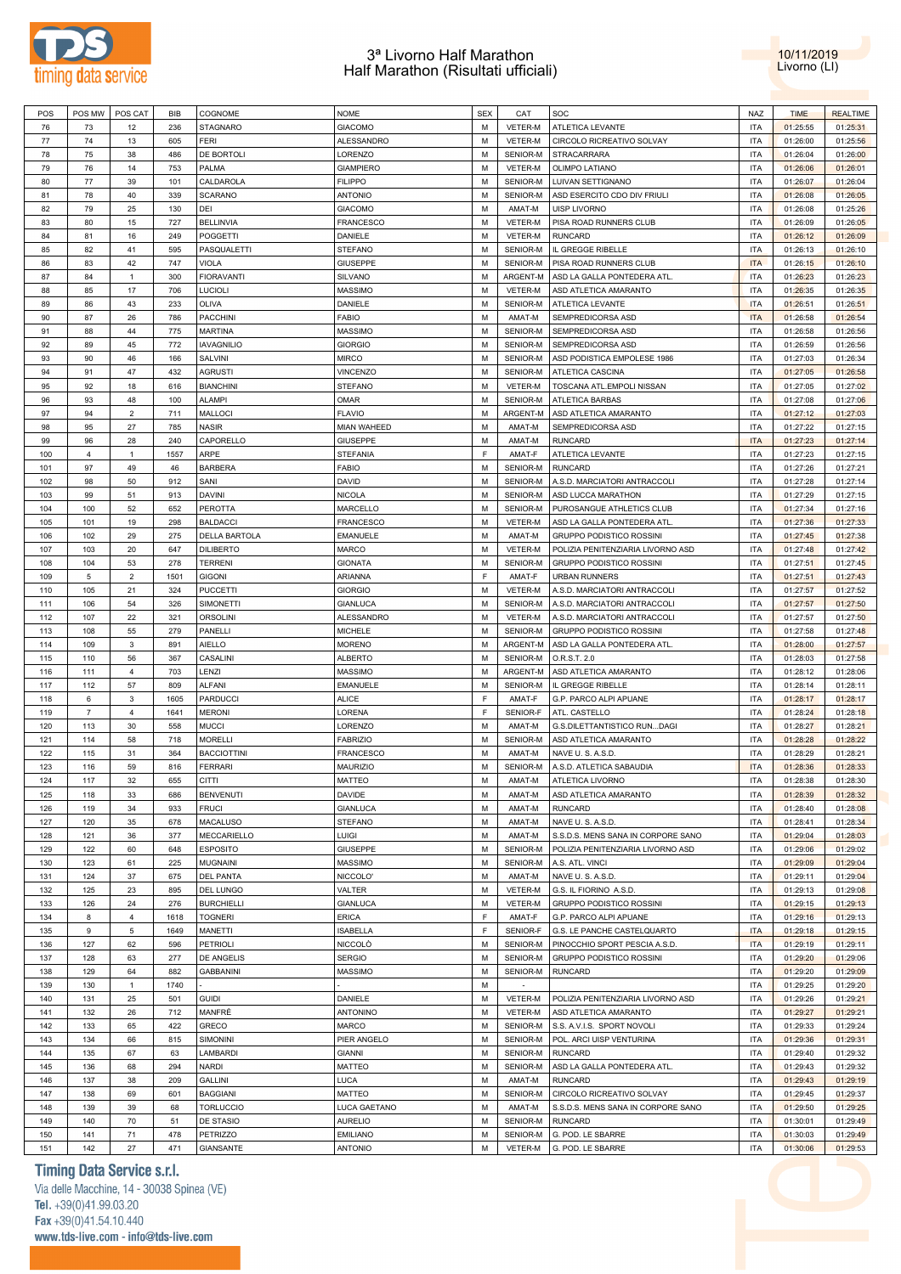



| POS | POS MW         | POS CAT                 | <b>BIB</b> | COGNOME            | <b>NOME</b>        | <b>SEX</b>  | CAT            | SOC                                | NAZ        | <b>TIME</b> | <b>REALTIME</b> |
|-----|----------------|-------------------------|------------|--------------------|--------------------|-------------|----------------|------------------------------------|------------|-------------|-----------------|
|     |                |                         |            |                    |                    |             |                |                                    |            |             |                 |
| 76  | 73             | 12                      | 236        | STAGNARO           | <b>GIACOMO</b>     | М           | VETER-M        | ATLETICA LEVANTE                   | <b>ITA</b> | 01:25:55    | 01:25:31        |
| 77  | 74             | 13                      | 605        | FERI               | ALESSANDRO         | м           | <b>VETER-M</b> | CIRCOLO RICREATIVO SOLVAY          | ITA        | 01:26:00    | 01:25:56        |
| 78  | 75             | 38                      | 486        | DE BORTOLI         | LORENZO            | М           | SENIOR-M       | STRACARRARA                        | <b>ITA</b> | 01:26:04    | 01:26:00        |
| 79  | 76             | 14                      | 753        | PALMA              | <b>GIAMPIERO</b>   | м           | VETER-M        | OLIMPO LATIANO                     | ITA        | 01:26:06    | 01:26:01        |
| 80  | 77             | 39                      | 101        | CALDAROLA          | <b>FILIPPO</b>     | М           | SENIOR-M       | LUIVAN SETTIGNANO                  | <b>ITA</b> | 01:26:07    | 01:26:04        |
|     |                |                         |            |                    |                    |             |                |                                    |            |             |                 |
| 81  | 78             | 40                      | 339        | <b>SCARANO</b>     | <b>ANTONIO</b>     | м           | SENIOR-M       | ASD ESERCITO CDO DIV FRIULI        | <b>ITA</b> | 01:26:08    | 01:26:05        |
| 82  | 79             | 25                      | 130        | DEI                | <b>GIACOMO</b>     | М           | AMAT-M         | <b>UISP LIVORNO</b>                | <b>ITA</b> | 01:26:08    | 01:25:26        |
| 83  | 80             | 15                      | 727        | <b>BELLINVIA</b>   | <b>FRANCESCO</b>   | М           | VETER-M        | PISA ROAD RUNNERS CLUB             | <b>ITA</b> | 01:26:09    | 01:26:05        |
| 84  | 81             | 16                      | 249        | <b>POGGETTI</b>    | DANIELE            | M           | VETER-M        | <b>RUNCARD</b>                     | <b>ITA</b> | 01:26:12    | 01:26:09        |
| 85  | 82             | 41                      | 595        | PASQUALETTI        | <b>STEFANO</b>     | М           | SENIOR-M       | IL GREGGE RIBELLE                  | <b>ITA</b> | 01:26:13    | 01:26:10        |
|     |                |                         |            |                    |                    |             |                |                                    |            |             |                 |
| 86  | 83             | 42                      | 747        | VIOLA              | <b>GIUSEPPE</b>    | М           | SENIOR-M       | PISA ROAD RUNNERS CLUB             | <b>ITA</b> | 01:26:15    | 01:26:10        |
| 87  | 84             | $\mathbf{1}$            | 300        | <b>FIORAVANTI</b>  | <b>SILVANO</b>     | м           | ARGENT-M       | ASD LA GALLA PONTEDERA ATL.        | <b>ITA</b> | 01:26:23    | 01:26:23        |
| 88  | 85             | 17                      | 706        | <b>LUCIOLI</b>     | <b>MASSIMO</b>     | М           | VETER-M        | ASD ATLETICA AMARANTO              | <b>ITA</b> | 01:26:35    | 01:26:35        |
| 89  | 86             | 43                      | 233        | OLIVA              | DANIELE            | м           | SENIOR-M       | ATLETICA LEVANTE                   | <b>ITA</b> | 01:26:51    | 01:26:51        |
| 90  | 87             | 26                      | 786        | <b>PACCHINI</b>    | <b>FABIO</b>       | М           | AMAT-M         | SEMPREDICORSA ASD                  | <b>ITA</b> | 01:26:58    | 01:26:54        |
|     |                |                         |            |                    |                    |             |                |                                    |            |             |                 |
| 91  | 88             | 44                      | 775        | MARTINA            | <b>MASSIMO</b>     | м           | SENIOR-M       | SEMPREDICORSA ASD                  | <b>ITA</b> | 01:26:58    | 01:26:56        |
| 92  | 89             | 45                      | 772        | <b>IAVAGNILIO</b>  | <b>GIORGIO</b>     | М           | SENIOR-M       | SEMPREDICORSA ASD                  | <b>ITA</b> | 01:26:59    | 01:26:56        |
| 93  | 90             | 46                      | 166        | SALVINI            | <b>MIRCO</b>       | М           | SENIOR-M       | ASD PODISTICA EMPOLESE 1986        | <b>ITA</b> | 01:27:03    | 01:26:34        |
| 94  | 91             | 47                      | 432        | <b>AGRUSTI</b>     | <b>VINCENZO</b>    | М           | SENIOR-M       | ATLETICA CASCINA                   | <b>ITA</b> | 01:27:05    | 01:26:58        |
| 95  | 92             | 18                      | 616        |                    |                    | м           | VETER-M        |                                    | <b>ITA</b> |             |                 |
|     |                |                         |            | <b>BIANCHINI</b>   | STEFANO            |             |                | TOSCANA ATL.EMPOLI NISSAN          |            | 01:27:05    | 01:27:02        |
| 96  | 93             | 48                      | 100        | ALAMPI             | <b>OMAR</b>        | М           | SENIOR-M       | ATLETICA BARBAS                    | <b>ITA</b> | 01:27:08    | 01:27:06        |
| 97  | 94             | $\overline{2}$          | 711        | <b>MALLOCI</b>     | <b>FLAVIO</b>      | м           | ARGENT-M       | ASD ATLETICA AMARANTO              | ITA        | 01:27:12    | 01:27:03        |
| 98  | 95             | 27                      | 785        | NASIR              | <b>MIAN WAHEED</b> | М           | AMAT-M         | SEMPREDICORSA ASD                  | <b>ITA</b> | 01:27:22    | 01:27:15        |
| 99  | 96             | 28                      | 240        | CAPORELLO          | <b>GIUSEPPE</b>    | М           | AMAT-M         | <b>RUNCARD</b>                     | <b>ITA</b> | 01:27:23    | 01:27:14        |
|     | 4              | $\mathbf{1}$            | 1557       | ARPE               |                    | $\mathsf F$ | AMAT-F         |                                    | <b>ITA</b> |             | 01:27:15        |
| 100 |                |                         |            |                    | <b>STEFANIA</b>    |             |                | ATLETICA LEVANTE                   |            | 01:27:23    |                 |
| 101 | 97             | 49                      | 46         | <b>BARBERA</b>     | <b>FABIO</b>       | М           | SENIOR-M       | <b>RUNCARD</b>                     | <b>ITA</b> | 01:27:26    | 01:27:21        |
| 102 | 98             | 50                      | 912        | SANI               | <b>DAVID</b>       | М           | SENIOR-M       | A.S.D. MARCIATORI ANTRACCOLI       | <b>ITA</b> | 01:27:28    | 01:27:14        |
| 103 | 99             | 51                      | 913        | DAVINI             | <b>NICOLA</b>      | М           | SENIOR-M       | ASD LUCCA MARATHON                 | <b>ITA</b> | 01:27:29    | 01:27:15        |
| 104 | 100            | 52                      | 652        | <b>PEROTTA</b>     | MARCELLO           | М           | SENIOR-M       | PUROSANGUE ATHLETICS CLUB          | <b>ITA</b> | 01:27:34    | 01:27:16        |
|     | 101            | 19                      | 298        |                    |                    | М           |                | ASD LA GALLA PONTEDERA ATL.        | <b>ITA</b> |             |                 |
| 105 |                |                         |            | <b>BALDACCI</b>    | <b>FRANCESCO</b>   |             | VETER-M        |                                    |            | 01:27:36    | 01:27:33        |
| 106 | 102            | 29                      | 275        | DELLA BARTOLA      | EMANUELE           | М           | AMAT-M         | <b>GRUPPO PODISTICO ROSSINI</b>    | <b>ITA</b> | 01:27:45    | 01:27:38        |
| 107 | 103            | 20                      | 647        | <b>DILIBERTO</b>   | <b>MARCO</b>       | м           | VETER-M        | POLIZIA PENITENZIARIA LIVORNO ASD  | <b>ITA</b> | 01:27:48    | 01:27:42        |
| 108 | 104            | 53                      | 278        | <b>TERRENI</b>     | <b>GIONATA</b>     | М           | SENIOR-M       | <b>GRUPPO PODISTICO ROSSINI</b>    | <b>ITA</b> | 01:27:51    | 01:27:45        |
| 109 | 5              | $\overline{2}$          | 1501       | <b>GIGONI</b>      | ARIANNA            | F           | AMAT-F         | <b>URBAN RUNNERS</b>               | <b>ITA</b> | 01:27:51    | 01:27:43        |
|     | 105            | 21                      | 324        |                    |                    | M           | VETER-M        |                                    | <b>ITA</b> |             | 01:27:52        |
| 110 |                |                         |            | <b>PUCCETTI</b>    | <b>GIORGIO</b>     |             |                | A.S.D. MARCIATORI ANTRACCOLI       |            | 01:27:57    |                 |
| 111 | 106            | 54                      | 326        | SIMONETTI          | <b>GIANLUCA</b>    | м           | SENIOR-M       | A.S.D. MARCIATORI ANTRACCOLI       | <b>ITA</b> | 01:27:57    | 01:27:50        |
| 112 | 107            | 22                      | 321        | ORSOLINI           | ALESSANDRO         | М           | VETER-M        | A.S.D. MARCIATORI ANTRACCOLI       | <b>ITA</b> | 01:27:57    | 01:27:50        |
| 113 | 108            | 55                      | 279        | PANELLI            | <b>MICHELE</b>     | М           | SENIOR-M       | <b>GRUPPO PODISTICO ROSSINI</b>    | <b>ITA</b> | 01:27:58    | 01:27:48        |
| 114 | 109            | 3                       | 891        | AIELLO             | <b>MORENO</b>      | М           | ARGENT-M       | ASD LA GALLA PONTEDERA ATL         | <b>ITA</b> | 01:28:00    | 01:27:57        |
| 115 | 110            | 56                      | 367        | CASALINI           | <b>ALBERTO</b>     | м           | SENIOR-M       | O.R.S.T. 2.0                       | <b>ITA</b> | 01:28:03    | 01:27:58        |
|     |                |                         |            |                    |                    |             |                |                                    |            |             |                 |
| 116 | 111            | $\overline{4}$          | 703        | LENZI              | MASSIMO            | М           | ARGENT-M       | ASD ATLETICA AMARANTO              | <b>ITA</b> | 01:28:12    | 01:28:06        |
| 117 | 112            | 57                      | 809        | ALFANI             | EMANUELE           | м           | SENIOR-M       | IL GREGGE RIBELLE                  | <b>ITA</b> | 01:28:14    | 01:28:11        |
| 118 | 6              | $\mathbf{3}$            | 1605       | <b>PARDUCCI</b>    | <b>ALICE</b>       | $\mathsf F$ | AMAT-F         | G.P. PARCO ALPI APUANE             | <b>ITA</b> | 01:28:17    | 01:28:17        |
| 119 | $\overline{7}$ | 4                       | 1641       | <b>MERONI</b>      | LORENA             | F           | SENIOR-F       | ATL. CASTELLO                      | <b>ITA</b> | 01:28:24    | 01:28:18        |
| 120 | 113            | 30                      | 558        | <b>MUCCI</b>       | LORENZO            | M           | AMAT-M         | G.S.DILETTANTISTICO RUNDAGI        | <b>ITA</b> | 01:28:27    | 01:28:21        |
|     |                |                         |            |                    |                    |             |                |                                    |            |             |                 |
| 121 | 114            | 58                      | 718        | <b>MORELLI</b>     | <b>FABRIZIO</b>    | м           | SENIOR-M       | ASD ATLETICA AMARANTO              | ITA        | 01:28:28    | 01:28:22        |
| 122 | 115            | 31                      | 364        | <b>BACCIOTTINI</b> | <b>FRANCESCO</b>   | М           | AMAT-M         | NAVE U.S. A.S.D.                   | <b>ITA</b> | 01:28:29    | 01:28:21        |
| 123 | 116            | 59                      | 816        | <b>FERRARI</b>     | <b>MAURIZIO</b>    | М           | SENIOR-M       | A.S.D. ATLETICA SABAUDIA           | <b>ITA</b> | 01:28:36    | 01:28:33        |
| 124 | 117            | 32                      | 655        | CITTI              | <b>MATTEO</b>      | M           |                | AMAT-M ATLETICA LIVORNO            | <b>ITA</b> | 01:28:38    | 01:28:30        |
| 125 | 118            | 33                      | 686        | <b>BENVENUTI</b>   | DAVIDE             | М           | AMAT-M         | ASD ATLETICA AMARANTO              | <b>ITA</b> | 01:28:39    | 01:28:32        |
|     |                |                         |            |                    |                    |             |                |                                    |            |             |                 |
| 126 | 119            | 34                      | 933        | <b>FRUCI</b>       | <b>GIANLUCA</b>    | М           | AMAT-M         | <b>RUNCARD</b>                     | <b>ITA</b> | 01:28:40    | 01:28:08        |
| 127 | 120            | 35                      | 678        | MACALUSO           | STEFANO            | М           | AMAT-M         | NAVE U.S.A.S.D.                    | <b>ITA</b> | 01:28:41    | 01:28:34        |
| 128 | 121            | 36                      | 377        | MECCARIELLO        | <b>LUIGI</b>       | М           | AMAT-M         | S.S.D.S. MENS SANA IN CORPORE SANO | <b>ITA</b> | 01:29:04    | 01:28:03        |
| 129 | 122            | 60                      | 648        | <b>ESPOSITO</b>    | <b>GIUSEPPE</b>    | М           | SENIOR-M       | POLIZIA PENITENZIARIA LIVORNO ASD  | <b>ITA</b> | 01:29:06    | 01:29:02        |
| 130 | 123            | 61                      | 225        | <b>MUGNAINI</b>    | MASSIMO            | М           | SENIOR-M       | A.S. ATL. VINCI                    | <b>ITA</b> | 01:29:09    | 01:29:04        |
|     |                |                         |            |                    |                    |             |                |                                    |            |             |                 |
| 131 | 124            | 37                      | 675        | <b>DEL PANTA</b>   | NICCOLO'           | М           | AMAT-M         | NAVE U.S.A.S.D.                    | <b>ITA</b> | 01:29:11    | 01:29:04        |
| 132 | 125            | 23                      | 895        | DEL LUNGO          | VALTER             | M           | VETER-M        | G.S. IL FIORINO A.S.D.             | <b>ITA</b> | 01:29:13    | 01:29:08        |
| 133 | 126            | 24                      | 276        | <b>BURCHIELLI</b>  | <b>GIANLUCA</b>    | М           | VETER-M        | GRUPPO PODISTICO ROSSINI           | <b>ITA</b> | 01:29:15    | 01:29:13        |
| 134 | 8              | $\overline{\mathbf{4}}$ | 1618       | <b>TOGNERI</b>     | <b>ERICA</b>       | F           | AMAT-F         | G.P. PARCO ALPI APUANE             | <b>ITA</b> | 01:29:16    | 01:29:13        |
| 135 | 9              | $\,$ 5 $\,$             | 1649       | MANETTI            | <b>ISABELLA</b>    | F           | SENIOR-F       | G.S. LE PANCHE CASTELQUARTO        | <b>ITA</b> | 01:29:18    | 01:29:15        |
|     |                |                         |            |                    |                    |             |                |                                    |            |             |                 |
| 136 | 127            | 62                      | 596        | PETRIOLI           | <b>NICCOLO</b>     | М           | SENIOR-M       | PINOCCHIO SPORT PESCIA A.S.D.      | <b>ITA</b> | 01:29:19    | 01:29:11        |
| 137 | 128            | 63                      | 277        | DE ANGELIS         | <b>SERGIO</b>      | М           | SENIOR-M       | <b>GRUPPO PODISTICO ROSSINI</b>    | ITA        | 01:29:20    | 01:29:06        |
| 138 | 129            | 64                      | 882        | <b>GABBANINI</b>   | MASSIMO            | М           | SENIOR-M       | <b>RUNCARD</b>                     | <b>ITA</b> | 01:29:20    | 01:29:09        |
| 139 | 130            | $\mathbf{1}$            | 1740       |                    |                    | М           | $\sim$         |                                    | <b>ITA</b> | 01:29:25    | 01:29:20        |
| 140 | 131            | 25                      | 501        | <b>GUIDI</b>       | DANIELE            | M           | VETER-M        | POLIZIA PENITENZIARIA LIVORNO ASD  | <b>ITA</b> | 01:29:26    | 01:29:21        |
|     |                |                         |            |                    |                    |             |                |                                    |            |             |                 |
| 141 | 132            | 26                      | 712        | MANFRÈ             | <b>ANTONINO</b>    | М           | VETER-M        | ASD ATLETICA AMARANTO              | <b>ITA</b> | 01:29:27    | 01:29:21        |
| 142 | 133            | 65                      | 422        | GRECO              | <b>MARCO</b>       | M           | SENIOR-M       | S.S. A.V.I.S. SPORT NOVOLI         | <b>ITA</b> | 01:29:33    | 01:29:24        |
| 143 | 134            | 66                      | 815        | SIMONINI           | PIER ANGELO        | М           | SENIOR-M       | POL. ARCI UISP VENTURINA           | <b>ITA</b> | 01:29:36    | 01:29:31        |
| 144 | 135            | 67                      | 63         | LAMBARDI           | <b>GIANNI</b>      | M           | SENIOR-M       | <b>RUNCARD</b>                     | <b>ITA</b> | 01:29:40    | 01:29:32        |
| 145 | 136            | 68                      | 294        | NARDI              | MATTEO             | М           | SENIOR-M       | ASD LA GALLA PONTEDERA ATL.        | <b>ITA</b> |             | 01:29:32        |
|     |                |                         |            |                    |                    |             |                |                                    |            | 01:29:43    |                 |
| 146 | 137            | 38                      | 209        | GALLINI            | <b>LUCA</b>        | M           | AMAT-M         | RUNCARD                            | <b>ITA</b> | 01:29:43    | 01:29:19        |
| 147 | 138            | 69                      | 601        | <b>BAGGIANI</b>    | MATTEO             | М           | SENIOR-M       | CIRCOLO RICREATIVO SOLVAY          | ITA        | 01:29:45    | 01:29:37        |
| 148 | 139            | 39                      | 68         | <b>TORLUCCIO</b>   | LUCA GAETANO       | М           | AMAT-M         | S.S.D.S. MENS SANA IN CORPORE SANO | <b>ITA</b> | 01:29:50    | 01:29:25        |
| 149 | 140            | 70                      | 51         | DE STASIO          | <b>AURELIO</b>     | М           | SENIOR-M       | RUNCARD                            | <b>ITA</b> | 01:30:01    | 01:29:49        |
|     |                |                         |            |                    |                    |             |                |                                    |            |             |                 |
| 150 | 141            | 71                      | 478        | PETRIZZO           | <b>EMILIANO</b>    | М           | SENIOR-M       | G. POD. LE SBARRE                  | <b>ITA</b> | 01:30:03    | 01:29:49        |
| 151 | 142            | 27                      | 471        | GIANSANTE          | <b>ANTONIO</b>     | М           | VETER-M        | G. POD. LE SBARRE                  | <b>ITA</b> | 01:30:06    | 01:29:53        |

# **Timing Data Service s.r.l.**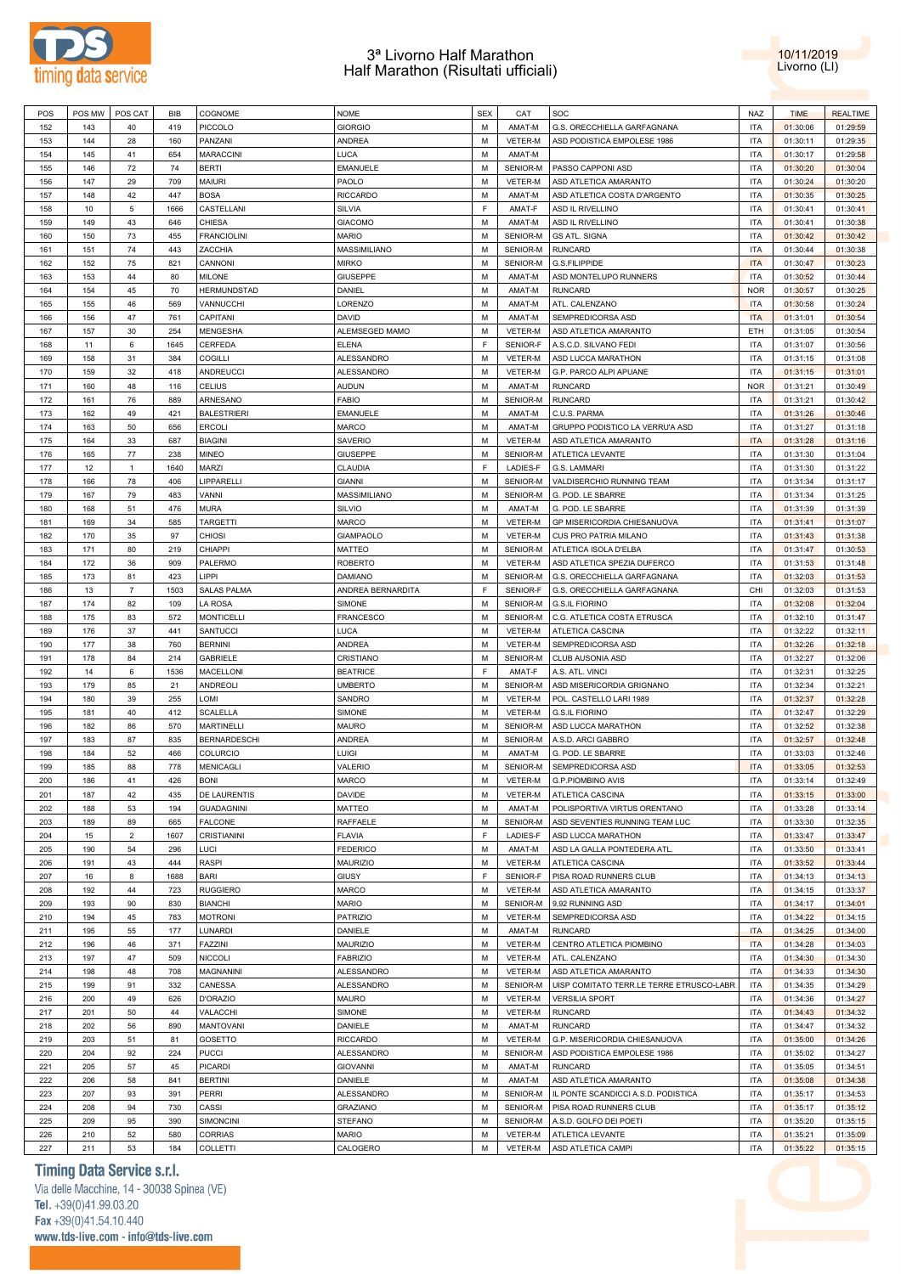



| POS | POS MW | POS CAT        | <b>BIB</b> | COGNOME             | <b>NOME</b>       | <b>SEX</b> | CAT            | SOC                                      | NAZ        | <b>TIME</b> | <b>REALTIME</b> |
|-----|--------|----------------|------------|---------------------|-------------------|------------|----------------|------------------------------------------|------------|-------------|-----------------|
|     |        |                |            |                     |                   |            |                |                                          |            |             |                 |
| 152 | 143    | 40             | 419        | PICCOLO             | <b>GIORGIO</b>    | М          | AMAT-M         | G.S. ORECCHIELLA GARFAGNANA              | <b>ITA</b> | 01:30:06    | 01:29:59        |
| 153 | 144    | 28             | 160        | PANZANI             | ANDREA            | М          | VETER-M        | ASD PODISTICA EMPOLESE 1986              | <b>ITA</b> | 01:30:11    | 01:29:35        |
| 154 | 145    | 41             | 654        | <b>MARACCINI</b>    | <b>LUCA</b>       | М          | AMAT-M         |                                          | <b>ITA</b> | 01:30:17    | 01:29:58        |
| 155 | 146    | 72             | 74         | <b>BERTI</b>        | EMANUELE          | М          | SENIOR-M       | PASSO CAPPONI ASD                        | <b>ITA</b> | 01:30:20    | 01:30:04        |
| 156 | 147    | 29             | 709        | maiuri              | PAOLO             | M          | VETER-M        | ASD ATLETICA AMARANTO                    | <b>ITA</b> | 01:30:24    | 01:30:20        |
|     |        |                |            |                     |                   |            |                |                                          |            |             |                 |
| 157 | 148    | 42             | 447        | <b>BOSA</b>         | <b>RICCARDO</b>   | М          | AMAT-M         | ASD ATLETICA COSTA D'ARGENTO             | <b>ITA</b> | 01:30:35    | 01:30:25        |
| 158 | 10     | 5              | 1666       | CASTELLANI          | SILVIA            | F          | AMAT-F         | ASD IL RIVELLINO                         | <b>ITA</b> | 01:30:41    | 01:30:41        |
| 159 | 149    | 43             | 646        | CHIESA              | <b>GIACOMO</b>    | М          | AMAT-M         | ASD IL RIVELLINO                         | ITA        | 01:30:41    | 01:30:38        |
| 160 | 150    | 73             | 455        | FRANCIOLINI         | <b>MARIO</b>      | М          | SENIOR-M       | <b>GS ATL. SIGNA</b>                     | <b>ITA</b> | 01:30:42    | 01:30:42        |
| 161 | 151    | 74             | 443        | ZACCHIA             | MASSIMILIANO      | М          | SENIOR-M       | <b>RUNCARD</b>                           | <b>ITA</b> | 01:30:44    | 01:30:38        |
|     |        |                |            |                     |                   |            |                |                                          |            |             |                 |
| 162 | 152    | 75             | 821        | CANNONI             | <b>MIRKO</b>      | М          | SENIOR-M       | G.S.FILIPPIDE                            | <b>ITA</b> | 01:30:47    | 01:30:23        |
| 163 | 153    | 44             | 80         | MILONE              | <b>GIUSEPPE</b>   | М          | AMAT-M         | ASD MONTELUPO RUNNERS                    | <b>ITA</b> | 01:30:52    | 01:30:44        |
| 164 | 154    | 45             | 70         | HERMUNDSTAD         | DANIEL            | M          | AMAT-M         | <b>RUNCARD</b>                           | <b>NOR</b> | 01:30:57    | 01:30:25        |
| 165 | 155    | 46             | 569        | VANNUCCHI           | LORENZO           | М          | AMAT-M         | ATL. CALENZANO                           | <b>ITA</b> | 01:30:58    | 01:30:24        |
| 166 | 156    | 47             | 761        |                     | DAVID             | M          | AMAT-M         | SEMPREDICORSA ASD                        | <b>ITA</b> |             | 01:30:54        |
|     |        |                |            | CAPITANI            |                   |            |                |                                          |            | 01:31:01    |                 |
| 167 | 157    | 30             | 254        | MENGESHA            | ALEMSEGED MAMO    | М          | VETER-M        | ASD ATLETICA AMARANTO                    | ETH        | 01:31:05    | 01:30:54        |
| 168 | 11     | 6              | 1645       | CERFEDA             | <b>ELENA</b>      | F          | SENIOR-F       | A.S.C.D. SILVANO FEDI                    | <b>ITA</b> | 01:31:07    | 01:30:56        |
| 169 | 158    | 31             | 384        | COGILLI             | ALESSANDRO        | М          | VETER-M        | ASD LUCCA MARATHON                       | <b>ITA</b> | 01:31:15    | 01:31:08        |
| 170 | 159    | 32             | 418        | ANDREUCCI           | ALESSANDRO        | M          | VETER-M        | G.P. PARCO ALPI APUANE                   | <b>ITA</b> | 01:31:15    | 01:31:01        |
|     |        |                |            |                     |                   |            |                |                                          |            |             |                 |
| 171 | 160    | 48             | 116        | <b>CELIUS</b>       | <b>AUDUN</b>      | М          | AMAT-M         | <b>RUNCARD</b>                           | <b>NOR</b> | 01:31:21    | 01:30:49        |
| 172 | 161    | 76             | 889        | ARNESANO            | <b>FABIO</b>      | М          | SENIOR-M       | <b>RUNCARD</b>                           | <b>ITA</b> | 01:31:21    | 01:30:42        |
| 173 | 162    | 49             | 421        | <b>BALESTRIERI</b>  | EMANUELE          | М          | AMAT-M         | C.U.S. PARMA                             | <b>ITA</b> | 01:31:26    | 01:30:46        |
| 174 | 163    | 50             | 656        | <b>ERCOLI</b>       | <b>MARCO</b>      | М          | AMAT-M         | GRUPPO PODISTICO LA VERRU'A ASD          | <b>ITA</b> | 01:31:27    | 01:31:18        |
| 175 | 164    | 33             | 687        | <b>BIAGINI</b>      | <b>SAVERIO</b>    | М          | <b>VETER-M</b> | ASD ATLETICA AMARANTO                    | <b>ITA</b> | 01:31:28    | 01:31:16        |
|     |        |                |            |                     |                   |            |                |                                          |            |             |                 |
| 176 | 165    | 77             | 238        | MINEO               | <b>GIUSEPPE</b>   | М          | SENIOR-M       | ATLETICA LEVANTE                         | <b>ITA</b> | 01:31:30    | 01:31:04        |
| 177 | 12     | $\mathbf{1}$   | 1640       | MARZI               | CLAUDIA           | F          | LADIES-F       | G.S. LAMMARI                             | <b>ITA</b> | 01:31:30    | 01:31:22        |
| 178 | 166    | 78             | 406        | LIPPARELLI          | <b>GIANNI</b>     | М          | SENIOR-M       | VALDISERCHIO RUNNING TEAM                | <b>ITA</b> | 01:31:34    | 01:31:17        |
| 179 | 167    | 79             | 483        | VANNI               | MASSIMILIANO      | М          | SENIOR-M       | G. POD. LE SBARRE                        | ITA        | 01:31:34    | 01:31:25        |
| 180 | 168    | 51             | 476        | <b>MURA</b>         | SILVIO            | M          | AMAT-M         | G. POD. LE SBARRE                        | <b>ITA</b> | 01:31:39    | 01:31:39        |
|     |        |                |            |                     |                   |            |                |                                          |            |             |                 |
| 181 | 169    | 34             | 585        | <b>TARGETTI</b>     | <b>MARCO</b>      | М          | VETER-M        | GP MISERICORDIA CHIESANUOVA              | <b>ITA</b> | 01:31:41    | 01:31:07        |
| 182 | 170    | 35             | 97         | <b>CHIOSI</b>       | <b>GIAMPAOLO</b>  | M          | VETER-M        | CUS PRO PATRIA MILANO                    | <b>ITA</b> | 01:31:43    | 01:31:38        |
| 183 | 171    | 80             | 219        | CHIAPPI             | MATTEO            | М          | SENIOR-M       | ATLETICA ISOLA D'ELBA                    | <b>ITA</b> | 01:31:47    | 01:30:53        |
| 184 | 172    | 36             | 909        | PALERMO             | <b>ROBERTO</b>    | M          | VETER-M        | ASD ATLETICA SPEZIA DUFERCO              | <b>ITA</b> | 01:31:53    | 01:31:48        |
| 185 | 173    | 81             | 423        | LIPPI               | DAMIANO           | М          | SENIOR-M       | G.S. ORECCHIELLA GARFAGNANA              | <b>ITA</b> | 01:32:03    | 01:31:53        |
|     |        |                |            |                     |                   |            |                |                                          |            |             |                 |
| 186 | 13     | $\overline{7}$ | 1503       | SALAS PALMA         | ANDREA BERNARDITA | F          | SENIOR-F       | G.S. ORECCHIELLA GARFAGNANA              | CHI        | 01:32:03    | 01:31:53        |
| 187 | 174    | 82             | 109        | LA ROSA             | SIMONE            | М          | SENIOR-M       | <b>G.S.IL FIORINO</b>                    | <b>ITA</b> | 01:32:08    | 01:32:04        |
| 188 | 175    | 83             | 572        | <b>MONTICELLI</b>   | <b>FRANCESCO</b>  | М          | SENIOR-M       | C.G. ATLETICA COSTA ETRUSCA              | <b>ITA</b> | 01:32:10    | 01:31:47        |
| 189 | 176    | 37             | 441        | SANTUCCI            | LUCA              | М          | VETER-M        | ATLETICA CASCINA                         | <b>ITA</b> | 01:32:22    | 01:32:11        |
| 190 | 177    | 38             | 760        | <b>BERNINI</b>      | <b>ANDREA</b>     | М          | VETER-M        | SEMPREDICORSA ASD                        | <b>ITA</b> | 01:32:26    | 01:32:18        |
|     |        |                |            |                     |                   |            |                |                                          |            |             |                 |
| 191 | 178    | 84             | 214        | GABRIELE            | CRISTIANO         | М          | SENIOR-M       | CLUB AUSONIA ASD                         | <b>ITA</b> | 01:32:27    | 01:32:06        |
| 192 | 14     | 6              | 1536       | MACELLONI           | <b>BEATRICE</b>   | F          | AMAT-F         | A.S. ATL. VINCI                          | <b>ITA</b> | 01:32:31    | 01:32:25        |
| 193 | 179    | 85             | 21         | ANDREOLI            | <b>UMBERTO</b>    | М          | SENIOR-M       | ASD MISERICORDIA GRIGNANO                | <b>ITA</b> | 01:32:34    | 01:32:21        |
| 194 | 180    | 39             | 255        | LOMI                | SANDRO            | М          | VETER-M        | POL. CASTELLO LARI 1989                  | <b>ITA</b> | 01:32:37    | 01:32:28        |
| 195 | 181    | 40             | 412        | SCALELLA            | SIMONE            | М          | VETER-M        | <b>G.S.IL FIORINO</b>                    | <b>ITA</b> | 01:32:47    | 01:32:29        |
|     |        |                |            |                     |                   |            |                |                                          |            |             |                 |
| 196 | 182    | 86             | 570        | <b>MARTINELLI</b>   | <b>MAURO</b>      | М          | SENIOR-M       | ASD LUCCA MARATHON                       | <b>ITA</b> | 01:32:52    | 01:32:38        |
| 197 | 183    | 87             | 835        | <b>BERNARDESCHI</b> | ANDREA            | М          | SENIOR-M       | A.S.D. ARCI GABBRO                       | <b>ITA</b> | 01:32:57    | 01:32:48        |
| 198 | 184    | 52             | 466        | COLURCIO            | <b>LUIGI</b>      | М          | AMAT-M         | G. POD. LE SBARRE                        | <b>ITA</b> | 01:33:03    | 01:32:46        |
| 199 | 185    | 88             | 778        | MENICAGLI           | VALERIO           | M          | SENIOR-M       | SEMPREDICORSA ASD                        | <b>ITA</b> | 01:33:05    | 01:32:53        |
| 200 | 186    | 41             | 426        | <b>BONI</b>         | <b>MARCO</b>      | М          | VETER-M        | <b>G.P.PIOMBINO AVIS</b>                 | <b>ITA</b> | 01:33:14    | 01:32:49        |
|     |        |                |            |                     |                   |            |                |                                          |            |             |                 |
| 201 | 187    | 42             | 435        | DE LAURENTIS        | DAVIDE            | М          | VETER-M        | ATLETICA CASCINA                         | <b>ITA</b> | 01:33:15    | 01:33:00        |
| 202 | 188    | 53             | 194        | <b>GUADAGNINI</b>   | MATTEO            | M          | AMAT-M         | POLISPORTIVA VIRTUS ORENTANO             | <b>ITA</b> | 01:33:28    | 01:33:14        |
| 203 | 189    | 89             | 665        | <b>FALCONE</b>      | RAFFAELE          | М          | SENIOR-M       | ASD SEVENTIES RUNNING TEAM LUC           | ITA        | 01:33:30    | 01:32:35        |
| 204 | 15     | $\overline{2}$ | 1607       | <b>CRISTIANINI</b>  | <b>FLAVIA</b>     | F          | LADIES-F       | ASD LUCCA MARATHON                       | <b>ITA</b> | 01:33:47    | 01:33:47        |
| 205 | 190    | 54             | 296        | LUCI                | <b>FEDERICO</b>   | М          | AMAT-M         | ASD LA GALLA PONTEDERA ATL.              | ITA        | 01:33:50    | 01:33:41        |
|     |        | 43             |            |                     |                   | M          |                |                                          |            |             |                 |
| 206 | 191    |                | 444        | <b>RASPI</b>        | <b>MAURIZIO</b>   |            | VETER-M        | ATLETICA CASCINA                         | <b>ITA</b> | 01:33:52    | 01:33:44        |
| 207 | 16     | 8              | 1688       | BARI                | GIUSY             | F          | SENIOR-F       | PISA ROAD RUNNERS CLUB                   | ITA        | 01:34:13    | 01:34:13        |
| 208 | 192    | 44             | 723        | <b>RUGGIERO</b>     | MARCO             | M          | VETER-M        | ASD ATLETICA AMARANTO                    | <b>ITA</b> | 01:34:15    | 01:33:37        |
| 209 | 193    | 90             | 830        | <b>BIANCHI</b>      | <b>MARIO</b>      | М          | SENIOR-M       | 9,92 RUNNING ASD                         | ITA        | 01:34:17    | 01:34:01        |
| 210 | 194    | 45             | 783        | <b>MOTRONI</b>      | PATRIZIO          | M          | VETER-M        | SEMPREDICORSA ASD                        | <b>ITA</b> | 01:34:22    | 01:34:15        |
|     |        |                |            |                     |                   |            |                |                                          |            |             |                 |
| 211 | 195    | 55             | 177        | LUNARDI             | DANIELE           | М          | AMAT-M         | <b>RUNCARD</b>                           | <b>ITA</b> | 01:34:25    | 01:34:00        |
| 212 | 196    | 46             | 371        | FAZZINI             | MAURIZIO          | M          | VETER-M        | CENTRO ATLETICA PIOMBINO                 | <b>ITA</b> | 01:34:28    | 01:34:03        |
| 213 | 197    | 47             | 509        | <b>NICCOLI</b>      | <b>FABRIZIO</b>   | М          | VETER-M        | ATL. CALENZANO                           | ITA        | 01:34:30    | 01:34:30        |
| 214 | 198    | 48             | 708        | MAGNANINI           | ALESSANDRO        | M          | VETER-M        | ASD ATLETICA AMARANTO                    | <b>ITA</b> | 01:34:33    | 01:34:30        |
| 215 | 199    | 91             | 332        | CANESSA             | ALESSANDRO        | М          | SENIOR-M       | UISP COMITATO TERR.LE TERRE ETRUSCO-LABR | <b>ITA</b> | 01:34:35    | 01:34:29        |
|     |        |                |            |                     |                   |            |                |                                          |            |             |                 |
| 216 | 200    | 49             | 626        | D'ORAZIO            | <b>MAURO</b>      | M          | VETER-M        | <b>VERSILIA SPORT</b>                    | <b>ITA</b> | 01:34:36    | 01:34:27        |
| 217 | 201    | 50             | 44         | VALACCHI            | SIMONE            | М          | VETER-M        | <b>RUNCARD</b>                           | ITA        | 01:34:43    | 01:34:32        |
| 218 | 202    | 56             | 890        | <b>MANTOVANI</b>    | DANIELE           | M          | AMAT-M         | <b>RUNCARD</b>                           | <b>ITA</b> | 01:34:47    | 01:34:32        |
| 219 | 203    | 51             | 81         | GOSETTO             | <b>RICCARDO</b>   | М          | VETER-M        | G.P. MISERICORDIA CHIESANUOVA            | ITA        | 01:35:00    | 01:34:26        |
| 220 | 204    | 92             | 224        | <b>PUCCI</b>        | ALESSANDRO        | M          | SENIOR-M       | ASD PODISTICA EMPOLESE 1986              | <b>ITA</b> |             | 01:34:27        |
|     |        |                |            |                     |                   |            |                |                                          |            | 01:35:02    |                 |
| 221 | 205    | 57             | 45         | <b>PICARDI</b>      | <b>GIOVANNI</b>   | М          | AMAT-M         | <b>RUNCARD</b>                           | ITA        | 01:35:05    | 01:34:51        |
| 222 | 206    | 58             | 841        | <b>BERTINI</b>      | DANIELE           | M          | AMAT-M         | ASD ATLETICA AMARANTO                    | <b>ITA</b> | 01:35:08    | 01:34:38        |
| 223 | 207    | 93             | 391        | PERRI               | ALESSANDRO        | М          | SENIOR-M       | IL PONTE SCANDICCI A.S.D. PODISTICA      | ITA        | 01:35:17    | 01:34:53        |
| 224 | 208    | 94             | 730        | CASSI               | <b>GRAZIANO</b>   | М          | SENIOR-M       | PISA ROAD RUNNERS CLUB                   | <b>ITA</b> | 01:35:17    | 01:35:12        |
|     |        |                |            |                     |                   |            |                |                                          |            |             |                 |
| 225 | 209    | 95             | 390        | SIMONCINI           | <b>STEFANO</b>    | М          | SENIOR-M       | A.S.D. GOLFO DEI POETI                   | ITA        | 01:35:20    | 01:35:15        |
| 226 | 210    | 52             | 580        | CORRIAS             | <b>MARIO</b>      | М          | VETER-M        | ATLETICA LEVANTE                         | <b>ITA</b> | 01:35:21    | 01:35:09        |
| 227 | 211    | 53             | 184        | COLLETTI            | CALOGERO          | M          | <b>VETER-M</b> | ASD ATLETICA CAMPI                       | <b>ITA</b> | 01:35:22    | 01:35:15        |

**Timing Data Service s.r.l.**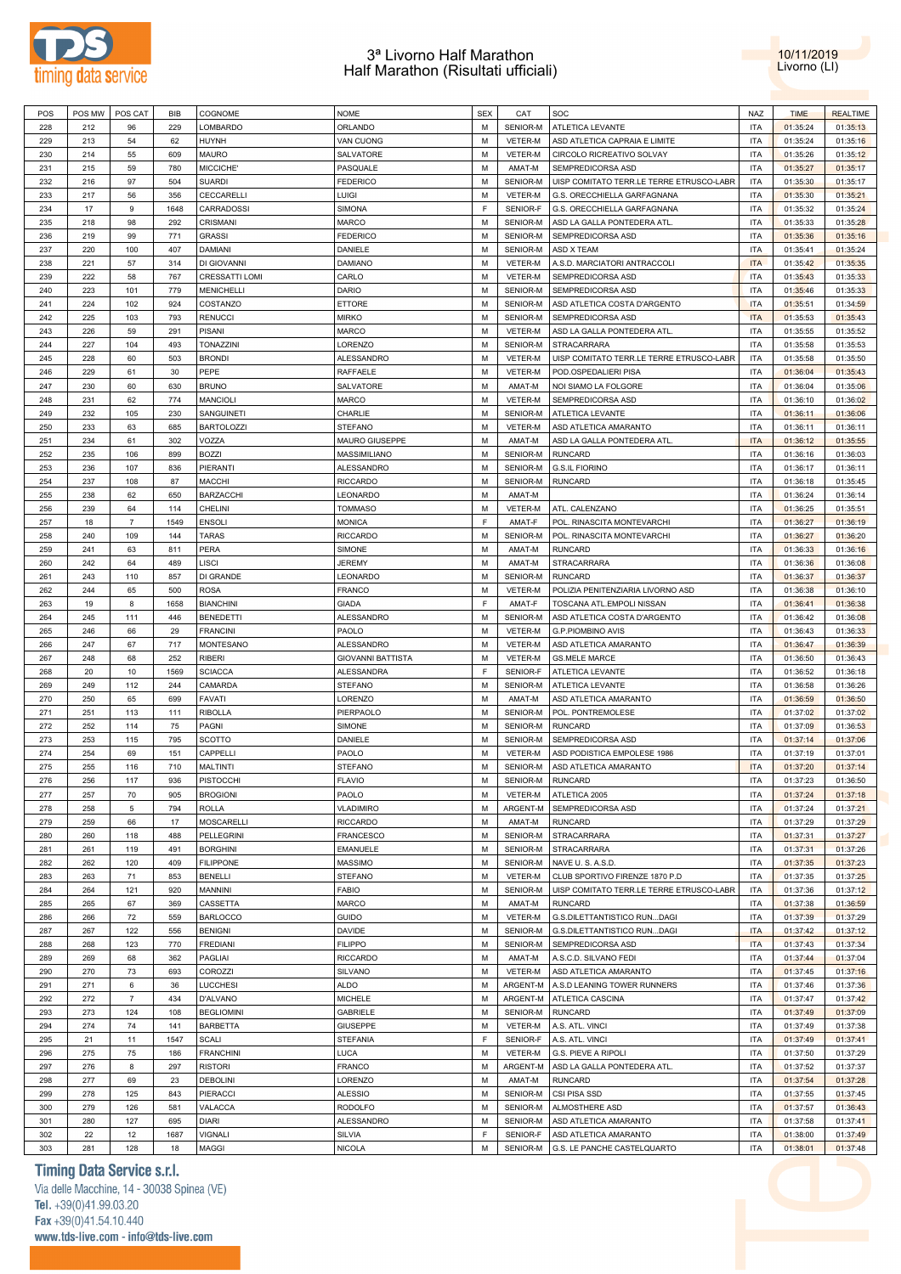



| POS | POS MW | POS CAT        | BIB  | COGNOME               | <b>NOME</b>              | <b>SEX</b> | CAT              | SOC                                      | NAZ        | <b>TIME</b> | <b>REALTIME</b> |
|-----|--------|----------------|------|-----------------------|--------------------------|------------|------------------|------------------------------------------|------------|-------------|-----------------|
| 228 | 212    | 96             | 229  | LOMBARDO              | ORLANDO                  | M          | SENIOR-M         | ATLETICA LEVANTE                         | <b>ITA</b> | 01:35:24    | 01:35:13        |
| 229 | 213    | 54             | 62   | HUYNH                 | VAN CUONG                | M          | <b>VETER-M</b>   | ASD ATLETICA CAPRAIA E LIMITE            | <b>ITA</b> | 01:35:24    | 01:35:16        |
|     |        |                |      |                       |                          |            |                  |                                          |            |             |                 |
| 230 | 214    | 55             | 609  | MAURO                 | SALVATORE                | M          | <b>VETER-M</b>   | CIRCOLO RICREATIVO SOLVAY                | <b>ITA</b> | 01:35:26    | 01:35:12        |
| 231 | 215    | 59             | 780  | MICCICHE'             | PASQUALE                 | M          | AMAT-M           | SEMPREDICORSA ASD                        | <b>ITA</b> | 01:35:27    | 01:35:17        |
| 232 | 216    | 97             | 504  | <b>SUARDI</b>         | <b>FEDERICO</b>          | M          | SENIOR-M         | UISP COMITATO TERR.LE TERRE ETRUSCO-LABR | <b>ITA</b> | 01:35:30    | 01:35:17        |
| 233 | 217    | 56             | 356  | CECCARELLI            | Luigi                    | М          | <b>VETER-M</b>   | G.S. ORECCHIELLA GARFAGNANA              | <b>ITA</b> | 01:35:30    | 01:35:21        |
| 234 | 17     | 9              | 1648 | CARRADOSSI            | <b>SIMONA</b>            | F          | SENIOR-F         | G.S. ORECCHIELLA GARFAGNANA              | <b>ITA</b> | 01:35:32    | 01:35:24        |
|     | 218    | 98             |      | CRISMANI              | MARCO                    | М          | SENIOR-M         |                                          | <b>ITA</b> |             |                 |
| 235 |        |                | 292  |                       |                          |            |                  | ASD LA GALLA PONTEDERA ATL.              |            | 01:35:33    | 01:35:28        |
| 236 | 219    | 99             | 771  | <b>GRASSI</b>         | <b>FEDERICO</b>          | M          | SENIOR-M         | SEMPREDICORSA ASD                        | <b>ITA</b> | 01:35:36    | 01:35:16        |
| 237 | 220    | 100            | 407  | <b>DAMIANI</b>        | DANIELE                  | M          | SENIOR-M         | ASD X TEAM                               | <b>ITA</b> | 01:35:41    | 01:35:24        |
| 238 | 221    | 57             | 314  | DI GIOVANNI           | <b>DAMIANO</b>           | M          | VETER-M          | A.S.D. MARCIATORI ANTRACCOLI             | <b>ITA</b> | 01:35:42    | 01:35:35        |
| 239 | 222    | 58             | 767  | <b>CRESSATTI LOMI</b> | CARLO                    | M          | VETER-M          | SEMPREDICORSA ASD                        | <b>ITA</b> | 01:35:43    | 01:35:33        |
| 240 | 223    | 101            | 779  | <b>MENICHELLI</b>     | DARIO                    | M          | SENIOR-M         | SEMPREDICORSA ASD                        | <b>ITA</b> | 01:35:46    | 01:35:33        |
|     |        |                |      |                       |                          |            |                  |                                          |            |             |                 |
| 241 | 224    | 102            | 924  | COSTANZO              | <b>ETTORE</b>            | M          | SENIOR-M         | ASD ATLETICA COSTA D'ARGENTO             | <b>ITA</b> | 01:35:51    | 01:34:59        |
| 242 | 225    | 103            | 793  | <b>RENUCCI</b>        | <b>MIRKO</b>             | М          | SENIOR-M         | SEMPREDICORSA ASD                        | <b>ITA</b> | 01:35:53    | 01:35:43        |
| 243 | 226    | 59             | 291  | PISANI                | MARCO                    | М          | VETER-M          | ASD LA GALLA PONTEDERA ATL               | <b>ITA</b> | 01:35:55    | 01:35:52        |
| 244 | 227    | 104            | 493  | <b>TONAZZINI</b>      | LORENZO                  | М          | SENIOR-M         | <b>STRACARRARA</b>                       | <b>ITA</b> | 01:35:58    | 01:35:53        |
| 245 | 228    | 60             | 503  | <b>BRONDI</b>         | <b>ALESSANDRO</b>        | М          | VETER-M          | UISP COMITATO TERR.LE TERRE ETRUSCO-LABR | <b>ITA</b> | 01:35:58    | 01:35:50        |
|     |        |                |      |                       |                          | M          |                  |                                          |            |             |                 |
| 246 | 229    | 61             | 30   | PEPE                  | <b>RAFFAELE</b>          |            | VETER-M          | POD.OSPEDALIERI PISA                     | <b>ITA</b> | 01:36:04    | 01:35:43        |
| 247 | 230    | 60             | 630  | <b>BRUNO</b>          | SALVATORE                | M          | AMAT-M           | NOI SIAMO LA FOLGORE                     | <b>ITA</b> | 01:36:04    | 01:35:06        |
| 248 | 231    | 62             | 774  | MANCIOLI              | <b>MARCO</b>             | M          | VETER-M          | SEMPREDICORSA ASD                        | <b>ITA</b> | 01:36:10    | 01:36:02        |
| 249 | 232    | 105            | 230  | SANGUINETI            | CHARLIE                  | M          | SENIOR-M         | ATLETICA LEVANTE                         | <b>ITA</b> | 01:36:11    | 01:36:06        |
| 250 | 233    | 63             | 685  | <b>BARTOLOZZI</b>     | <b>STEFANO</b>           | M          | VETER-M          | ASD ATLETICA AMARANTO                    | <b>ITA</b> | 01:36:11    | 01:36:11        |
|     |        |                |      |                       |                          |            |                  |                                          |            |             |                 |
| 251 | 234    | 61             | 302  | VOZZA                 | MAURO GIUSEPPE           | M          | AMAT-M           | ASD LA GALLA PONTEDERA ATL.              | <b>ITA</b> | 01:36:12    | 01:35:55        |
| 252 | 235    | 106            | 899  | <b>BOZZI</b>          | MASSIMILIANO             | М          | SENIOR-M         | <b>RUNCARD</b>                           | <b>ITA</b> | 01:36:16    | 01:36:03        |
| 253 | 236    | 107            | 836  | PIERANTI              | <b>ALESSANDRO</b>        | м          | SENIOR-M         | <b>G.S.IL FIORINO</b>                    | <b>ITA</b> | 01:36:17    | 01:36:11        |
| 254 | 237    | 108            | 87   | MACCHI                | <b>RICCARDO</b>          | М          | SENIOR-M         | <b>RUNCARD</b>                           | <b>ITA</b> | 01:36:18    | 01:35:45        |
| 255 | 238    | 62             | 650  | <b>BARZACCHI</b>      | LEONARDO                 | м          | AMAT-M           |                                          | <b>ITA</b> | 01:36:24    | 01:36:14        |
|     |        |                |      |                       |                          |            |                  |                                          |            |             |                 |
| 256 | 239    | 64             | 114  | CHELINI               | <b>TOMMASO</b>           | M          | VETER-M          | ATL. CALENZANO                           | <b>ITA</b> | 01:36:25    | 01:35:51        |
| 257 | 18     | $\overline{7}$ | 1549 | <b>ENSOLI</b>         | <b>MONICA</b>            | E          | AMAT-F           | POL. RINASCITA MONTEVARCHI               | <b>ITA</b> | 01:36:27    | 01:36:19        |
| 258 | 240    | 109            | 144  | <b>TARAS</b>          | <b>RICCARDO</b>          | M          | SENIOR-M         | POL. RINASCITA MONTEVARCHI               | <b>ITA</b> | 01:36:27    | 01:36:20        |
| 259 | 241    | 63             | 811  | PERA                  | SIMONE                   | M          | AMAT-M           | <b>RUNCARD</b>                           | <b>ITA</b> | 01:36:33    | 01:36:16        |
| 260 | 242    | 64             | 489  | LISCI                 | <b>JEREMY</b>            | M          | AMAT-M           | <b>STRACARRARA</b>                       | <b>ITA</b> | 01:36:36    | 01:36:08        |
|     |        |                |      |                       |                          |            |                  |                                          |            |             |                 |
| 261 | 243    | 110            | 857  | DI GRANDE             | LEONARDO                 | м          | SENIOR-M         | <b>RUNCARD</b>                           | <b>ITA</b> | 01:36:37    | 01:36:37        |
| 262 | 244    | 65             | 500  | <b>ROSA</b>           | <b>FRANCO</b>            | М          | VETER-M          | POLIZIA PENITENZIARIA LIVORNO ASD        | <b>ITA</b> | 01:36:38    | 01:36:10        |
| 263 | 19     | 8              | 1658 | <b>BIANCHINI</b>      | <b>GIADA</b>             | F          | AMAT-F           | TOSCANA ATL.EMPOLI NISSAN                | <b>ITA</b> | 01:36:41    | 01:36:38        |
| 264 | 245    | 111            | 446  | <b>BENEDETTI</b>      | ALESSANDRO               | M          | SENIOR-M         | ASD ATLETICA COSTA D'ARGENTO             | <b>ITA</b> | 01:36:42    | 01:36:08        |
| 265 | 246    | 66             | 29   | <b>FRANCINI</b>       | PAOLO                    | м          | VETER-M          | <b>G.P.PIOMBINO AVIS</b>                 | <b>ITA</b> | 01:36:43    | 01:36:33        |
|     |        |                |      |                       |                          |            |                  |                                          |            |             |                 |
| 266 | 247    | 67             | 717  | MONTESANO             | <b>ALESSANDRO</b>        | M          | VETER-M          | ASD ATLETICA AMARANTO                    | <b>ITA</b> | 01:36:47    | 01:36:39        |
| 267 | 248    | 68             | 252  | <b>RIBERI</b>         | <b>GIOVANNI BATTISTA</b> | М          | VETER-M          | <b>GS.MELE MARCE</b>                     | <b>ITA</b> | 01:36:50    | 01:36:43        |
| 268 | 20     | 10             | 1569 | <b>SCIACCA</b>        | <b>ALESSANDRA</b>        | E          | SENIOR-F         | ATLETICA LEVANTE                         | <b>ITA</b> | 01:36:52    | 01:36:18        |
| 269 | 249    | 112            | 244  | CAMARDA               | <b>STEFANO</b>           | M          | SENIOR-M         | ATLETICA LEVANTE                         | <b>ITA</b> | 01:36:58    | 01:36:26        |
| 270 | 250    | 65             | 699  | FAVATI                | LORENZO                  | M          | AMAT-M           | ASD ATLETICA AMARANTO                    | <b>ITA</b> | 01:36:59    | 01:36:50        |
|     |        |                |      |                       |                          |            |                  |                                          |            |             |                 |
| 271 | 251    | 113            | 111  | <b>RIBOLLA</b>        | PIERPAOLO                | M          | SENIOR-M         | POL. PONTREMOLESE                        | <b>ITA</b> | 01:37:02    | 01:37:02        |
| 272 | 252    | 114            | 75   | PAGNI                 | SIMONE                   | М          | SENIOR-M         | <b>RUNCARD</b>                           | <b>ITA</b> | 01:37:09    | 01:36:53        |
| 273 | 253    | 115            | 795  | <b>SCOTTO</b>         | DANIELE                  | м          | SENIOR-M         | SEMPREDICORSA ASD                        | <b>ITA</b> | 01:37:14    | 01:37:06        |
| 274 | 254    | 69             | 151  | CAPPELLI              | PAOLO                    | м          | VETER-M          | ASD PODISTICA EMPOLESE 1986              | <b>ITA</b> | 01:37:19    | 01:37:01        |
| 275 | 255    | 116            | 710  | MALTINTI              | <b>STEFANO</b>           | М          | SENIOR-M         | ASD ATLETICA AMARANTO                    | <b>ITA</b> | 01:37:20    | 01:37:14        |
|     |        |                |      |                       |                          |            |                  |                                          |            |             |                 |
| 276 | 256    | 117            | 936  | PISTOCCHI             | <b>FLAVIO</b>            | M          | SENIOR-M RUNCARD |                                          | <b>ITA</b> | 01:37:23    | 01:36:50        |
| 277 | 257    | 70             | 905  | <b>BROGIONI</b>       | PAOLO                    | М          | VETER-M          | ATLETICA 2005                            | <b>ITA</b> | 01:37:24    | 01:37:18        |
| 278 | 258    | 5              | 794  | <b>ROLLA</b>          | <b>VLADIMIRO</b>         | M          | ARGENT-M         | SEMPREDICORSA ASD                        | <b>ITA</b> | 01:37:24    | 01:37:21        |
| 279 | 259    | 66             | 17   | MOSCARELLI            | <b>RICCARDO</b>          | м          | AMAT-M           | <b>RUNCARD</b>                           | <b>ITA</b> | 01:37:29    | 01:37:29        |
| 280 | 260    | 118            | 488  | <b>PELLEGRINI</b>     | <b>FRANCESCO</b>         | M          | SENIOR-M         | <b>STRACARRARA</b>                       | <b>ITA</b> | 01:37:31    | 01:37:27        |
|     | 261    | 119            | 491  | <b>BORGHINI</b>       | <b>EMANUELE</b>          | М          | SENIOR-M         |                                          | <b>ITA</b> |             | 01:37:26        |
| 281 |        |                |      |                       |                          |            |                  | STRACARRARA                              |            | 01:37:31    |                 |
| 282 | 262    | 120            | 409  | <b>FILIPPONE</b>      | <b>MASSIMO</b>           | M          | SENIOR-M         | NAVE U.S.A.S.D.                          | <b>ITA</b> | 01:37:35    | 01:37:23        |
| 283 | 263    | 71             | 853  | <b>BENELLI</b>        | STEFANO                  | М          | VETER-M          | CLUB SPORTIVO FIRENZE 1870 P.D           | <b>ITA</b> | 01:37:35    | 01:37:25        |
| 284 | 264    | 121            | 920  | MANNINI               | <b>FABIO</b>             | М          | SENIOR-M         | UISP COMITATO TERR.LE TERRE ETRUSCO-LABR | <b>ITA</b> | 01:37:36    | 01:37:12        |
| 285 | 265    | 67             | 369  | CASSETTA              | <b>MARCO</b>             | М          | AMAT-M           | <b>RUNCARD</b>                           | <b>ITA</b> | 01:37:38    | 01:36:59        |
| 286 | 266    | 72             | 559  | <b>BARLOCCO</b>       | <b>GUIDO</b>             | M          | VETER-M          | G.S.DILETTANTISTICO RUNDAGI              | <b>ITA</b> | 01:37:39    | 01:37:29        |
|     |        |                |      |                       |                          |            |                  |                                          |            |             |                 |
| 287 | 267    | 122            | 556  | <b>BENIGNI</b>        | <b>DAVIDE</b>            | м          | SENIOR-M         | G.S.DILETTANTISTICO RUNDAGI              | <b>ITA</b> | 01:37:42    | 01:37:12        |
| 288 | 268    | 123            | 770  | <b>FREDIANI</b>       | <b>FILIPPO</b>           | M          | SENIOR-M         | SEMPREDICORSA ASD                        | <b>ITA</b> | 01:37:43    | 01:37:34        |
| 289 | 269    | 68             | 362  | PAGLIAI               | <b>RICCARDO</b>          | M          | AMAT-M           | A.S.C.D. SILVANO FEDI                    | <b>ITA</b> | 01:37:44    | 01:37:04        |
| 290 | 270    | 73             | 693  | COROZZI               | <b>SILVANO</b>           | M          | VETER-M          | ASD ATLETICA AMARANTO                    | <b>ITA</b> | 01:37:45    | 01:37:16        |
|     | 271    | 6              | 36   |                       |                          | м          |                  |                                          | <b>ITA</b> |             | 01:37:36        |
| 291 |        |                |      | LUCCHESI              | ALDO                     |            | ARGENT-M         | A.S.D LEANING TOWER RUNNERS              |            | 01:37:46    |                 |
| 292 | 272    | $\overline{7}$ | 434  | D'ALVANO              | <b>MICHELE</b>           | М          | ARGENT-M         | ATLETICA CASCINA                         | <b>ITA</b> | 01:37:47    | 01:37:42        |
| 293 | 273    | 124            | 108  | <b>BEGLIOMINI</b>     | <b>GABRIELE</b>          | М          | SENIOR-M         | <b>RUNCARD</b>                           | <b>ITA</b> | 01:37:49    | 01:37:09        |
| 294 | 274    | 74             | 141  | <b>BARBETTA</b>       | <b>GIUSEPPE</b>          | M          | VETER-M          | A.S. ATL. VINCI                          | <b>ITA</b> | 01:37:49    | 01:37:38        |
| 295 | 21     | 11             | 1547 | SCALI                 | <b>STEFANIA</b>          | F          | SENIOR-F         | A.S. ATL. VINCI                          | <b>ITA</b> | 01:37:49    | 01:37:41        |
|     |        |                |      |                       |                          |            |                  |                                          |            |             |                 |
| 296 | 275    | 75             | 186  | <b>FRANCHINI</b>      | LUCA                     | M          | VETER-M          | G.S. PIEVE A RIPOLI                      | <b>ITA</b> | 01:37:50    | 01:37:29        |
| 297 | 276    | 8              | 297  | <b>RISTORI</b>        | <b>FRANCO</b>            | М          | ARGENT-M         | ASD LA GALLA PONTEDERA ATL.              | <b>ITA</b> | 01:37:52    | 01:37:37        |
| 298 | 277    | 69             | 23   | <b>DEBOLINI</b>       | LORENZO                  | M          | AMAT-M           | <b>RUNCARD</b>                           | <b>ITA</b> | 01:37:54    | 01:37:28        |
| 299 | 278    | 125            | 843  | PIERACCI              | <b>ALESSIO</b>           | м          | SENIOR-M         | CSI PISA SSD                             | <b>ITA</b> | 01:37:55    | 01:37:45        |
| 300 | 279    | 126            | 581  | VALACCA               | <b>RODOLFO</b>           | M          | SENIOR-M         | ALMOSTHERE ASD                           | <b>ITA</b> | 01:37:57    | 01:36:43        |
|     |        |                |      |                       |                          |            |                  |                                          |            |             |                 |
| 301 | 280    | 127            | 695  | <b>DIARI</b>          | ALESSANDRO               | М          | SENIOR-M         | ASD ATLETICA AMARANTO                    | <b>ITA</b> | 01:37:58    | 01:37:41        |
| 302 | 22     | 12             | 1687 | VIGNALI               | <b>SILVIA</b>            | F          | SENIOR-F         | ASD ATLETICA AMARANTO                    | <b>ITA</b> | 01:38:00    | 01:37:49        |
| 303 | 281    | 128            | 18   | MAGGI                 | <b>NICOLA</b>            | М          | SENIOR-M         | G.S. LE PANCHE CASTELQUARTO              | ITA        | 01:38:01    | 01:37:48        |

# **Timing Data Service s.r.l.**

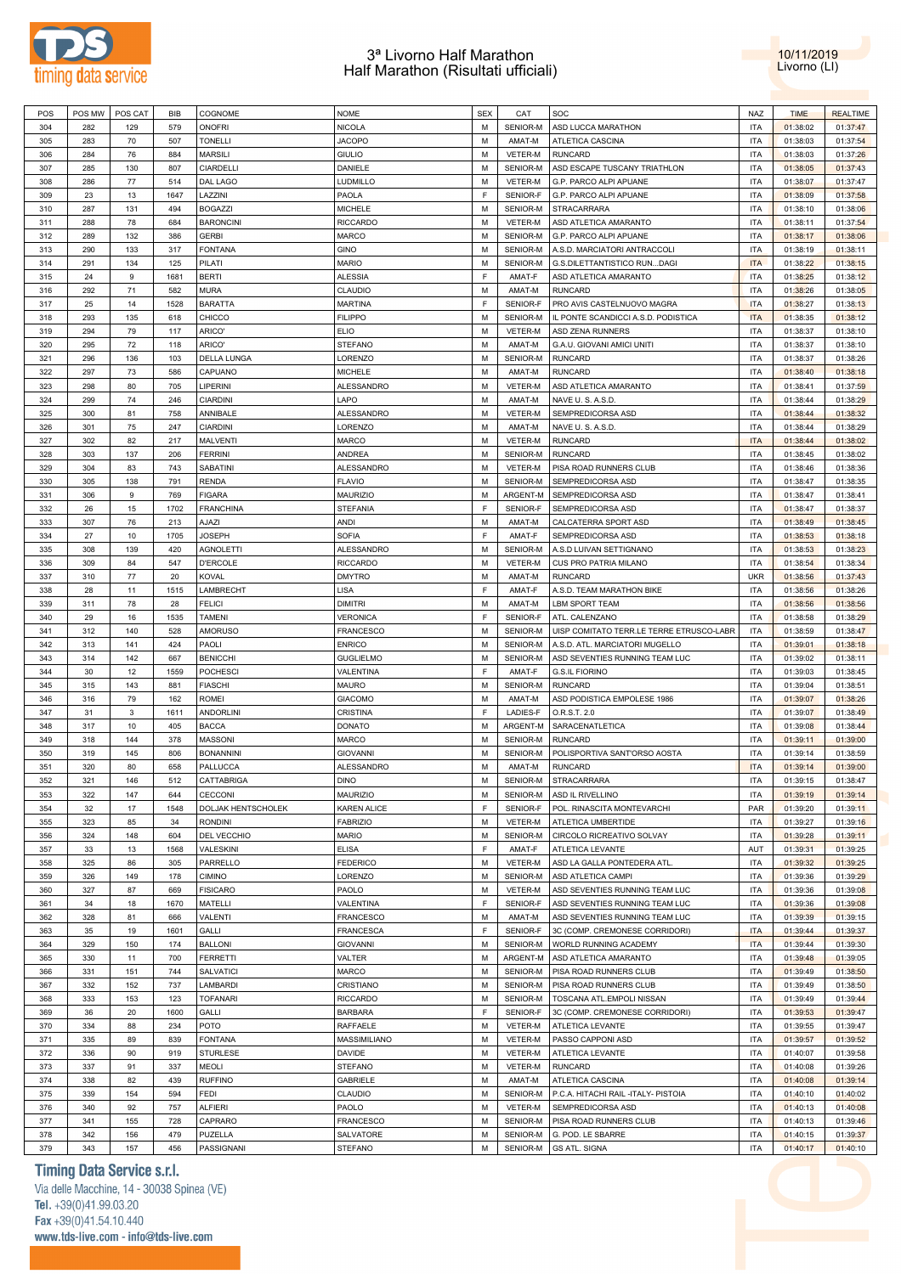



| POS | POS MW | POS CAT | <b>BIB</b> | COGNOME            | NOME             | <b>SEX</b> | CAT      | SOC                                      | <b>NAZ</b> | <b>TIME</b> | <b>REALTIME</b> |
|-----|--------|---------|------------|--------------------|------------------|------------|----------|------------------------------------------|------------|-------------|-----------------|
| 304 | 282    | 129     | 579        | <b>ONOFRI</b>      | <b>NICOLA</b>    | М          | SENIOR-M | ASD LUCCA MARATHON                       | <b>ITA</b> | 01:38:02    | 01:37:47        |
|     |        |         |            |                    |                  |            |          |                                          |            |             |                 |
| 305 | 283    | 70      | 507        | <b>TONELLI</b>     | <b>JACOPO</b>    | М          | AMAT-M   | ATLETICA CASCINA                         | ITA        | 01:38:03    | 01:37:54        |
| 306 | 284    | 76      | 884        | <b>MARSILI</b>     | <b>GIULIO</b>    | М          | VETER-M  | <b>RUNCARD</b>                           | <b>ITA</b> | 01:38:03    | 01:37:26        |
| 307 | 285    | 130     | 807        | CIARDELLI          | DANIELE          | М          | SENIOR-M | ASD ESCAPE TUSCANY TRIATHLON             | ITA        | 01:38:05    | 01:37:43        |
| 308 | 286    | 77      | 514        | DAL LAGO           | LUDMILLO         | M          | VETER-M  | G.P. PARCO ALPI APUANE                   | <b>ITA</b> | 01:38:07    | 01:37:47        |
| 309 | 23     | 13      | 1647       | LAZZINI            | PAOLA            | F          | SENIOR-F | G.P. PARCO ALPI APUANE                   | ITA        | 01:38:09    | 01:37:58        |
| 310 | 287    | 131     | 494        | <b>BOGAZZI</b>     | <b>MICHELE</b>   | М          | SENIOR-M | STRACARRARA                              | <b>ITA</b> | 01:38:10    | 01:38:06        |
| 311 | 288    | 78      | 684        | <b>BARONCINI</b>   | <b>RICCARDO</b>  | M          | VETER-M  | ASD ATLETICA AMARANTO                    | ITA        | 01:38:11    | 01:37:54        |
| 312 | 289    | 132     | 386        | <b>GERBI</b>       | <b>MARCO</b>     | M          | SENIOR-M | G.P. PARCO ALPI APUANE                   | <b>ITA</b> | 01:38:17    | 01:38:06        |
| 313 | 290    | 133     | 317        | <b>FONTANA</b>     | <b>GINO</b>      | M          | SENIOR-M | A.S.D. MARCIATORI ANTRACCOLI             | <b>ITA</b> | 01:38:19    | 01:38:11        |
| 314 | 291    | 134     | 125        | PILATI             | <b>MARIO</b>     | M          | SENIOR-M |                                          | <b>ITA</b> | 01:38:22    | 01:38:15        |
|     |        |         |            |                    |                  |            |          | G.S.DILETTANTISTICO RUNDAGI              |            |             |                 |
| 315 | 24     | 9       | 1681       | <b>BERTI</b>       | <b>ALESSIA</b>   | F          | AMAT-F   | ASD ATLETICA AMARANTO                    | <b>ITA</b> | 01:38:25    | 01:38:12        |
| 316 | 292    | 71      | 582        | <b>MURA</b>        | CLAUDIO          | M          | AMAT-M   | <b>RUNCARD</b>                           | <b>ITA</b> | 01:38:26    | 01:38:05        |
| 317 | 25     | 14      | 1528       | <b>BARATTA</b>     | <b>MARTINA</b>   | F          | SENIOR-F | PRO AVIS CASTELNUOVO MAGRA               | <b>ITA</b> | 01:38:27    | 01:38:13        |
| 318 | 293    | 135     | 618        | CHICCO             | <b>FILIPPO</b>   | М          | SENIOR-M | IL PONTE SCANDICCI A.S.D. PODISTICA      | <b>ITA</b> | 01:38:35    | 01:38:12        |
| 319 | 294    | 79      | 117        | ARICO'             | <b>ELIO</b>      | M          | VETER-M  | ASD ZENA RUNNERS                         | ITA        | 01:38:37    | 01:38:10        |
| 320 | 295    | 72      | 118        | ARICO'             | STEFANO          | M          | AMAT-M   | G.A.U. GIOVANI AMICI UNITI               | <b>ITA</b> | 01:38:37    | 01:38:10        |
| 321 | 296    | 136     | 103        | DELLA LUNGA        | LORENZO          | М          | SENIOR-M | <b>RUNCARD</b>                           | ITA        | 01:38:37    | 01:38:26        |
| 322 | 297    | 73      | 586        | CAPUANO            | <b>MICHELE</b>   | M          | AMAT-M   | <b>RUNCARD</b>                           | <b>ITA</b> | 01:38:40    | 01:38:18        |
| 323 | 298    | 80      | 705        | LIPERINI           | ALESSANDRO       | M          | VETER-M  | ASD ATLETICA AMARANTO                    | ITA        | 01:38:41    | 01:37:59        |
|     |        |         |            |                    |                  |            |          |                                          |            |             |                 |
| 324 | 299    | 74      | 246        | <b>CIARDINI</b>    | LAPO             | M          | AMAT-M   | NAVE U.S.A.S.D.                          | <b>ITA</b> | 01:38:44    | 01:38:29        |
| 325 | 300    | 81      | 758        | ANNIBALE           | ALESSANDRO       | M          | VETER-M  | SEMPREDICORSA ASD                        | ITA        | 01:38:44    | 01:38:32        |
| 326 | 301    | 75      | 247        | <b>CIARDINI</b>    | LORENZO          | M          | AMAT-M   | NAVE U.S.A.S.D.                          | <b>ITA</b> | 01:38:44    | 01:38:29        |
| 327 | 302    | 82      | 217        | MALVENTI           | <b>MARCO</b>     | M          | VETER-M  | <b>RUNCARD</b>                           | <b>ITA</b> | 01:38:44    | 01:38:02        |
| 328 | 303    | 137     | 206        | <b>FERRINI</b>     | <b>ANDREA</b>    | M          | SENIOR-M | <b>RUNCARD</b>                           | <b>ITA</b> | 01:38:45    | 01:38:02        |
| 329 | 304    | 83      | 743        | SABATINI           | ALESSANDRO       | М          | VETER-M  | PISA ROAD RUNNERS CLUB                   | ITA        | 01:38:46    | 01:38:36        |
| 330 | 305    | 138     | 791        | <b>RENDA</b>       | <b>FLAVIO</b>    | M          | SENIOR-M | SEMPREDICORSA ASD                        | <b>ITA</b> | 01:38:47    | 01:38:35        |
| 331 | 306    | 9       | 769        | <b>FIGARA</b>      | <b>MAURIZIO</b>  | М          | ARGENT-M | SEMPREDICORSA ASD                        | ITA        | 01:38:47    | 01:38:41        |
| 332 | 26     | 15      | 1702       | <b>FRANCHINA</b>   | STEFANIA         | F          | SENIOR-F | SEMPREDICORSA ASD                        | <b>ITA</b> | 01:38:47    | 01:38:37        |
| 333 | 307    |         |            |                    |                  | М          |          |                                          |            |             |                 |
|     |        | 76      | 213        | AJAZI              | ANDI             |            | AMAT-M   | CALCATERRA SPORT ASD                     | ITA        | 01:38:49    | 01:38:45        |
| 334 | 27     | 10      | 1705       | <b>JOSEPH</b>      | <b>SOFIA</b>     | F          | AMAT-F   | SEMPREDICORSA ASD                        | <b>ITA</b> | 01:38:53    | 01:38:18        |
| 335 | 308    | 139     | 420        | <b>AGNOLETTI</b>   | ALESSANDRO       | М          | SENIOR-M | A.S.D LUIVAN SETTIGNANO                  | ITA        | 01:38:53    | 01:38:23        |
| 336 | 309    | 84      | 547        | <b>D'ERCOLE</b>    | <b>RICCARDO</b>  | M          | VETER-M  | CUS PRO PATRIA MILANO                    | <b>ITA</b> | 01:38:54    | 01:38:34        |
| 337 | 310    | 77      | 20         | <b>KOVAL</b>       | <b>DMYTRO</b>    | М          | AMAT-M   | <b>RUNCARD</b>                           | <b>UKR</b> | 01:38:56    | 01:37:43        |
| 338 | 28     | 11      | 1515       | LAMBRECHT          | LISA             | F          | AMAT-F   | A.S.D. TEAM MARATHON BIKE                | <b>ITA</b> | 01:38:56    | 01:38:26        |
| 339 | 311    | 78      | 28         | <b>FELICI</b>      | <b>DIMITRI</b>   | М          | AMAT-M   | LBM SPORT TEAM                           | <b>ITA</b> | 01:38:56    | 01:38:56        |
| 340 | 29     | 16      | 1535       | <b>TAMENI</b>      | <b>VERONICA</b>  | F          | SENIOR-F | ATL. CALENZANO                           | <b>ITA</b> | 01:38:58    | 01:38:29        |
| 341 | 312    | 140     | 528        | <b>AMORUSO</b>     | FRANCESCO        | М          | SENIOR-M | UISP COMITATO TERR.LE TERRE ETRUSCO-LABR | <b>ITA</b> | 01:38:59    | 01:38:47        |
| 342 | 313    | 141     | 424        | PAOLI              | <b>ENRICO</b>    | М          | SENIOR-M | A.S.D. ATL. MARCIATORI MUGELLO           | <b>ITA</b> | 01:39:01    | 01:38:18        |
|     |        |         |            |                    |                  |            |          |                                          |            |             |                 |
| 343 | 314    | 142     | 667        | <b>BENICCHI</b>    | <b>GUGLIELMO</b> | М          | SENIOR-M | ASD SEVENTIES RUNNING TEAM LUC           | ITA        | 01:39:02    | 01:38:11        |
| 344 | 30     | 12      | 1559       | <b>POCHESCI</b>    | VALENTINA        | F          | AMAT-F   | <b>G.S.IL FIORINO</b>                    | <b>ITA</b> | 01:39:03    | 01:38:45        |
| 345 | 315    | 143     | 881        | <b>FIASCHI</b>     | <b>MAURO</b>     | М          | SENIOR-M | <b>RUNCARD</b>                           | ITA        | 01:39:04    | 01:38:51        |
| 346 | 316    | 79      | 162        | <b>ROMEI</b>       | <b>GIACOMO</b>   | М          | AMAT-M   | ASD PODISTICA EMPOLESE 1986              | <b>ITA</b> | 01:39:07    | 01:38:26        |
| 347 | 31     | 3       | 1611       | <b>ANDORLINI</b>   | CRISTINA         | F          | LADIES-F | O.R.S.T. 2.0                             | ITA        | 01:39:07    | 01:38:49        |
| 348 | 317    | 10      | 405        | <b>BACCA</b>       | DONATO           | М          | ARGENT-M | SARACENATLETICA                          | <b>ITA</b> | 01:39:08    | 01:38:44        |
| 349 | 318    | 144     | 378        | <b>MASSONI</b>     | MARCO            | м          | SENIOR-M | <b>RUNCARD</b>                           | ITA        | 01:39:11    | 01:39:00        |
| 350 | 319    | 145     | 806        | <b>BONANNINI</b>   | <b>GIOVANNI</b>  | М          | SENIOR-M | POLISPORTIVA SANT'ORSO AOSTA             | <b>ITA</b> | 01:39:14    | 01:38:59        |
| 351 | 320    | 80      | 658        | PALLUCCA           | ALESSANDRO       | М          | AMAT-M   | RUNCARD                                  | <b>ITA</b> | 01:39:14    | 01:39:00        |
| 352 | 321    | 146     | 512        | <b>CATTABRIGA</b>  |                  | М          |          | SENIOR-M STRACARRARA                     | <b>ITA</b> | 01:39:15    | 01:38:47        |
|     |        |         |            |                    | <b>DINO</b>      |            |          |                                          |            |             |                 |
| 353 | 322    | 147     | 644        | <b>CECCONI</b>     | <b>MAURIZIO</b>  | М          | SENIOR-M | ASD IL RIVELLINO                         | ITA        | 01:39:19    | 01:39:14        |
| 354 | 32     | 17      | 1548       | DOLJAK HENTSCHOLEK | KAREN ALICE      | F          | SENIOR-F | POL. RINASCITA MONTEVARCHI               | PAR        | 01:39:20    | 01:39:11        |
| 355 | 323    | 85      | 34         | <b>RONDINI</b>     | <b>FABRIZIO</b>  | М          | VETER-M  | ATLETICA UMBERTIDE                       | ITA        | 01:39:27    | 01:39:16        |
| 356 | 324    | 148     | 604        | DEL VECCHIO        | <b>MARIO</b>     | M          | SENIOR-M | CIRCOLO RICREATIVO SOLVAY                | <b>ITA</b> | 01:39:28    | 01:39:11        |
| 357 | 33     | 13      | 1568       | VALESKINI          | <b>ELISA</b>     | F          | AMAT-F   | ATLETICA LEVANTE                         | AUT        | 01:39:31    | 01:39:25        |
| 358 | 325    | 86      | 305        | PARRELLO           | <b>FEDERICO</b>  | M          | VETER-M  | ASD LA GALLA PONTEDERA ATL.              | <b>ITA</b> | 01:39:32    | 01:39:25        |
| 359 | 326    | 149     | 178        | <b>CIMINO</b>      | LORENZO          | М          | SENIOR-M | ASD ATLETICA CAMPI                       | <b>ITA</b> | 01:39:36    | 01:39:29        |
| 360 | 327    | 87      | 669        | <b>FISICARO</b>    | PAOLO            | M          | VETER-M  | ASD SEVENTIES RUNNING TEAM LUC           | <b>ITA</b> | 01:39:36    | 01:39:08        |
| 361 | 34     | 18      |            | MATELLI            | VALENTINA        | F          | SENIOR-F | ASD SEVENTIES RUNNING TEAM LUC           | <b>ITA</b> |             |                 |
|     |        |         | 1670       |                    |                  |            |          |                                          |            | 01:39:36    | 01:39:08        |
| 362 | 328    | 81      | 666        | VALENTI            | FRANCESCO        | M          | AMAT-M   | ASD SEVENTIES RUNNING TEAM LUC           | <b>ITA</b> | 01:39:39    | 01:39:15        |
| 363 | 35     | 19      | 1601       | GALLI              | FRANCESCA        | F          | SENIOR-F | 3C (COMP. CREMONESE CORRIDORI)           | <b>ITA</b> | 01:39:44    | 01:39:37        |
| 364 | 329    | 150     | 174        | <b>BALLONI</b>     | <b>GIOVANNI</b>  | M          | SENIOR-M | WORLD RUNNING ACADEMY                    | <b>ITA</b> | 01:39:44    | 01:39:30        |
| 365 | 330    | 11      | 700        | <b>FERRETTI</b>    | VALTER           | М          | ARGENT-M | ASD ATLETICA AMARANTO                    | <b>ITA</b> | 01:39:48    | 01:39:05        |
| 366 | 331    | 151     | 744        | SALVATICI          | MARCO            | M          | SENIOR-M | PISA ROAD RUNNERS CLUB                   | <b>ITA</b> | 01:39:49    | 01:38:50        |
| 367 | 332    | 152     | 737        | LAMBARDI           | CRISTIANO        | М          | SENIOR-M | PISA ROAD RUNNERS CLUB                   | ITA        | 01:39:49    | 01:38:50        |
| 368 | 333    | 153     | 123        | <b>TOFANARI</b>    | <b>RICCARDO</b>  | M          | SENIOR-M | TOSCANA ATL.EMPOLI NISSAN                | <b>ITA</b> | 01:39:49    | 01:39:44        |
| 369 | 36     | 20      | 1600       | GALLI              | BARBARA          | F          | SENIOR-F | 3C (COMP. CREMONESE CORRIDORI)           | ITA        | 01:39:53    | 01:39:47        |
| 370 | 334    | 88      | 234        | POTO               | RAFFAELE         | М          | VETER-M  | ATLETICA LEVANTE                         | <b>ITA</b> | 01:39:55    | 01:39:47        |
|     |        |         |            |                    |                  |            |          |                                          |            |             |                 |
| 371 | 335    | 89      | 839        | <b>FONTANA</b>     | MASSIMILIANO     | М          | VETER-M  | PASSO CAPPONI ASD                        | <b>ITA</b> | 01:39:57    | 01:39:52        |
| 372 | 336    | 90      | 919        | <b>STURLESE</b>    | DAVIDE           | M          | VETER-M  | ATLETICA LEVANTE                         | ITA        | 01:40:07    | 01:39:58        |
| 373 | 337    | 91      | 337        | MEOLI              | <b>STEFANO</b>   | М          | VETER-M  | <b>RUNCARD</b>                           | <b>ITA</b> | 01:40:08    | 01:39:26        |
| 374 | 338    | 82      | 439        | <b>RUFFINO</b>     | <b>GABRIELE</b>  | M          | AMAT-M   | ATLETICA CASCINA                         | <b>ITA</b> | 01:40:08    | 01:39:14        |
| 375 | 339    | 154     | 594        | <b>FEDI</b>        | CLAUDIO          | М          | SENIOR-M | P.C.A. HITACHI RAIL -ITALY- PISTOIA      | <b>ITA</b> | 01:40:10    | 01:40:02        |
| 376 | 340    | 92      | 757        | <b>ALFIERI</b>     | PAOLO            | M          | VETER-M  | SEMPREDICORSA ASD                        | <b>ITA</b> | 01:40:13    | 01:40:08        |
| 377 | 341    | 155     | 728        | CAPRARO            | FRANCESCO        | М          | SENIOR-M | PISA ROAD RUNNERS CLUB                   | ITA        | 01:40:13    | 01:39:46        |
| 378 | 342    | 156     | 479        | PUZELLA            | SALVATORE        | М          | SENIOR-M | G. POD. LE SBARRE                        | <b>ITA</b> | 01:40:15    | 01:39:37        |
|     |        |         |            |                    |                  |            |          |                                          |            |             |                 |
| 379 | 343    | 157     | 456        | PASSIGNANI         | STEFANO          | М          | SENIOR-M | <b>GS ATL. SIGNA</b>                     | ITA        | 01:40:17    | 01:40:10        |

# **Timing Data Service s.r.l.**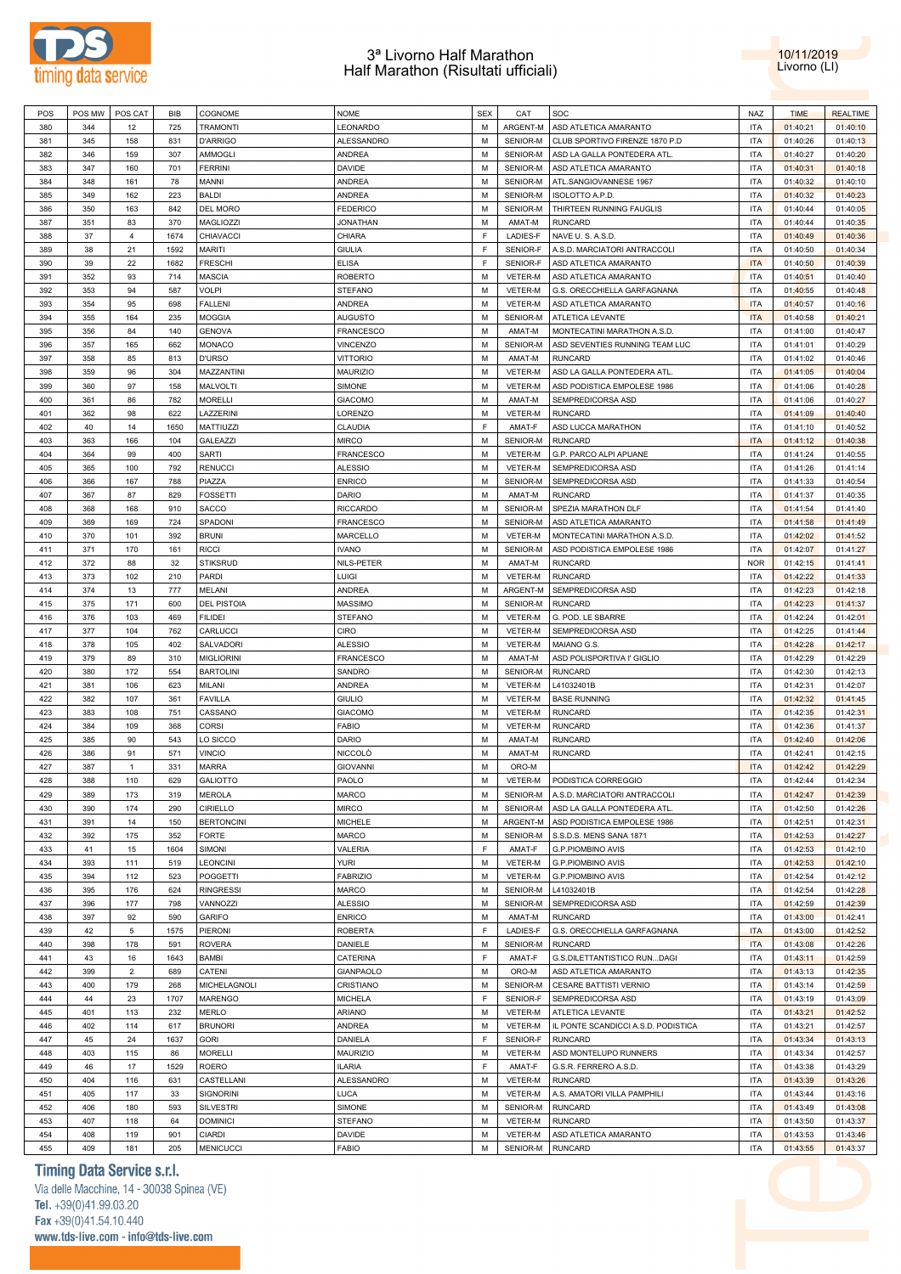



| POS | POS MW | POS CAT        | BIB  | COGNOME            | <b>NOME</b>      | <b>SEX</b> | CAT      | SOC                                 | <b>NAZ</b> | <b>TIME</b> | <b>REALTIME</b> |
|-----|--------|----------------|------|--------------------|------------------|------------|----------|-------------------------------------|------------|-------------|-----------------|
| 380 | 344    | 12             | 725  | <b>TRAMONTI</b>    | LEONARDO         | M          | ARGENT-M | ASD ATLETICA AMARANTO               | <b>ITA</b> | 01:40:21    | 01:40:10        |
| 381 | 345    | 158            | 831  | <b>D'ARRIGO</b>    | ALESSANDRO       | М          | SENIOR-M | CLUB SPORTIVO FIRENZE 1870 P.D      | <b>ITA</b> | 01:40:26    | 01:40:13        |
| 382 | 346    | 159            | 307  | AMMOGLI            | <b>ANDREA</b>    | М          | SENIOR-M | ASD LA GALLA PONTEDERA ATL          | <b>ITA</b> | 01:40:27    | 01:40:20        |
|     |        |                |      |                    |                  |            |          |                                     |            |             |                 |
| 383 | 347    | 160            | 701  | <b>FERRINI</b>     | DAVIDE           | М          | SENIOR-M | ASD ATLETICA AMARANTO               | <b>ITA</b> | 01:40:31    | 01:40:18        |
| 384 | 348    | 161            | 78   | MANNI              | <b>ANDREA</b>    | M          | SENIOR-M | ATL.SANGIOVANNESE 1967              | <b>ITA</b> | 01:40:32    | 01:40:10        |
| 385 | 349    | 162            | 223  | <b>BALDI</b>       | <b>ANDREA</b>    | М          | SENIOR-M | ISOLOTTO A.P.D.                     | <b>ITA</b> | 01:40:32    | 01:40:23        |
| 386 | 350    | 163            | 842  | DEL MORO           | <b>FEDERICO</b>  | М          | SENIOR-M | THIRTEEN RUNNING FAUGLIS            | <b>ITA</b> | 01:40:44    | 01:40:05        |
| 387 | 351    | 83             | 370  | MAGLIOZZI          | <b>JONATHAN</b>  | М          | AMAT-M   | <b>RUNCARD</b>                      | <b>ITA</b> | 01:40:44    | 01:40:35        |
|     |        |                |      |                    |                  | F          |          |                                     |            |             |                 |
| 388 | 37     | $\overline{4}$ | 1674 | CHIAVACCI          | CHIARA           |            | LADIES-F | NAVE U.S.A.S.D.                     | <b>ITA</b> | 01:40:49    | 01:40:36        |
| 389 | 38     | 21             | 1592 | <b>MARITI</b>      | <b>GIULIA</b>    | F          | SENIOR-F | A.S.D. MARCIATORI ANTRACCOLI        | <b>ITA</b> | 01:40:50    | 01:40:34        |
| 390 | 39     | 22             | 1682 | <b>FRESCHI</b>     | <b>ELISA</b>     | F          | SENIOR-F | ASD ATLETICA AMARANTO               | <b>ITA</b> | 01:40:50    | 01:40:39        |
| 391 | 352    | 93             | 714  | <b>MASCIA</b>      | <b>ROBERTO</b>   | M          | VETER-M  | ASD ATLETICA AMARANTO               | <b>ITA</b> | 01:40:51    | 01:40:40        |
| 392 | 353    | 94             | 587  | <b>VOLPI</b>       | <b>STEFANO</b>   | M          | VETER-M  | G.S. ORECCHIELLA GARFAGNANA         | <b>ITA</b> | 01:40:55    | 01:40:48        |
| 393 | 354    | 95             | 698  | <b>FALLENI</b>     | <b>ANDREA</b>    | M          | VETER-M  | ASD ATLETICA AMARANTO               | <b>ITA</b> | 01:40:57    | 01:40:16        |
|     |        |                |      |                    |                  |            |          |                                     |            |             |                 |
| 394 | 355    | 164            | 235  | <b>MOGGIA</b>      | <b>AUGUSTO</b>   | M          | SENIOR-M | ATLETICA LEVANTE                    | <b>ITA</b> | 01:40:58    | 01:40:21        |
| 395 | 356    | 84             | 140  | <b>GENOVA</b>      | <b>FRANCESCO</b> | M          | AMAT-M   | MONTECATINI MARATHON A.S.D.         | <b>ITA</b> | 01:41:00    | 01:40:47        |
| 396 | 357    | 165            | 662  | <b>MONACO</b>      | VINCENZO         | M          | SENIOR-M | ASD SEVENTIES RUNNING TEAM LUC      | <b>ITA</b> | 01:41:01    | 01:40:29        |
| 397 | 358    | 85             | 813  | <b>D'URSO</b>      | <b>VITTORIO</b>  | М          | AMAT-M   | <b>RUNCARD</b>                      | <b>ITA</b> | 01:41:02    | 01:40:46        |
| 398 | 359    | 96             | 304  | MAZZANTINI         | <b>MAURIZIO</b>  | М          | VETER-M  | ASD LA GALLA PONTEDERA ATL          | <b>ITA</b> | 01:41:05    | 01:40:04        |
|     |        |                |      |                    |                  |            |          |                                     |            |             |                 |
| 399 | 360    | 97             | 158  | MALVOLTI           | SIMONE           | М          | VETER-M  | ASD PODISTICA EMPOLESE 1986         | <b>ITA</b> | 01:41:06    | 01:40:28        |
| 400 | 361    | 86             | 782  | <b>MORELLI</b>     | <b>GIACOMO</b>   | М          | AMAT-M   | SEMPREDICORSA ASD                   | <b>ITA</b> | 01:41:06    | 01:40:27        |
| 401 | 362    | 98             | 622  | LAZZERINI          | LORENZO          | М          | VETER-M  | <b>RUNCARD</b>                      | <b>ITA</b> | 01:41:09    | 01:40:40        |
| 402 | 40     | 14             | 1650 | MATTIUZZI          | CLAUDIA          | F          | AMAT-F   | ASD LUCCA MARATHON                  | <b>ITA</b> | 01:41:10    | 01:40:52        |
| 403 | 363    | 166            | 104  | <b>GALEAZZI</b>    | <b>MIRCO</b>     | М          | SENIOR-M | <b>RUNCARD</b>                      | <b>ITA</b> | 01:41:12    | 01:40:38        |
| 404 | 364    | 99             | 400  | <b>SARTI</b>       | <b>FRANCESCO</b> | М          | VETER-M  | G.P. PARCO ALPI APUANE              | <b>ITA</b> | 01:41:24    | 01:40:55        |
|     |        |                |      |                    |                  |            |          |                                     |            |             |                 |
| 405 | 365    | 100            | 792  | <b>RENUCCI</b>     | <b>ALESSIO</b>   | M          | VETER-M  | SEMPREDICORSA ASD                   | <b>ITA</b> | 01:41:26    | 01:41:14        |
| 406 | 366    | 167            | 788  | PIAZZA             | <b>ENRICO</b>    | M          | SENIOR-M | SEMPREDICORSA ASD                   | <b>ITA</b> | 01:41:33    | 01:40:54        |
| 407 | 367    | 87             | 829  | <b>FOSSETTI</b>    | <b>DARIO</b>     | M          | AMAT-M   | <b>RUNCARD</b>                      | <b>ITA</b> | 01:41:37    | 01:40:35        |
| 408 | 368    | 168            | 910  | SACCO              | <b>RICCARDO</b>  | M          | SENIOR-M | SPEZIA MARATHON DLF                 | <b>ITA</b> | 01:41:54    | 01:41:40        |
| 409 | 369    | 169            | 724  | SPADONI            | <b>FRANCESCO</b> | М          | SENIOR-M | ASD ATLETICA AMARANTO               | <b>ITA</b> | 01:41:58    | 01:41:49        |
|     |        |                |      |                    |                  |            |          |                                     |            |             |                 |
| 410 | 370    | 101            | 392  | <b>BRUNI</b>       | MARCELLO         | M          | VETER-M  | MONTECATINI MARATHON A.S.D.         | <b>ITA</b> | 01:42:02    | 01:41:52        |
| 411 | 371    | 170            | 161  | <b>RICCI</b>       | <b>IVANO</b>     | М          | SENIOR-M | ASD PODISTICA EMPOLESE 1986         | <b>ITA</b> | 01:42:07    | 01:41:27        |
| 412 | 372    | 88             | 32   | <b>STIKSRUD</b>    | NILS-PETER       | М          | AMAT-M   | <b>RUNCARD</b>                      | <b>NOR</b> | 01:42:15    | 01:41:41        |
| 413 | 373    | 102            | 210  | PARDI              | <b>LUIGI</b>     | М          | VETER-M  | <b>RUNCARD</b>                      | <b>ITA</b> | 01:42:22    | 01:41:33        |
| 414 | 374    | 13             | 777  | <b>MELANI</b>      | ANDREA           | М          | ARGENT-M | SEMPREDICORSA ASD                   | <b>ITA</b> | 01:42:23    | 01:42:18        |
|     |        |                |      |                    |                  |            |          |                                     |            |             |                 |
| 415 | 375    | 171            | 600  | <b>DEL PISTOIA</b> | <b>MASSIMO</b>   | М          | SENIOR-M | <b>RUNCARD</b>                      | <b>ITA</b> | 01:42:23    | 01:41:37        |
| 416 | 376    | 103            | 469  | <b>FILIDEI</b>     | <b>STEFANO</b>   | М          | VETER-M  | G. POD. LE SBARRE                   | <b>ITA</b> | 01:42:24    | 01:42:01        |
| 417 | 377    | 104            | 762  | CARLUCCI           | CIRO             | М          | VETER-M  | SEMPREDICORSA ASD                   | <b>ITA</b> | 01:42:25    | 01:41:44        |
| 418 | 378    | 105            | 402  | SALVADORI          | <b>ALESSIO</b>   | М          | VETER-M  | MAIANO G.S.                         | <b>ITA</b> | 01:42:28    | 01:42:17        |
| 419 | 379    | 89             | 310  | <b>MIGLIORINI</b>  | <b>FRANCESCO</b> | M          | AMAT-M   | ASD POLISPORTIVA I' GIGLIO          | <b>ITA</b> | 01:42:29    | 01:42:29        |
| 420 | 380    | 172            | 554  | <b>BARTOLINI</b>   | SANDRO           | M          | SENIOR-M | <b>RUNCARD</b>                      | <b>ITA</b> | 01:42:30    | 01:42:13        |
|     |        |                |      |                    |                  |            |          |                                     |            |             |                 |
| 421 | 381    | 106            | 623  | MILANI             | <b>ANDREA</b>    | М          | VETER-M  | L41032401B                          | <b>ITA</b> | 01:42:31    | 01:42:07        |
| 422 | 382    | 107            | 361  | <b>FAVILLA</b>     | <b>GIULIO</b>    | М          | VETER-M  | <b>BASE RUNNING</b>                 | <b>ITA</b> | 01:42:32    | 01:41:45        |
| 423 | 383    | 108            | 751  | CASSANO            | <b>GIACOMO</b>   | М          | VETER-M  | <b>RUNCARD</b>                      | <b>ITA</b> | 01:42:35    | 01:42:31        |
| 424 | 384    | 109            | 368  | <b>CORSI</b>       | <b>FABIO</b>     | М          | VETER-M  | <b>RUNCARD</b>                      | <b>ITA</b> | 01:42:36    | 01:41:37        |
| 425 | 385    | 90             | 543  | LO SICCO           | DARIO            | М          | AMAT-M   | <b>RUNCARD</b>                      | <b>ITA</b> | 01:42:40    | 01:42:06        |
|     |        |                |      |                    |                  |            |          |                                     |            |             |                 |
| 426 | 386    | 91             | 571  | <b>VINCIO</b>      | <b>NICCOLO</b>   | М          | AMAT-M   | <b>RUNCARD</b>                      | <b>ITA</b> | 01:42:41    | 01:42:15        |
| 427 | 387    | $\mathbf{1}$   | 331  | <b>MARRA</b>       | <b>GIOVANNI</b>  | М          | ORO-M    |                                     | <b>ITA</b> | 01:42:42    | 01:42:29        |
| 428 | 388    | 110            | 629  | <b>GALIOTTO</b>    | PAOLO            | M          | VETER-M  | PODISTICA CORREGGIO                 | <b>ITA</b> | 01:42:44    | 01:42:34        |
| 429 | 389    | 173            | 319  | <b>MEROLA</b>      | <b>MARCO</b>     | М          | SENIOR-M | A.S.D. MARCIATORI ANTRACCOLI        | <b>ITA</b> | 01:42:47    | 01:42:39        |
| 430 | 390    | 174            | 290  | CIRIELLO           | <b>MIRCO</b>     | M          | SENIOR-M | ASD LA GALLA PONTEDERA ATL          | <b>ITA</b> | 01:42:50    | 01:42:26        |
| 431 | 391    | 14             | 150  | <b>BERTONCINI</b>  | <b>MICHELE</b>   | М          | ARGENT-M | ASD PODISTICA EMPOLESE 1986         | <b>ITA</b> | 01:42:51    | 01:42:31        |
|     |        |                |      |                    |                  |            |          |                                     |            |             |                 |
| 432 | 392    | 175            | 352  | <b>FORTE</b>       | MARCO            | M          | SENIOR-M | S.S.D.S. MENS SANA 1871             | <b>ITA</b> | 01:42:53    | 01:42:27        |
| 433 | 41     | 15             | 1604 | SIMONI             | VALERIA          | F          | AMAT-F   | <b>G.P.PIOMBINO AVIS</b>            | <b>ITA</b> | 01:42:53    | 01:42:10        |
| 434 | 393    | 111            | 519  | <b>LEONCINI</b>    | <b>YURI</b>      | M          | VETER-M  | G.P.PIOMBINO AVIS                   | <b>ITA</b> | 01:42:53    | 01:42:10        |
| 435 | 394    | 112            | 523  | <b>POGGETTI</b>    | <b>FABRIZIO</b>  | M          | VETER-M  | <b>G.P.PIOMBINO AVIS</b>            | <b>ITA</b> | 01:42:54    | 01:42:12        |
| 436 | 395    | 176            | 624  | <b>RINGRESSI</b>   | MARCO            | M          | SENIOR-M | L41032401B                          | <b>ITA</b> | 01:42:54    | 01:42:28        |
|     |        |                |      |                    |                  |            |          |                                     |            |             |                 |
| 437 | 396    | 177            | 798  | VANNOZZI           | <b>ALESSIO</b>   | М          | SENIOR-M | SEMPREDICORSA ASD                   | <b>ITA</b> | 01:42:59    | 01:42:39        |
| 438 | 397    | 92             | 590  | <b>GARIFO</b>      | <b>ENRICO</b>    | М          | AMAT-M   | <b>RUNCARD</b>                      | <b>ITA</b> | 01:43:00    | 01:42:41        |
| 439 | 42     | 5              | 1575 | PIERONI            | ROBERTA          | F          | LADIES-F | G.S. ORECCHIELLA GARFAGNANA         | <b>ITA</b> | 01:43:00    | 01:42:52        |
| 440 | 398    | 178            | 591  | <b>ROVERA</b>      | DANIELE          | М          | SENIOR-M | <b>RUNCARD</b>                      | <b>ITA</b> | 01:43:08    | 01:42:26        |
| 441 | 43     | 16             | 1643 | BAMBI              | CATERINA         | F          | AMAT-F   | G.S.DILETTANTISTICO RUNDAGI         | <b>ITA</b> | 01:43:11    | 01:42:59        |
|     |        |                |      |                    |                  |            |          |                                     |            |             |                 |
| 442 | 399    | $\overline{2}$ | 689  | CATENI             | GIANPAOLO        | M          | ORO-M    | ASD ATLETICA AMARANTO               | <b>ITA</b> | 01:43:13    | 01:42:35        |
| 443 | 400    | 179            | 268  | MICHELAGNOLI       | CRISTIANO        | М          | SENIOR-M | CESARE BATTISTI VERNIO              | <b>ITA</b> | 01:43:14    | 01:42:59        |
| 444 | 44     | 23             | 1707 | <b>MARENGO</b>     | <b>MICHELA</b>   | F          | SENIOR-F | SEMPREDICORSA ASD                   | <b>ITA</b> | 01:43:19    | 01:43:09        |
| 445 | 401    | 113            | 232  | MERLO              | ARIANO           | М          | VETER-M  | ATLETICA LEVANTE                    | <b>ITA</b> | 01:43:21    | 01:42:52        |
| 446 | 402    | 114            | 617  | <b>BRUNORI</b>     | <b>ANDREA</b>    | M          | VETER-M  | IL PONTE SCANDICCI A.S.D. PODISTICA | <b>ITA</b> | 01:43:21    | 01:42:57        |
| 447 | 45     | 24             |      | <b>GORI</b>        |                  | F          |          |                                     |            |             |                 |
|     |        |                | 1637 |                    | DANIELA          |            | SENIOR-F | <b>RUNCARD</b>                      | <b>ITA</b> | 01:43:34    | 01:43:13        |
| 448 | 403    | 115            | 86   | <b>MORELLI</b>     | <b>MAURIZIO</b>  | М          | VETER-M  | ASD MONTELUPO RUNNERS               | <b>ITA</b> | 01:43:34    | 01:42:57        |
| 449 | 46     | 17             | 1529 | <b>ROERO</b>       | <b>ILARIA</b>    | F          | AMAT-F   | G.S.R. FERRERO A.S.D.               | <b>ITA</b> | 01:43:38    | 01:43:29        |
| 450 | 404    | 116            | 631  | CASTELLANI         | ALESSANDRO       | М          | VETER-M  | <b>RUNCARD</b>                      | <b>ITA</b> | 01:43:39    | 01:43:26        |
| 451 | 405    | 117            | 33   | SIGNORINI          | <b>LUCA</b>      | М          | VETER-M  | A.S. AMATORI VILLA PAMPHILI         | <b>ITA</b> | 01:43:44    | 01:43:16        |
| 452 | 406    | 180            | 593  | <b>SILVESTRI</b>   | SIMONE           | М          | SENIOR-M | <b>RUNCARD</b>                      | <b>ITA</b> | 01:43:49    | 01:43:08        |
|     |        |                |      |                    |                  |            |          |                                     |            |             |                 |
| 453 | 407    | 118            | 64   | <b>DOMINICI</b>    | <b>STEFANO</b>   | М          | VETER-M  | <b>RUNCARD</b>                      | <b>ITA</b> | 01:43:50    | 01:43:37        |
| 454 | 408    | 119            | 901  | <b>CIARDI</b>      | DAVIDE           | М          | VETER-M  | ASD ATLETICA AMARANTO               | <b>ITA</b> | 01:43:53    | 01:43:46        |
| 455 | 409    | 181            | 205  | <b>MENICUCCI</b>   | <b>FABIO</b>     | М          | SENIOR-M | <b>RUNCARD</b>                      | <b>ITA</b> | 01:43:55    | 01:43:37        |

# **Timing Data Service s.r.l.**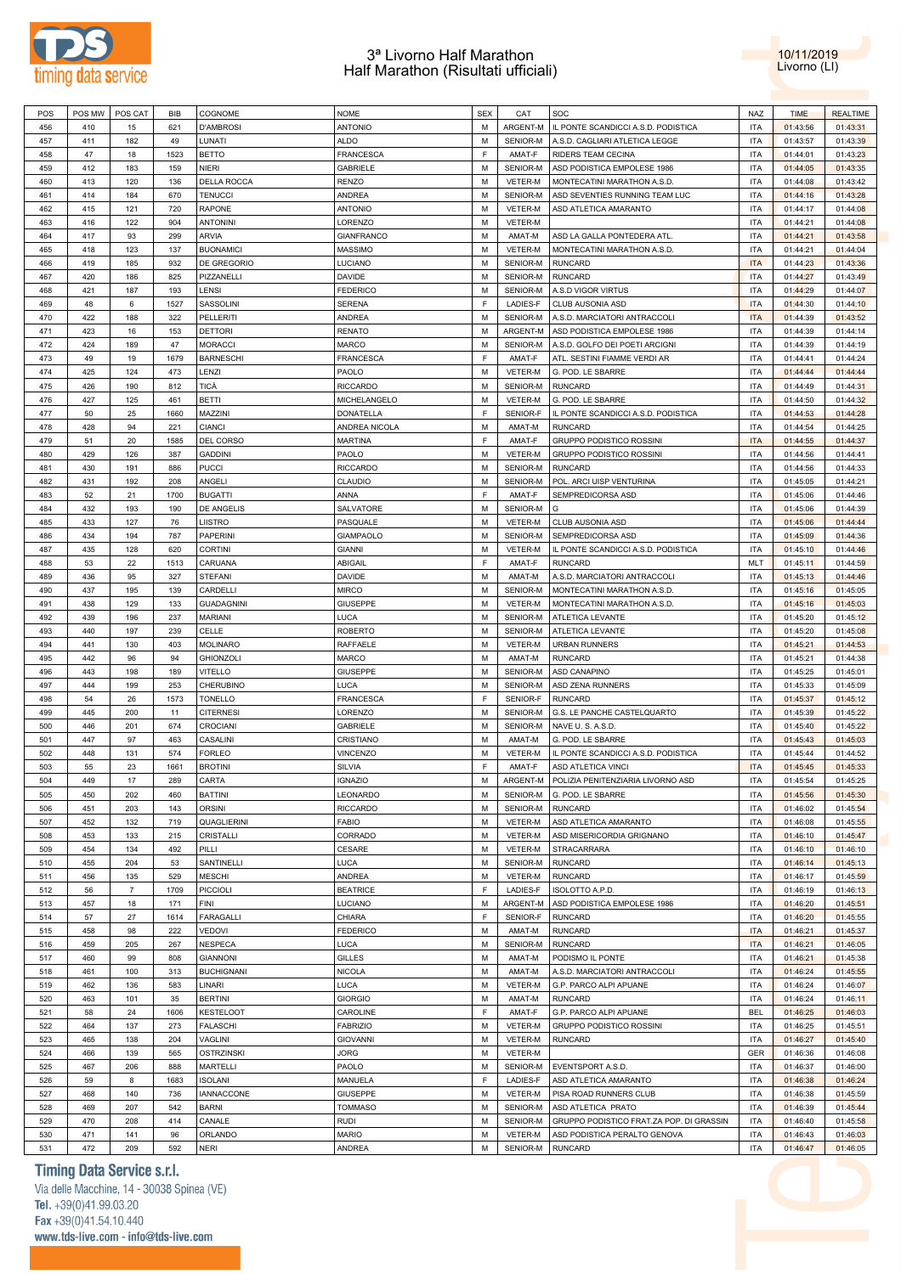



| POS | POS MW | POS CAT        | <b>BIB</b> | COGNOME            | <b>NOME</b>       | <b>SEX</b> | CAT              | SOC                                        | <b>NAZ</b> | <b>TIME</b> | <b>REALTIME</b> |
|-----|--------|----------------|------------|--------------------|-------------------|------------|------------------|--------------------------------------------|------------|-------------|-----------------|
| 456 | 410    | 15             | 621        | <b>D'AMBROSI</b>   | <b>ANTONIO</b>    | M          | ARGENT-M         | IL PONTE SCANDICCI A.S.D. PODISTICA        | ITA        | 01:43:56    | 01:43:31        |
|     |        |                |            |                    |                   |            |                  |                                            |            |             |                 |
| 457 | 411    | 182            | 49         | LUNATI             | <b>ALDO</b>       | M          | SENIOR-M         | A.S.D. CAGLIARI ATLETICA LEGGE             | ITA        | 01:43:57    | 01:43:39        |
| 458 | 47     | 18             | 1523       | <b>BETTO</b>       | FRANCESCA         | E          | AMAT-F           | <b>RIDERS TEAM CECINA</b>                  | ITA        | 01:44:01    | 01:43:23        |
| 459 | 412    | 183            | 159        | <b>NIERI</b>       | <b>GABRIELE</b>   | M          | SENIOR-M         | ASD PODISTICA EMPOLESE 1986                | <b>ITA</b> | 01:44:05    | 01:43:35        |
| 460 | 413    | 120            | 136        | <b>DELLA ROCCA</b> | <b>RENZO</b>      | M          | VETER-M          | MONTECATINI MARATHON A.S.D.                | <b>ITA</b> | 01:44:08    | 01:43:42        |
| 461 | 414    | 184            | 670        | <b>TENUCCI</b>     | <b>ANDREA</b>     | M          | SENIOR-M         | ASD SEVENTIES RUNNING TEAM LUC             | <b>ITA</b> | 01:44:16    | 01:43:28        |
|     |        |                |            |                    |                   |            |                  |                                            |            |             |                 |
| 462 | 415    | 121            | 720        | <b>RAPONE</b>      | <b>ANTONIO</b>    | М          | VETER-M          | ASD ATLETICA AMARANTO                      | ITA        | 01:44:17    | 01:44:08        |
| 463 | 416    | 122            | 904        | <b>ANTONINI</b>    | LORENZO           | М          | VETER-M          |                                            | ITA        | 01:44:21    | 01:44:08        |
| 464 | 417    | 93             | 299        | <b>ARVIA</b>       | <b>GIANFRANCO</b> | M          | AMAT-M           | ASD LA GALLA PONTEDERA ATL                 | ITA        | 01:44:21    | 01:43:58        |
| 465 | 418    | 123            | 137        | <b>BUONAMICI</b>   | <b>MASSIMO</b>    | M          | VETER-M          | MONTECATINI MARATHON A.S.D.                | <b>ITA</b> | 01:44:21    | 01:44:04        |
| 466 | 419    | 185            | 932        | <b>DE GREGORIO</b> | LUCIANO           | M          | SENIOR-M         | <b>RUNCARD</b>                             | <b>ITA</b> | 01:44:23    | 01:43:36        |
|     |        |                |            | PIZZANELLI         |                   |            |                  |                                            |            |             |                 |
| 467 | 420    | 186            | 825        |                    | <b>DAVIDE</b>     | M          | SENIOR-M         | <b>RUNCARD</b>                             | <b>ITA</b> | 01:44:27    | 01:43:49        |
| 468 | 421    | 187            | 193        | LENSI              | <b>FEDERICO</b>   | M          | SENIOR-M         | A.S.D VIGOR VIRTUS                         | ITA        | 01:44:29    | 01:44:07        |
| 469 | 48     | 6              | 1527       | SASSOLINI          | <b>SERENA</b>     | E          | LADIES-F         | CLUB AUSONIA ASD                           | <b>ITA</b> | 01:44:30    | 01:44:10        |
| 470 | 422    | 188            | 322        | <b>PELLERITI</b>   | <b>ANDREA</b>     | M          | SENIOR-M         | A.S.D. MARCIATORI ANTRACCOLI               | <b>ITA</b> | 01:44:39    | 01:43:52        |
| 471 | 423    | 16             | 153        | <b>DETTORI</b>     | <b>RENATO</b>     | M          | ARGENT-M         | ASD PODISTICA EMPOLESE 1986                | <b>ITA</b> | 01:44:39    | 01:44:14        |
|     |        |                |            |                    |                   |            |                  |                                            |            |             |                 |
| 472 | 424    | 189            | 47         | <b>MORACCI</b>     | MARCO             | M          | SENIOR-M         | A.S.D. GOLFO DEI POETI ARCIGNI             | <b>ITA</b> | 01:44:39    | 01:44:19        |
| 473 | 49     | 19             | 1679       | <b>BARNESCHI</b>   | <b>FRANCESCA</b>  | F          | AMAT-F           | ATL. SESTINI FIAMME VERDI AR               | <b>ITA</b> | 01:44:41    | 01:44:24        |
| 474 | 425    | 124            | 473        | LENZI              | PAOLO             | M          | VETER-M          | G. POD. LE SBARRE                          | ITA        | 01:44:44    | 01:44:44        |
| 475 | 426    | 190            | 812        | TICÀ               | <b>RICCARDO</b>   | M          | SENIOR-M         | <b>RUNCARD</b>                             | ITA        | 01:44:49    | 01:44:31        |
| 476 | 427    | 125            | 461        | <b>BETTI</b>       | MICHELANGELO      | M          | VETER-M          | G. POD. LE SBARRE                          | ITA        | 01:44:50    | 01:44:32        |
|     |        |                |            |                    |                   |            |                  |                                            |            |             |                 |
| 477 | 50     | 25             | 1660       | MAZZINI            | DONATELLA         | F          | SENIOR-F         | IL PONTE SCANDICCI A.S.D. PODISTICA        | ITA        | 01:44:53    | 01:44:28        |
| 478 | 428    | 94             | 221        | <b>CIANCI</b>      | ANDREA NICOLA     | M          | AMAT-M           | <b>RUNCARD</b>                             | <b>ITA</b> | 01:44:54    | 01:44:25        |
| 479 | 51     | 20             | 1585       | <b>DEL CORSO</b>   | <b>MARTINA</b>    | E          | AMAT-F           | GRUPPO PODISTICO ROSSINI                   | <b>ITA</b> | 01:44:55    | 01:44:37        |
| 480 | 429    | 126            | 387        | <b>GADDINI</b>     | PAOLO             | M          | VETER-M          | <b>GRUPPO PODISTICO ROSSINI</b>            | ITA        | 01:44:56    | 01:44:41        |
| 481 | 430    | 191            | 886        | <b>PUCCI</b>       | <b>RICCARDO</b>   | M          | SENIOR-M         | <b>RUNCARD</b>                             | <b>ITA</b> | 01:44:56    | 01:44:33        |
|     |        |                |            |                    |                   |            |                  |                                            |            |             |                 |
| 482 | 431    | 192            | 208        | ANGELI             | CLAUDIO           | M          | SENIOR-M         | POL. ARCI UISP VENTURINA                   | ITA        | 01:45:05    | 01:44:21        |
| 483 | 52     | 21             | 1700       | <b>BUGATTI</b>     | ANNA              | E          | AMAT-F           | SEMPREDICORSA ASD                          | <b>ITA</b> | 01:45:06    | 01:44:46        |
| 484 | 432    | 193            | 190        | <b>DE ANGELIS</b>  | SALVATORE         | M          | SENIOR-M         | G                                          | ITA        | 01:45:06    | 01:44:39        |
| 485 | 433    | 127            | 76         | <b>LIISTRO</b>     | PASQUALE          | M          | VETER-M          | CLUB AUSONIA ASD                           | <b>ITA</b> | 01:45:06    | 01:44:44        |
|     |        |                |            |                    |                   |            | SENIOR-M         | SEMPREDICORSA ASD                          |            |             |                 |
| 486 | 434    | 194            | 787        | <b>PAPERINI</b>    | <b>GIAMPAOLO</b>  | M          |                  |                                            | <b>ITA</b> | 01:45:09    | 01:44:36        |
| 487 | 435    | 128            | 620        | <b>CORTINI</b>     | <b>GIANNI</b>     | М          | VETER-M          | IL PONTE SCANDICCI A.S.D. PODISTICA        | ITA        | 01:45:10    | 01:44:46        |
| 488 | 53     | 22             | 1513       | CARUANA            | ABIGAIL           | F          | AMAT-F           | <b>RUNCARD</b>                             | MLT        | 01:45:11    | 01:44:59        |
| 489 | 436    | 95             | 327        | <b>STEFANI</b>     | <b>DAVIDE</b>     | M          | AMAT-M           | A.S.D. MARCIATORI ANTRACCOLI               | ITA        | 01:45:13    | 01:44:46        |
| 490 | 437    | 195            | 139        | CARDELLI           | <b>MIRCO</b>      | М          | SENIOR-M         | MONTECATINI MARATHON A.S.D.                | ITA        | 01:45:16    | 01:45:05        |
|     |        |                |            |                    |                   |            |                  |                                            |            |             |                 |
| 491 | 438    | 129            | 133        | <b>GUADAGNINI</b>  | <b>GIUSEPPE</b>   | M          | VETER-M          | MONTECATINI MARATHON A.S.D.                | ITA        | 01:45:16    | 01:45:03        |
| 492 | 439    | 196            | 237        | <b>MARIANI</b>     | LUCA              | M          | SENIOR-M         | ATLETICA LEVANTE                           | ITA        | 01:45:20    | 01:45:12        |
| 493 | 440    | 197            | 239        | CELLE              | <b>ROBERTO</b>    | M          | SENIOR-M         | ATLETICA LEVANTE                           | <b>ITA</b> | 01:45:20    | 01:45:08        |
| 494 | 441    | 130            | 403        | <b>MOLINARO</b>    | RAFFAELE          | M          | VETER-M          | <b>URBAN RUNNERS</b>                       | ITA        | 01:45:21    | 01:44:53        |
| 495 | 442    | 96             | 94         | <b>GHIONZOLI</b>   | <b>MARCO</b>      | M          | AMAT-M           | <b>RUNCARD</b>                             | <b>ITA</b> | 01:45:21    | 01:44:38        |
|     |        |                |            | <b>VITELLO</b>     |                   | M          | SENIOR-M         |                                            |            |             |                 |
| 496 | 443    | 198            | 189        |                    | <b>GIUSEPPE</b>   |            |                  | ASD CANAPINO                               | ITA        | 01:45:25    | 01:45:01        |
| 497 | 444    | 199            | 253        | <b>CHERUBINO</b>   | LUCA              | M          | SENIOR-M         | ASD ZENA RUNNERS                           | <b>ITA</b> | 01:45:33    | 01:45:09        |
| 498 | 54     | 26             | 1573       | <b>TONELLO</b>     | <b>FRANCESCA</b>  | F          | SENIOR-F         | <b>RUNCARD</b>                             | <b>ITA</b> | 01:45:37    | 01:45:12        |
| 499 | 445    | 200            | 11         | <b>CITERNESI</b>   | LORENZO           | M          | SENIOR-M         | G.S. LE PANCHE CASTELQUARTO                | ITA        | 01:45:39    | 01:45:22        |
| 500 | 446    | 201            | 674        | <b>CROCIANI</b>    | <b>GABRIELE</b>   | M          | SENIOR-M         | NAVE U.S.A.S.D.                            | ITA        | 01:45:40    | 01:45:22        |
|     |        |                |            |                    |                   |            |                  |                                            |            |             |                 |
| 501 | 447    | 97             | 463        | CASALINI           | CRISTIANO         | M          | AMAT-M           | G. POD. LE SBARRE                          | ITA        | 01:45:43    | 01:45:03        |
| 502 | 448    | 131            | 574        | <b>FORLEO</b>      | <b>VINCENZO</b>   | М          | VETER-M          | IL PONTE SCANDICCI A.S.D. PODISTICA        | ITA        | 01:45:44    | 01:44:52        |
| 503 | 55     | 23             | 1661       | <b>BROTINI</b>     | SILVIA            | E          | AMAT-F           | ASD ATLETICA VINCI                         | <b>ITA</b> | 01:45:45    | 01:45:33        |
| 504 | 449    | 17             | 289        | CARTA              | <b>IGNAZIO</b>    | M          |                  | ARGENT-M POLIZIA PENITENZIARIA LIVORNO ASD | <b>ITA</b> | 01:45:54    | 01:45:25        |
| 505 | 450    | 202            | 460        | <b>BATTINI</b>     | LEONARDO          | М          | SENIOR-M         | G. POD. LE SBARRE                          | ITA        | 01:45:56    | 01:45:30        |
|     |        |                |            |                    |                   |            |                  |                                            |            |             |                 |
| 506 | 451    | 203            | 143        | ORSINI             | <b>RICCARDO</b>   | M          | SENIOR-M         | <b>RUNCARD</b>                             | ITA        | 01:46:02    | 01:45:54        |
| 507 | 452    | 132            | 719        | QUAGLIERINI        | FABIO             | M          | VETER-M          | ASD ATLETICA AMARANTO                      | <b>ITA</b> | 01:46:08    | 01:45:55        |
| 508 | 453    | 133            | 215        | CRISTALLI          | CORRADO           | M          | VETER-M          | ASD MISERICORDIA GRIGNANO                  | ITA        | 01:46:10    | 01:45:47        |
| 509 | 454    | 134            | 492        | PILLI              | CESARE            | M          | VETER-M          | STRACARRARA                                | <b>ITA</b> | 01:46:10    | 01:46:10        |
| 510 | 455    | 204            | 53         | SANTINELLI         | LUCA              | M          | SENIOR-M         | <b>RUNCARD</b>                             | ITA        | 01:46:14    | 01:45:13        |
|     |        |                |            |                    |                   |            |                  |                                            |            |             |                 |
| 511 | 456    | 135            | 529        | <b>MESCHI</b>      | ANDREA            | M          | VETER-M          | <b>RUNCARD</b>                             | ITA        | 01:46:17    | 01:45:59        |
| 512 | 56     | $\overline{7}$ | 1709       | <b>PICCIOLI</b>    | <b>BEATRICE</b>   | E          | LADIES-F         | ISOLOTTO A.P.D.                            | ITA        | 01:46:19    | 01:46:13        |
| 513 | 457    | 18             | 171        | <b>FINI</b>        | LUCIANO           | М          | ARGENT-M         | ASD PODISTICA EMPOLESE 1986                | ITA        | 01:46:20    | 01:45:51        |
| 514 | 57     | 27             | 1614       | <b>FARAGALLI</b>   | CHIARA            | E          | SENIOR-F         | <b>RUNCARD</b>                             | ITA        | 01:46:20    | 01:45:55        |
| 515 | 458    | 98             | 222        | VEDOVI             | <b>FEDERICO</b>   | М          | AMAT-M           | <b>RUNCARD</b>                             | <b>ITA</b> | 01:46:21    | 01:45:37        |
|     |        |                |            |                    |                   |            |                  |                                            |            |             |                 |
| 516 | 459    | 205            | 267        | <b>NESPECA</b>     | LUCA              | М          | SENIOR-M         | <b>RUNCARD</b>                             | <b>ITA</b> | 01:46:21    | 01:46:05        |
| 517 | 460    | 99             | 808        | <b>GIANNONI</b>    | <b>GILLES</b>     | М          | AMAT-M           | PODISMO IL PONTE                           | ITA        | 01:46:21    | 01:45:38        |
| 518 | 461    | 100            | 313        | <b>BUCHIGNANI</b>  | <b>NICOLA</b>     | М          | AMAT-M           | A.S.D. MARCIATORI ANTRACCOLI               | ITA        | 01:46:24    | 01:45:55        |
| 519 | 462    | 136            | 583        | LINARI             | LUCA              | M          | VETER-M          | G.P. PARCO ALPI APUANE                     | <b>ITA</b> | 01:46:24    | 01:46:07        |
| 520 | 463    | 101            | 35         | <b>BERTINI</b>     | <b>GIORGIO</b>    | М          | AMAT-M           | <b>RUNCARD</b>                             | ITA        | 01:46:24    | 01:46:11        |
|     |        |                |            |                    |                   |            |                  |                                            |            |             |                 |
| 521 | 58     | 24             | 1606       | <b>KESTELOOT</b>   | CAROLINE          | E          | AMAT-F           | G.P. PARCO ALPI APUANE                     | <b>BEL</b> | 01:46:25    | 01:46:03        |
| 522 | 464    | 137            | 273        | <b>FALASCHI</b>    | <b>FABRIZIO</b>   | M          | VETER-M          | GRUPPO PODISTICO ROSSINI                   | ITA        | 01:46:25    | 01:45:51        |
| 523 | 465    | 138            | 204        | VAGLINI            | <b>GIOVANNI</b>   | M          | VETER-M          | <b>RUNCARD</b>                             | ITA        | 01:46:27    | 01:45:40        |
| 524 | 466    | 139            | 565        | <b>OSTRZINSKI</b>  | <b>JORG</b>       | M          | VETER-M          |                                            | <b>GER</b> | 01:46:36    | 01:46:08        |
|     | 467    | 206            | 888        | MARTELLI           | PAOLO             | M          |                  |                                            | ITA        |             | 01:46:00        |
| 525 |        |                |            |                    |                   |            | SENIOR-M         | EVENTSPORT A.S.D.                          |            | 01:46:37    |                 |
| 526 | 59     | 8              | 1683       | <b>ISOLANI</b>     | MANUELA           | E          | LADIES-F         | ASD ATLETICA AMARANTO                      | ITA        | 01:46:38    | 01:46:24        |
| 527 | 468    | 140            | 736        | <b>IANNACCONE</b>  | <b>GIUSEPPE</b>   | М          | VETER-M          | PISA ROAD RUNNERS CLUB                     | ITA        | 01:46:38    | 01:45:59        |
| 528 | 469    | 207            | 542        | <b>BARNI</b>       | <b>TOMMASO</b>    | М          | SENIOR-M         | ASD ATLETICA PRATO                         | ITA        | 01:46:39    | 01:45:44        |
| 529 | 470    | 208            | 414        | CANALE             | <b>RUDI</b>       | М          | SENIOR-M         | GRUPPO PODISTICO FRAT.ZA POP. DI GRASSIN   | ITA        | 01:46:40    | 01:45:58        |
|     |        |                |            |                    |                   |            |                  |                                            |            |             |                 |
| 530 | 471    | 141            | 96         | ORLANDO            | <b>MARIO</b>      | М          | VETER-M          | ASD PODISTICA PERALTO GENOVA               | <b>ITA</b> | 01:46:43    | 01:46:03        |
| 531 | 472    | 209            | 592        | <b>NERI</b>        | ANDREA            | М          | SENIOR-M RUNCARD |                                            | <b>ITA</b> | 01:46:47    | 01:46:05        |

# **Timing Data Service s.r.l.**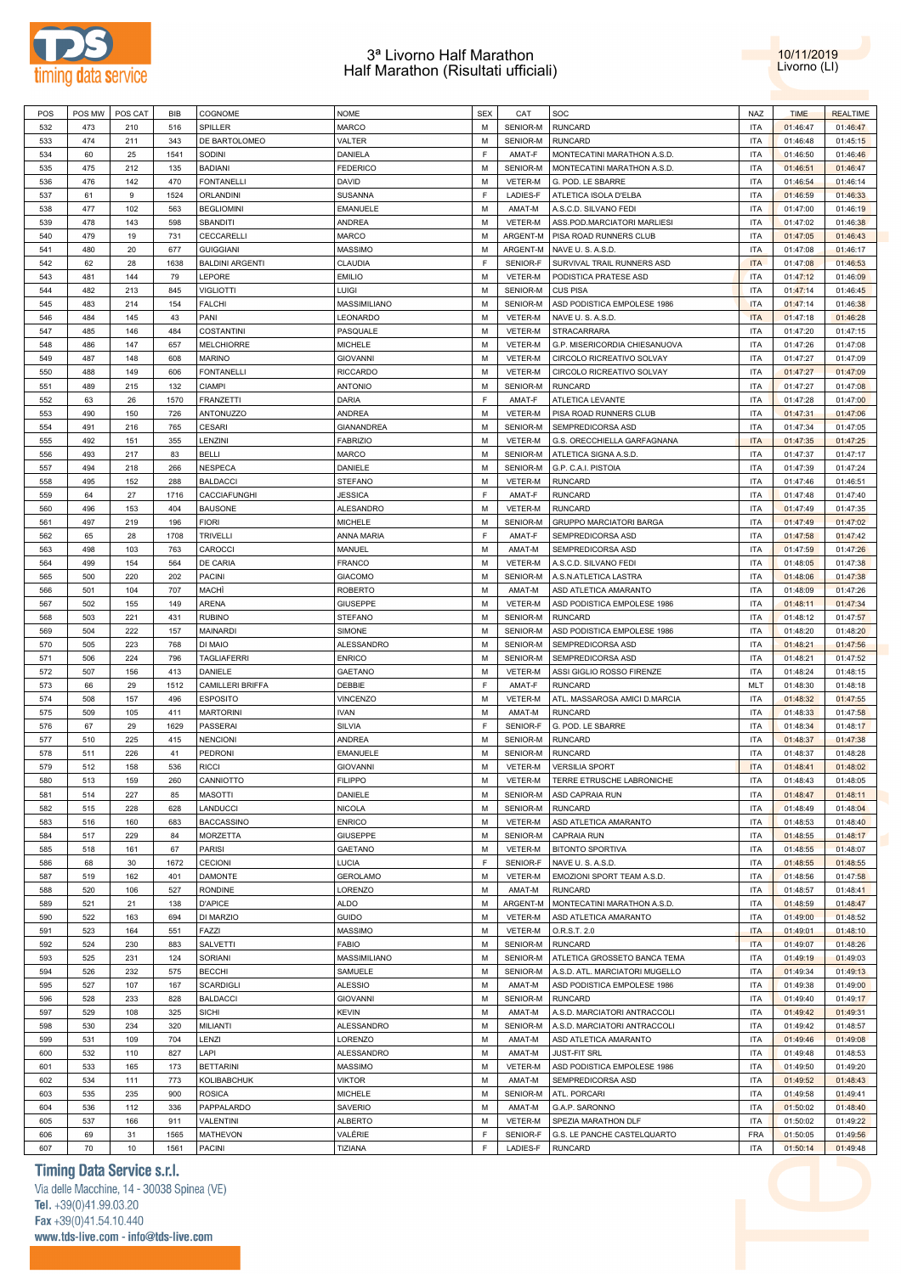



| POS | POS MW | POS CAT | BIB  | COGNOME                | <b>NOME</b>       | <b>SEX</b> | CAT            | SOC                            | <b>NAZ</b> | <b>TIME</b> | <b>REALTIME</b> |
|-----|--------|---------|------|------------------------|-------------------|------------|----------------|--------------------------------|------------|-------------|-----------------|
| 532 | 473    | 210     | 516  | SPILLER                | <b>MARCO</b>      | M          | SENIOR-M       | <b>RUNCARD</b>                 | <b>ITA</b> | 01:46:47    | 01:46:47        |
| 533 | 474    | 211     | 343  | DE BARTOLOMEO          | VALTER            | М          | SENIOR-M       | <b>RUNCARD</b>                 | <b>ITA</b> | 01:46:48    | 01:45:15        |
| 534 | 60     | 25      | 1541 | SODINI                 | DANIELA           | F          | AMAT-F         | MONTECATINI MARATHON A.S.D     | <b>ITA</b> | 01:46:50    | 01:46:46        |
|     |        |         |      |                        |                   |            |                |                                |            |             |                 |
| 535 | 475    | 212     | 135  | <b>BADIANI</b>         | <b>FEDERICO</b>   | М          | SENIOR-M       | MONTECATINI MARATHON A.S.D.    | <b>ITA</b> | 01:46:51    | 01:46:47        |
| 536 | 476    | 142     | 470  | <b>FONTANELLI</b>      | <b>DAVID</b>      | М          | VETER-M        | G. POD. LE SBARRE              | <b>ITA</b> | 01:46:54    | 01:46:14        |
| 537 | 61     | 9       | 1524 | <b>ORLANDINI</b>       | SUSANNA           | F          | LADIES-F       | ATLETICA ISOLA D'ELBA          | <b>ITA</b> | 01:46:59    | 01:46:33        |
| 538 | 477    | 102     | 563  | <b>BEGLIOMINI</b>      | <b>EMANUELE</b>   | М          | AMAT-M         | A.S.C.D. SILVANO FEDI          | <b>ITA</b> | 01:47:00    | 01:46:19        |
| 539 | 478    | 143     | 598  | SBANDITI               | <b>ANDREA</b>     | М          | VETER-M        | ASS.POD.MARCIATORI MARLIESI    | <b>ITA</b> | 01:47:02    | 01:46:38        |
| 540 | 479    | 19      | 731  | CECCARELLI             | <b>MARCO</b>      | M          | ARGENT-M       | PISA ROAD RUNNERS CLUB         | <b>ITA</b> | 01:47:05    | 01:46:43        |
| 541 | 480    | 20      | 677  | <b>GUIGGIANI</b>       | <b>MASSIMO</b>    | М          | ARGENT-M       | NAVE U.S.A.S.D.                | <b>ITA</b> | 01:47:08    | 01:46:17        |
|     |        |         |      |                        |                   |            |                |                                |            |             |                 |
| 542 | 62     | 28      | 1638 | <b>BALDINI ARGENTI</b> | CLAUDIA           | F          | SENIOR-F       | SURVIVAL TRAIL RUNNERS ASD     | <b>ITA</b> | 01:47:08    | 01:46:53        |
| 543 | 481    | 144     | 79   | LEPORE                 | <b>EMILIO</b>     | M          | VETER-M        | PODISTICA PRATESE ASD          | <b>ITA</b> | 01:47:12    | 01:46:09        |
| 544 | 482    | 213     | 845  | <b>VIGLIOTTI</b>       | <b>LUIGI</b>      | М          | SENIOR-M       | <b>CUS PISA</b>                | <b>ITA</b> | 01:47:14    | 01:46:45        |
| 545 | 483    | 214     | 154  | <b>FALCHI</b>          | MASSIMILIANO      | М          | SENIOR-M       | ASD PODISTICA EMPOLESE 1986    | <b>ITA</b> | 01:47:14    | 01:46:38        |
| 546 | 484    | 145     | 43   | PANI                   | LEONARDO          | М          | VETER-M        | NAVE U.S.A.S.D.                | <b>ITA</b> | 01:47:18    | 01:46:28        |
| 547 | 485    | 146     | 484  | <b>COSTANTINI</b>      | PASQUALE          | М          | VETER-M        | STRACARRARA                    | <b>ITA</b> | 01:47:20    | 01:47:15        |
|     |        |         |      |                        |                   |            |                |                                |            |             |                 |
| 548 | 486    | 147     | 657  | <b>MELCHIORRE</b>      | <b>MICHELE</b>    | М          | VETER-M        | G.P. MISERICORDIA CHIESANUOVA  | <b>ITA</b> | 01:47:26    | 01:47:08        |
| 549 | 487    | 148     | 608  | <b>MARINO</b>          | <b>GIOVANNI</b>   | М          | VETER-M        | CIRCOLO RICREATIVO SOLVAY      | <b>ITA</b> | 01:47:27    | 01:47:09        |
| 550 | 488    | 149     | 606  | <b>FONTANELLI</b>      | <b>RICCARDO</b>   | М          | VETER-M        | CIRCOLO RICREATIVO SOLVAY      | <b>ITA</b> | 01:47:27    | 01:47:09        |
| 551 | 489    | 215     | 132  | <b>CIAMPI</b>          | <b>ANTONIO</b>    | М          | SENIOR-M       | <b>RUNCARD</b>                 | <b>ITA</b> | 01:47:27    | 01:47:08        |
| 552 | 63     | 26      | 1570 | <b>FRANZETTI</b>       | <b>DARIA</b>      | F          | AMAT-F         | ATLETICA LEVANTE               | <b>ITA</b> | 01:47:28    | 01:47:00        |
| 553 | 490    | 150     | 726  | ANTONUZZO              | <b>ANDREA</b>     | M          | VETER-M        | PISA ROAD RUNNERS CLUB         | <b>ITA</b> | 01:47:31    | 01:47:06        |
| 554 | 491    | 216     | 765  | <b>CESARI</b>          | <b>GIANANDREA</b> | М          | SENIOR-M       | SEMPREDICORSA ASD              | <b>ITA</b> | 01:47:34    | 01:47:05        |
|     |        |         |      |                        |                   |            |                |                                |            |             |                 |
| 555 | 492    | 151     | 355  | LENZINI                | <b>FABRIZIO</b>   | М          | VETER-M        | G.S. ORECCHIELLA GARFAGNANA    | <b>ITA</b> | 01:47:35    | 01:47:25        |
| 556 | 493    | 217     | 83   | <b>BELLI</b>           | <b>MARCO</b>      | М          | SENIOR-M       | ATLETICA SIGNA A.S.D.          | <b>ITA</b> | 01:47:37    | 01:47:17        |
| 557 | 494    | 218     | 266  | <b>NESPECA</b>         | DANIELE           | М          | SENIOR-M       | G.P. C.A.I. PISTOIA            | <b>ITA</b> | 01:47:39    | 01:47:24        |
| 558 | 495    | 152     | 288  | <b>BALDACCI</b>        | <b>STEFANO</b>    | М          | VETER-M        | <b>RUNCARD</b>                 | <b>ITA</b> | 01:47:46    | 01:46:51        |
| 559 | 64     | 27      | 1716 | CACCIAFUNGHI           | <b>JESSICA</b>    | F          | AMAT-F         | <b>RUNCARD</b>                 | <b>ITA</b> | 01:47:48    | 01:47:40        |
| 560 | 496    | 153     | 404  | <b>BAUSONE</b>         | <b>ALESANDRO</b>  | М          | VETER-M        | <b>RUNCARD</b>                 | <b>ITA</b> | 01:47:49    | 01:47:35        |
|     |        |         |      |                        |                   |            | SENIOR-M       |                                |            |             |                 |
| 561 | 497    | 219     | 196  | <b>FIORI</b>           | <b>MICHELE</b>    | М          |                | <b>GRUPPO MARCIATORI BARGA</b> | <b>ITA</b> | 01:47:49    | 01:47:02        |
| 562 | 65     | 28      | 1708 | <b>TRIVELLI</b>        | ANNA MARIA        | F          | AMAT-F         | SEMPREDICORSA ASD              | <b>ITA</b> | 01:47:58    | 01:47:42        |
| 563 | 498    | 103     | 763  | CAROCCI                | MANUEL            | M          | AMAT-M         | SEMPREDICORSA ASD              | <b>ITA</b> | 01:47:59    | 01:47:26        |
| 564 | 499    | 154     | 564  | DE CARIA               | <b>FRANCO</b>     | М          | <b>VETER-M</b> | A.S.C.D. SILVANO FEDI          | <b>ITA</b> | 01:48:05    | 01:47:38        |
| 565 | 500    | 220     | 202  | <b>PACINI</b>          | <b>GIACOMO</b>    | М          | SENIOR-M       | A.S.N.ATLETICA LASTRA          | <b>ITA</b> | 01:48:06    | 01:47:38        |
| 566 | 501    | 104     | 707  | MACHÌ                  | <b>ROBERTO</b>    | М          | AMAT-M         | ASD ATLETICA AMARANTO          | <b>ITA</b> | 01:48:09    | 01:47:26        |
|     |        |         |      |                        |                   | М          |                |                                | <b>ITA</b> |             |                 |
| 567 | 502    | 155     | 149  | ARENA                  | <b>GIUSEPPE</b>   |            | VETER-M        | ASD PODISTICA EMPOLESE 1986    |            | 01:48:11    | 01:47:34        |
| 568 | 503    | 221     | 431  | <b>RUBINO</b>          | <b>STEFANO</b>    | М          | SENIOR-M       | <b>RUNCARD</b>                 | <b>ITA</b> | 01:48:12    | 01:47:57        |
| 569 | 504    | 222     | 157  | MAINARDI               | SIMONE            | М          | SENIOR-M       | ASD PODISTICA EMPOLESE 1986    | <b>ITA</b> | 01:48:20    | 01:48:20        |
| 570 | 505    | 223     | 768  | DI MAIO                | ALESSANDRO        | М          | SENIOR-M       | SEMPREDICORSA ASD              | <b>ITA</b> | 01:48:21    | 01:47:56        |
| 571 | 506    | 224     | 796  | <b>TAGLIAFERRI</b>     | <b>ENRICO</b>     | М          | SENIOR-M       | SEMPREDICORSA ASD              | <b>ITA</b> | 01:48:21    | 01:47:52        |
| 572 | 507    | 156     | 413  | DANIELE                | <b>GAETANO</b>    | M          | <b>VETER-M</b> | ASSI GIGLIO ROSSO FIRENZE      | <b>ITA</b> | 01:48:24    | 01:48:15        |
| 573 | 66     | 29      | 1512 | CAMILLERI BRIFFA       | DEBBIE            | F          | AMAT-F         | <b>RUNCARD</b>                 | <b>MLT</b> | 01:48:30    | 01:48:18        |
| 574 | 508    | 157     | 496  | <b>ESPOSITO</b>        | <b>VINCENZO</b>   | М          | VETER-M        | ATL. MASSAROSA AMICI D.MARCIA  | <b>ITA</b> | 01:48:32    | 01:47:55        |
|     |        |         |      |                        |                   |            |                |                                |            |             |                 |
| 575 | 509    | 105     | 411  | <b>MARTORINI</b>       | <b>IVAN</b>       | М          | AMAT-M         | <b>RUNCARD</b>                 | <b>ITA</b> | 01:48:33    | 01:47:58        |
| 576 | 67     | 29      | 1629 | PASSERAI               | <b>SILVIA</b>     | F          | SENIOR-F       | G. POD. LE SBARRE              | <b>ITA</b> | 01:48:34    | 01:48:17        |
| 577 | 510    | 225     | 415  | <b>NENCIONI</b>        | <b>ANDREA</b>     | М          | SENIOR-M       | <b>RUNCARD</b>                 | <b>ITA</b> | 01:48:37    | 01:47:38        |
| 578 | 511    | 226     | 41   | PEDRONI                | <b>EMANUELE</b>   | М          | SENIOR-M       | <b>RUNCARD</b>                 | <b>ITA</b> | 01:48:37    | 01:48:28        |
| 579 | 512    | 158     | 536  | <b>RICCI</b>           | <b>GIOVANNI</b>   | м          | VETER-M        | <b>VERSILIA SPORT</b>          | <b>ITA</b> | 01:48:41    | 01:48:02        |
| 580 | 513    | 159     | 260  | CANNIOTTO              | <b>FILIPPO</b>    | M          | VETER-M        | TERRE ETRUSCHE LABRONICHE      | <b>ITA</b> | 01:48:43    | 01:48:05        |
|     |        |         |      |                        |                   |            |                |                                |            |             |                 |
| 581 | 514    | 227     | 85   | <b>MASOTTI</b>         | DANIELE           | М          | SENIOR-M       | ASD CAPRAIA RUN                | <b>ITA</b> | 01:48:47    | 01:48:11        |
| 582 | 515    | 228     | 628  | LANDUCCI               | <b>NICOLA</b>     | M          | SENIOR-M       | <b>RUNCARD</b>                 | <b>ITA</b> | 01:48:49    | 01:48:04        |
| 583 | 516    | 160     | 683  | <b>BACCASSINO</b>      | <b>ENRICO</b>     | М          | VETER-M        | ASD ATLETICA AMARANTO          | <b>ITA</b> | 01:48:53    | 01:48:40        |
| 584 | 517    | 229     | 84   | MORZETTA               | GIUSEPPE          | М          | SENIOR-M       | <b>CAPRAIA RUN</b>             | <b>ITA</b> | 01:48:55    | 01:48:17        |
| 585 | 518    | 161     | 67   | <b>PARISI</b>          | <b>GAETANO</b>    | M          | VETER-M        | <b>BITONTO SPORTIVA</b>        | <b>ITA</b> | 01:48:55    | 01:48:07        |
| 586 | 68     | 30      | 1672 | <b>CECIONI</b>         | <b>LUCIA</b>      | F          | SENIOR-F       | NAVE U.S.A.S.D.                | <b>ITA</b> | 01:48:55    | 01:48:55        |
| 587 | 519    | 162     | 401  | <b>DAMONTE</b>         | <b>GEROLAMO</b>   | М          | VETER-M        | EMOZIONI SPORT TEAM A.S.D.     | <b>ITA</b> | 01:48:56    | 01:47:58        |
|     |        |         |      |                        |                   | М          |                | <b>RUNCARD</b>                 | <b>ITA</b> |             |                 |
| 588 | 520    | 106     | 527  | <b>RONDINE</b>         | LORENZO           |            | AMAT-M         |                                |            | 01:48:57    | 01:48:41        |
| 589 | 521    | 21      | 138  | <b>D'APICE</b>         | <b>ALDO</b>       | M          | ARGENT-M       | MONTECATINI MARATHON A.S.D.    | <b>ITA</b> | 01:48:59    | 01:48:47        |
| 590 | 522    | 163     | 694  | DI MARZIO              | <b>GUIDO</b>      | М          | VETER-M        | ASD ATLETICA AMARANTO          | <b>ITA</b> | 01:49:00    | 01:48:52        |
| 591 | 523    | 164     | 551  | FAZZI                  | MASSIMO           | M          | VETER-M        | O.R.S.T. 2.0                   | <b>ITA</b> | 01:49:01    | 01:48:10        |
| 592 | 524    | 230     | 883  | SALVETTI               | <b>FABIO</b>      | М          | SENIOR-M       | <b>RUNCARD</b>                 | <b>ITA</b> | 01:49:07    | 01:48:26        |
| 593 | 525    | 231     | 124  | <b>SORIANI</b>         | MASSIMILIANO      | M          | SENIOR-M       | ATLETICA GROSSETO BANCA TEMA   | <b>ITA</b> | 01:49:19    | 01:49:03        |
| 594 | 526    | 232     | 575  | <b>BECCHI</b>          | SAMUELE           | М          | SENIOR-M       | A.S.D. ATL. MARCIATORI MUGELLO | <b>ITA</b> | 01:49:34    | 01:49:13        |
|     |        |         |      |                        |                   |            |                |                                |            |             |                 |
| 595 | 527    | 107     | 167  | SCARDIGLI              | <b>ALESSIO</b>    | M          | AMAT-M         | ASD PODISTICA EMPOLESE 1986    | <b>ITA</b> | 01:49:38    | 01:49:00        |
| 596 | 528    | 233     | 828  | <b>BALDACCI</b>        | <b>GIOVANNI</b>   | М          | SENIOR-M       | <b>RUNCARD</b>                 | <b>ITA</b> | 01:49:40    | 01:49:17        |
| 597 | 529    | 108     | 325  | <b>SICHI</b>           | <b>KEVIN</b>      | М          | AMAT-M         | A.S.D. MARCIATORI ANTRACCOLI   | <b>ITA</b> | 01:49:42    | 01:49:31        |
| 598 | 530    | 234     | 320  | <b>MILIANTI</b>        | ALESSANDRO        | М          | SENIOR-M       | A.S.D. MARCIATORI ANTRACCOLI   | <b>ITA</b> | 01:49:42    | 01:48:57        |
| 599 | 531    | 109     | 704  | LENZI                  | LORENZO           | М          | AMAT-M         | ASD ATLETICA AMARANTO          | <b>ITA</b> | 01:49:46    | 01:49:08        |
| 600 | 532    | 110     | 827  | LAPI                   | ALESSANDRO        | М          | AMAT-M         | JUST-FIT SRL                   | <b>ITA</b> | 01:49:48    | 01:48:53        |
|     |        |         |      |                        |                   | M          |                |                                |            |             |                 |
| 601 | 533    | 165     | 173  | <b>BETTARINI</b>       | <b>MASSIMO</b>    |            | VETER-M        | ASD PODISTICA EMPOLESE 1986    | <b>ITA</b> | 01:49:50    | 01:49:20        |
| 602 | 534    | 111     | 773  | <b>KOLIBABCHUK</b>     | <b>VIKTOR</b>     | M          | AMAT-M         | SEMPREDICORSA ASD              | <b>ITA</b> | 01:49:52    | 01:48:43        |
| 603 | 535    | 235     | 900  | <b>ROSICA</b>          | <b>MICHELE</b>    | M          | SENIOR-M       | ATL. PORCARI                   | <b>ITA</b> | 01:49:58    | 01:49:41        |
| 604 | 536    | 112     | 336  | PAPPALARDO             | SAVERIO           | М          | AMAT-M         | G.A.P. SARONNO                 | <b>ITA</b> | 01:50:02    | 01:48:40        |
| 605 | 537    | 166     | 911  | VALENTINI              | <b>ALBERTO</b>    | M          | VETER-M        | SPEZIA MARATHON DLF            | <b>ITA</b> | 01:50:02    | 01:49:22        |
| 606 | 69     | 31      | 1565 | MATHEVON               | VALÉRIE           | F          | SENIOR-F       | G.S. LE PANCHE CASTELQUARTO    | <b>FRA</b> | 01:50:05    | 01:49:56        |
| 607 | 70     | 10      | 1561 | <b>PACINI</b>          | TIZIANA           | F          | LADIES-F       | <b>RUNCARD</b>                 | <b>ITA</b> | 01:50:14    | 01:49:48        |
|     |        |         |      |                        |                   |            |                |                                |            |             |                 |

# **Timing Data Service s.r.l.**

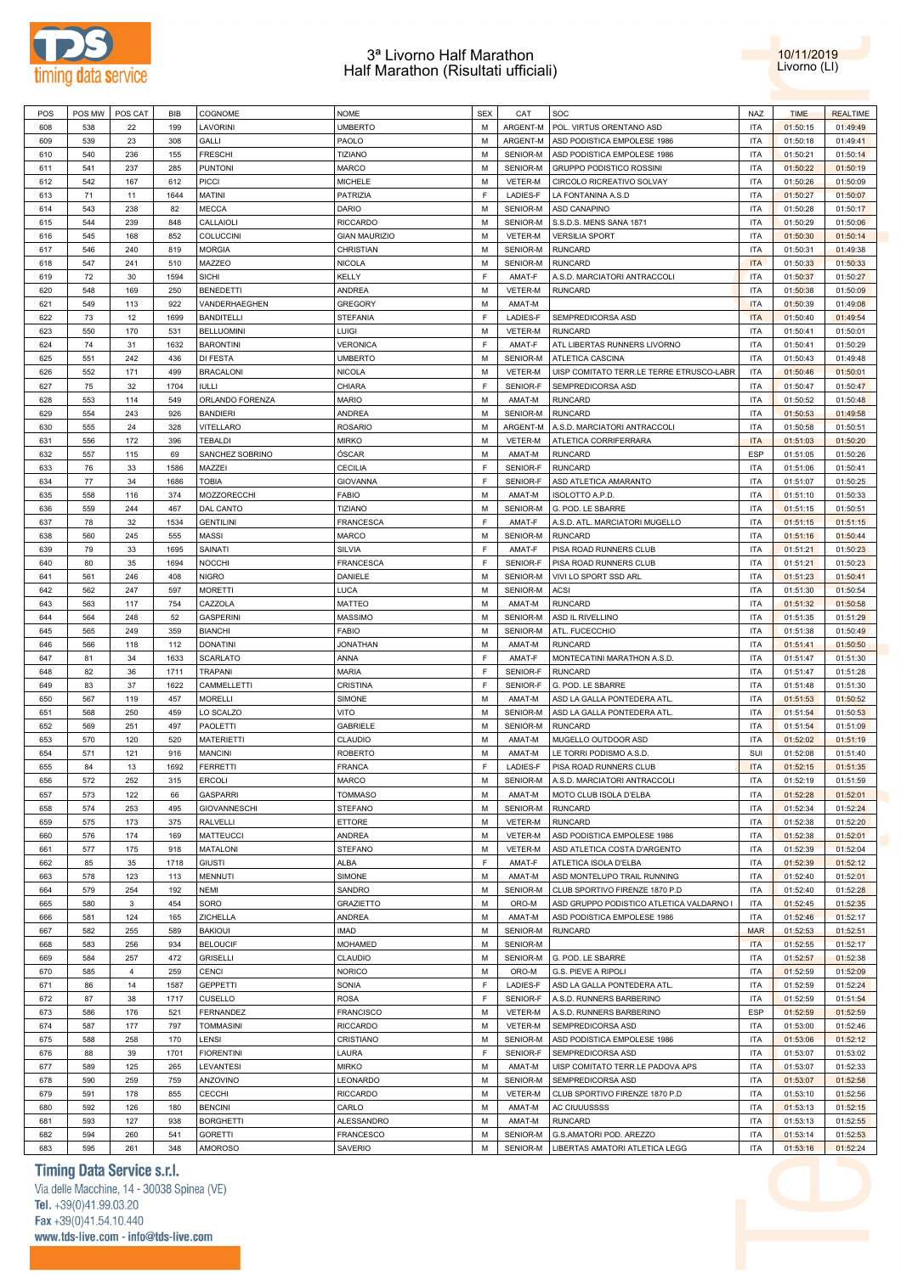



| POS | POS MW | POS CAT        | BIB  | COGNOME           | <b>NOME</b>          | <b>SEX</b> | CAT      | SOC                                      | <b>NAZ</b> | <b>TIME</b> | <b>REALTIME</b> |
|-----|--------|----------------|------|-------------------|----------------------|------------|----------|------------------------------------------|------------|-------------|-----------------|
| 608 | 538    | 22             | 199  | LAVORINI          | <b>UMBERTO</b>       | M          | ARGENT-M | POL. VIRTUS ORENTANO ASD                 | <b>ITA</b> | 01:50:15    | 01:49:49        |
| 609 | 539    | 23             | 308  | GALLI             | PAOLO                | M          | ARGENT-M | ASD PODISTICA EMPOLESE 1986              | <b>ITA</b> | 01:50:18    | 01:49:41        |
| 610 | 540    | 236            | 155  | <b>FRESCHI</b>    | TIZIANO              | M          | SENIOR-M | ASD PODISTICA EMPOLESE 1986              | <b>ITA</b> | 01:50:21    | 01:50:14        |
|     |        |                |      |                   |                      |            |          |                                          |            |             |                 |
| 611 | 541    | 237            | 285  | <b>PUNTONI</b>    | MARCO                | M          | SENIOR-M | <b>GRUPPO PODISTICO ROSSINI</b>          | ITA        | 01:50:22    | 01:50:19        |
| 612 | 542    | 167            | 612  | <b>PICCI</b>      | <b>MICHELE</b>       | M          | VETER-M  | CIRCOLO RICREATIVO SOLVAY                | <b>ITA</b> | 01:50:26    | 01:50:09        |
| 613 | 71     | 11             | 1644 | MATINI            | PATRIZIA             | F          | LADIES-F | LA FONTANINA A.S.D                       | ITA        | 01:50:27    | 01:50:07        |
| 614 | 543    | 238            | 82   | <b>MECCA</b>      | <b>DARIO</b>         | M          | SENIOR-M | <b>ASD CANAPINO</b>                      | <b>ITA</b> | 01:50:28    | 01:50:17        |
| 615 | 544    | 239            | 848  | CALLAIOLI         | <b>RICCARDO</b>      | М          | SENIOR-M | S.S.D.S. MENS SANA 1871                  | ITA        | 01:50:29    | 01:50:06        |
| 616 | 545    | 168            | 852  | <b>COLUCCINI</b>  | <b>GIAN MAURIZIO</b> | М          | VETER-M  | <b>VERSILIA SPORT</b>                    | <b>ITA</b> | 01:50:30    | 01:50:14        |
| 617 | 546    | 240            | 819  | <b>MORGIA</b>     | CHRISTIAN            | М          | SENIOR-M | <b>RUNCARD</b>                           | <b>ITA</b> | 01:50:31    | 01:49:38        |
|     |        |                |      |                   |                      |            |          |                                          |            |             |                 |
| 618 | 547    | 241            | 510  | MAZZEO            | <b>NICOLA</b>        | М          | SENIOR-M | <b>RUNCARD</b>                           | <b>ITA</b> | 01:50:33    | 01:50:33        |
| 619 | 72     | 30             | 1594 | <b>SICHI</b>      | KELLY                | F          | AMAT-F   | A.S.D. MARCIATORI ANTRACCOLI             | ITA        | 01:50:37    | 01:50:27        |
| 620 | 548    | 169            | 250  | <b>BENEDETTI</b>  | ANDREA               | M          | VETER-M  | <b>RUNCARD</b>                           | <b>ITA</b> | 01:50:38    | 01:50:09        |
| 621 | 549    | 113            | 922  | VANDERHAEGHEN     | <b>GREGORY</b>       | М          | AMAT-M   |                                          | <b>ITA</b> | 01:50:39    | 01:49:08        |
| 622 | 73     | 12             | 1699 | <b>BANDITELLI</b> | <b>STEFANIA</b>      | F          | LADIES-F | SEMPREDICORSA ASD                        | <b>ITA</b> | 01:50:40    | 01:49:54        |
| 623 | 550    | 170            | 531  | <b>BELLUOMINI</b> | Luigi                | M          | VETER-M  | <b>RUNCARD</b>                           | ITA        | 01:50:41    | 01:50:01        |
| 624 | 74     | 31             | 1632 | <b>BARONTINI</b>  | <b>VERONICA</b>      | F          | AMAT-F   | ATL LIBERTAS RUNNERS LIVORNO             | <b>ITA</b> | 01:50:41    | 01:50:29        |
|     |        |                |      |                   |                      |            |          |                                          |            |             |                 |
| 625 | 551    | 242            | 436  | <b>DI FESTA</b>   | <b>UMBERTO</b>       | М          | SENIOR-M | ATLETICA CASCINA                         | <b>ITA</b> | 01:50:43    | 01:49:48        |
| 626 | 552    | 171            | 499  | <b>BRACALONI</b>  | <b>NICOLA</b>        | M          | VETER-M  | UISP COMITATO TERR.LE TERRE ETRUSCO-LABR | <b>ITA</b> | 01:50:46    | 01:50:01        |
| 627 | 75     | 32             | 1704 | <b>IULLI</b>      | CHIARA               | F          | SENIOR-F | SEMPREDICORSA ASD                        | <b>ITA</b> | 01:50:47    | 01:50:47        |
| 628 | 553    | 114            | 549  | ORLANDO FORENZA   | <b>MARIO</b>         | M          | AMAT-M   | <b>RUNCARD</b>                           | <b>ITA</b> | 01:50:52    | 01:50:48        |
| 629 | 554    | 243            | 926  | <b>BANDIERI</b>   | ANDREA               | M          | SENIOR-M | <b>RUNCARD</b>                           | ITA        | 01:50:53    | 01:49:58        |
| 630 | 555    | 24             | 328  | VITELLARO         | <b>ROSARIO</b>       | M          | ARGENT-M | A.S.D. MARCIATORI ANTRACCOLI             | <b>ITA</b> | 01:50:58    | 01:50:51        |
| 631 | 556    | 172            | 396  | <b>TEBALDI</b>    | <b>MIRKO</b>         | М          | VETER-M  | ATLETICA CORRIFERRARA                    | <b>ITA</b> | 01:51:03    | 01:50:20        |
|     | 557    | 115            | 69   |                   | ÓSCAR                | м          | AMAT-M   |                                          | <b>ESP</b> |             |                 |
| 632 |        |                |      | SANCHEZ SOBRINO   |                      |            |          | <b>RUNCARD</b>                           |            | 01:51:05    | 01:50:26        |
| 633 | 76     | 33             | 1586 | MAZZEI            | CECILIA              | F          | SENIOR-F | <b>RUNCARD</b>                           | ITA        | 01:51:06    | 01:50:41        |
| 634 | 77     | 34             | 1686 | <b>TOBIA</b>      | <b>GIOVANNA</b>      | F          | SENIOR-F | ASD ATLETICA AMARANTO                    | <b>ITA</b> | 01:51:07    | 01:50:25        |
| 635 | 558    | 116            | 374  | MOZZORECCHI       | <b>FABIO</b>         | М          | AMAT-M   | ISOLOTTO A.P.D.                          | ITA        | 01:51:10    | 01:50:33        |
| 636 | 559    | 244            | 467  | DAL CANTO         | TIZIANO              | М          | SENIOR-M | G. POD. LE SBARRE                        | <b>ITA</b> | 01:51:15    | 01:50:51        |
| 637 | 78     | 32             | 1534 | <b>GENTILINI</b>  | <b>FRANCESCA</b>     | F          | AMAT-F   | A.S.D. ATL. MARCIATORI MUGELLO           | <b>ITA</b> | 01:51:15    | 01:51:15        |
| 638 | 560    | 245            | 555  | <b>MASSI</b>      | MARCO                | М          | SENIOR-M | <b>RUNCARD</b>                           | <b>ITA</b> | 01:51:16    | 01:50:44        |
|     |        |                |      |                   |                      | F          |          |                                          |            |             |                 |
| 639 | 79     | 33             | 1695 | SAINATI           | SILVIA               |            | AMAT-F   | PISA ROAD RUNNERS CLUB                   | <b>ITA</b> | 01:51:21    | 01:50:23        |
| 640 | 80     | 35             | 1694 | <b>NOCCHI</b>     | <b>FRANCESCA</b>     | F          | SENIOR-F | PISA ROAD RUNNERS CLUB                   | <b>ITA</b> | 01:51:21    | 01:50:23        |
| 641 | 561    | 246            | 408  | <b>NIGRO</b>      | DANIELE              | М          | SENIOR-M | VIVI LO SPORT SSD ARL                    | <b>ITA</b> | 01:51:23    | 01:50:41        |
| 642 | 562    | 247            | 597  | <b>MORETTI</b>    | LUCA                 | M          | SENIOR-M | ACSI                                     | <b>ITA</b> | 01:51:30    | 01:50:54        |
| 643 | 563    | 117            | 754  | CAZZOLA           | MATTEO               | м          | AMAT-M   | <b>RUNCARD</b>                           | <b>ITA</b> | 01:51:32    | 01:50:58        |
| 644 | 564    | 248            | 52   | <b>GASPERINI</b>  | <b>MASSIMO</b>       | M          | SENIOR-M | ASD IL RIVELLINO                         | <b>ITA</b> | 01:51:35    | 01:51:29        |
| 645 | 565    | 249            | 359  | <b>BIANCHI</b>    | <b>FABIO</b>         | М          | SENIOR-M | ATL. FUCECCHIO                           | ITA        | 01:51:38    | 01:50:49        |
| 646 | 566    | 118            | 112  | <b>DONATINI</b>   | <b>JONATHAN</b>      | М          | AMAT-M   | <b>RUNCARD</b>                           | <b>ITA</b> | 01:51:41    | 01:50:50        |
|     |        |                |      |                   |                      |            |          |                                          |            |             |                 |
| 647 | 81     | 34             | 1633 | <b>SCARLATO</b>   | ANNA                 | F          | AMAT-F   | MONTECATINI MARATHON A.S.D.              | <b>ITA</b> | 01:51:47    | 01:51:30        |
| 648 | 82     | 36             | 1711 | TRAPANI           | MARIA                | F          | SENIOR-F | <b>RUNCARD</b>                           | <b>ITA</b> | 01:51:47    | 01:51:28        |
| 649 | 83     | 37             | 1622 | CAMMELLETTI       | CRISTINA             | F          | SENIOR-F | G. POD. LE SBARRE                        | <b>ITA</b> | 01:51:48    | 01:51:30        |
| 650 | 567    | 119            | 457  | <b>MORELLI</b>    | SIMONE               | м          | AMAT-M   | ASD LA GALLA PONTEDERA ATL               | <b>ITA</b> | 01:51:53    | 01:50:52        |
| 651 | 568    | 250            | 459  | LO SCALZO         | VITO                 | М          | SENIOR-M | ASD LA GALLA PONTEDERA ATL               | <b>ITA</b> | 01:51:54    | 01:50:53        |
| 652 | 569    | 251            | 497  | <b>PAOLETTI</b>   | <b>GABRIELE</b>      | M          | SENIOR-M | <b>RUNCARD</b>                           | <b>ITA</b> | 01:51:54    | 01:51:09        |
| 653 | 570    | 120            | 520  | <b>MATERIETTI</b> | CLAUDIO              | М          | AMAT-M   | MUGELLO OUTDOOR ASD                      | <b>ITA</b> | 01:52:02    | 01:51:19        |
|     | 571    | 121            | 916  | <b>MANCINI</b>    |                      | м          | AMAT-M   | LE TORRI PODISMO A.S.D.                  | SUI        |             |                 |
| 654 |        |                |      |                   | <b>ROBERTO</b>       |            |          |                                          |            | 01:52:08    | 01:51:40        |
| 655 | 84     | 13             | 1692 | <b>FERRETTI</b>   | <b>FRANCA</b>        | F          | LADIES-F | PISA ROAD RUNNERS CLUB                   | <b>ITA</b> | 01:52:15    | 01:51:35        |
| 656 | 572    | 252            | 315  | <b>ERCOLI</b>     | <b>MARCO</b>         | M          | SENIOR-M | A.S.D. MARCIATORI ANTRACCOLI             | <b>ITA</b> | 01:52:19    | 01:51:59        |
| 657 | 573    | 122            | 66   | <b>GASPARRI</b>   | <b>TOMMASO</b>       | М          | AMAT-M   | MOTO CLUB ISOLA D'ELBA                   | <b>ITA</b> | 01:52:28    | 01:52:01        |
| 658 | 574    | 253            | 495  | GIOVANNESCHI      | <b>STEFANO</b>       | M          | SENIOR-M | <b>RUNCARD</b>                           | <b>ITA</b> | 01:52:34    | 01:52:24        |
| 659 | 575    | 173            | 375  | <b>RALVELLI</b>   | ETTORE               | M          | VETER-M  | <b>RUNCARD</b>                           | <b>ITA</b> | 01:52:38    | 01:52:20        |
| 660 | 576    | 174            | 169  | <b>MATTEUCCI</b>  | ANDREA               | М          | VETER-M  | ASD PODISTICA EMPOLESE 1986              | <b>ITA</b> | 01:52:38    | 01:52:01        |
| 661 | 577    | 175            | 918  | MATALONI          | <b>STEFANO</b>       | M          | VETER-M  | ASD ATLETICA COSTA D'ARGENTO             | <b>ITA</b> | 01:52:39    | 01:52:04        |
| 662 | 85     | 35             | 1718 | <b>GIUSTI</b>     | ALBA                 | F          | AMAT-F   | ATLETICA ISOLA D'ELBA                    | <b>ITA</b> | 01:52:39    | 01:52:12        |
|     |        |                |      |                   |                      |            |          |                                          |            |             |                 |
| 663 | 578    | 123            | 113  | <b>MENNUTI</b>    | SIMONE               | M          | AMAT-M   | ASD MONTELUPO TRAIL RUNNING              | <b>ITA</b> | 01:52:40    | 01:52:01        |
| 664 | 579    | 254            | 192  | NEMI              | SANDRO               | М          | SENIOR-M | CLUB SPORTIVO FIRENZE 1870 P.D           | ITA        | 01:52:40    | 01:52:28        |
| 665 | 580    | $\mathbf{3}$   | 454  | SORO              | <b>GRAZIETTO</b>     | M          | ORO-M    | ASD GRUPPO PODISTICO ATLETICA VALDARNO I | <b>ITA</b> | 01:52:45    | 01:52:35        |
| 666 | 581    | 124            | 165  | ZICHELLA          | ANDREA               | М          | AMAT-M   | ASD PODISTICA EMPOLESE 1986              | <b>ITA</b> | 01:52:46    | 01:52:17        |
| 667 | 582    | 255            | 589  | <b>BAKIOUI</b>    | <b>IMAD</b>          | М          | SENIOR-M | <b>RUNCARD</b>                           | <b>MAR</b> | 01:52:53    | 01:52:51        |
| 668 | 583    | 256            | 934  | <b>BELOUCIF</b>   | <b>MOHAMED</b>       | М          | SENIOR-M |                                          | <b>ITA</b> | 01:52:55    | 01:52:17        |
| 669 | 584    | 257            | 472  | <b>GRISELLI</b>   | CLAUDIO              | М          | SENIOR-M | G. POD. LE SBARRE                        | <b>ITA</b> | 01:52:57    | 01:52:38        |
|     |        |                |      |                   |                      |            |          |                                          |            |             |                 |
| 670 | 585    | $\overline{4}$ | 259  | <b>CENCI</b>      | <b>NORICO</b>        | M          | ORO-M    | G.S. PIEVE A RIPOLI                      | <b>ITA</b> | 01:52:59    | 01:52:09        |
| 671 | 86     | 14             | 1587 | <b>GEPPETTI</b>   | SONIA                | E          | LADIES-F | ASD LA GALLA PONTEDERA ATL.              | <b>ITA</b> | 01:52:59    | 01:52:24        |
| 672 | 87     | 38             | 1717 | CUSELLO           | ROSA                 | F          | SENIOR-F | A.S.D. RUNNERS BARBERINO                 | <b>ITA</b> | 01:52:59    | 01:51:54        |
| 673 | 586    | 176            | 521  | <b>FERNANDEZ</b>  | <b>FRANCISCO</b>     | M          | VETER-M  | A.S.D. RUNNERS BARBERINO                 | <b>ESP</b> | 01:52:59    | 01:52:59        |
| 674 | 587    | 177            | 797  | <b>TOMMASINI</b>  | <b>RICCARDO</b>      | M          | VETER-M  | SEMPREDICORSA ASD                        | <b>ITA</b> | 01:53:00    | 01:52:46        |
| 675 | 588    | 258            | 170  | LENSI             | CRISTIANO            | M          | SENIOR-M | ASD PODISTICA EMPOLESE 1986              | <b>ITA</b> | 01:53:06    | 01:52:12        |
| 676 | 88     | 39             | 1701 | <b>FIORENTINI</b> | LAURA                | E          | SENIOR-F | SEMPREDICORSA ASD                        | <b>ITA</b> | 01:53:07    | 01:53:02        |
|     |        |                |      |                   |                      |            |          |                                          |            |             |                 |
| 677 | 589    | 125            | 265  | <b>LEVANTESI</b>  | <b>MIRKO</b>         | M          | AMAT-M   | UISP COMITATO TERR.LE PADOVA APS         | <b>ITA</b> | 01:53:07    | 01:52:33        |
| 678 | 590    | 259            | 759  | ANZOVINO          | LEONARDO             | М          | SENIOR-M | SEMPREDICORSA ASD                        | <b>ITA</b> | 01:53:07    | 01:52:58        |
| 679 | 591    | 178            | 855  | CECCHI            | <b>RICCARDO</b>      | M          | VETER-M  | CLUB SPORTIVO FIRENZE 1870 P.D           | <b>ITA</b> | 01:53:10    | 01:52:56        |
| 680 | 592    | 126            | 180  | <b>BENCINI</b>    | CARLO                | М          | AMAT-M   | AC CIUUUSSSS                             | <b>ITA</b> | 01:53:13    | 01:52:15        |
| 681 | 593    | 127            | 938  | <b>BORGHETTI</b>  | ALESSANDRO           | M          | AMAT-M   | <b>RUNCARD</b>                           | <b>ITA</b> | 01:53:13    | 01:52:55        |
| 682 | 594    | 260            | 541  | <b>GORETTI</b>    | <b>FRANCESCO</b>     | М          | SENIOR-M | G.S.AMATORI POD. AREZZO                  | <b>ITA</b> | 01:53:14    | 01:52:53        |
| 683 | 595    | 261            | 348  | <b>AMOROSO</b>    | SAVERIO              | М          | SENIOR-M | LIBERTAS AMATORI ATLETICA LEGG           | <b>ITA</b> | 01:53:16    | 01:52:24        |

**Timing Data Service s.r.l.**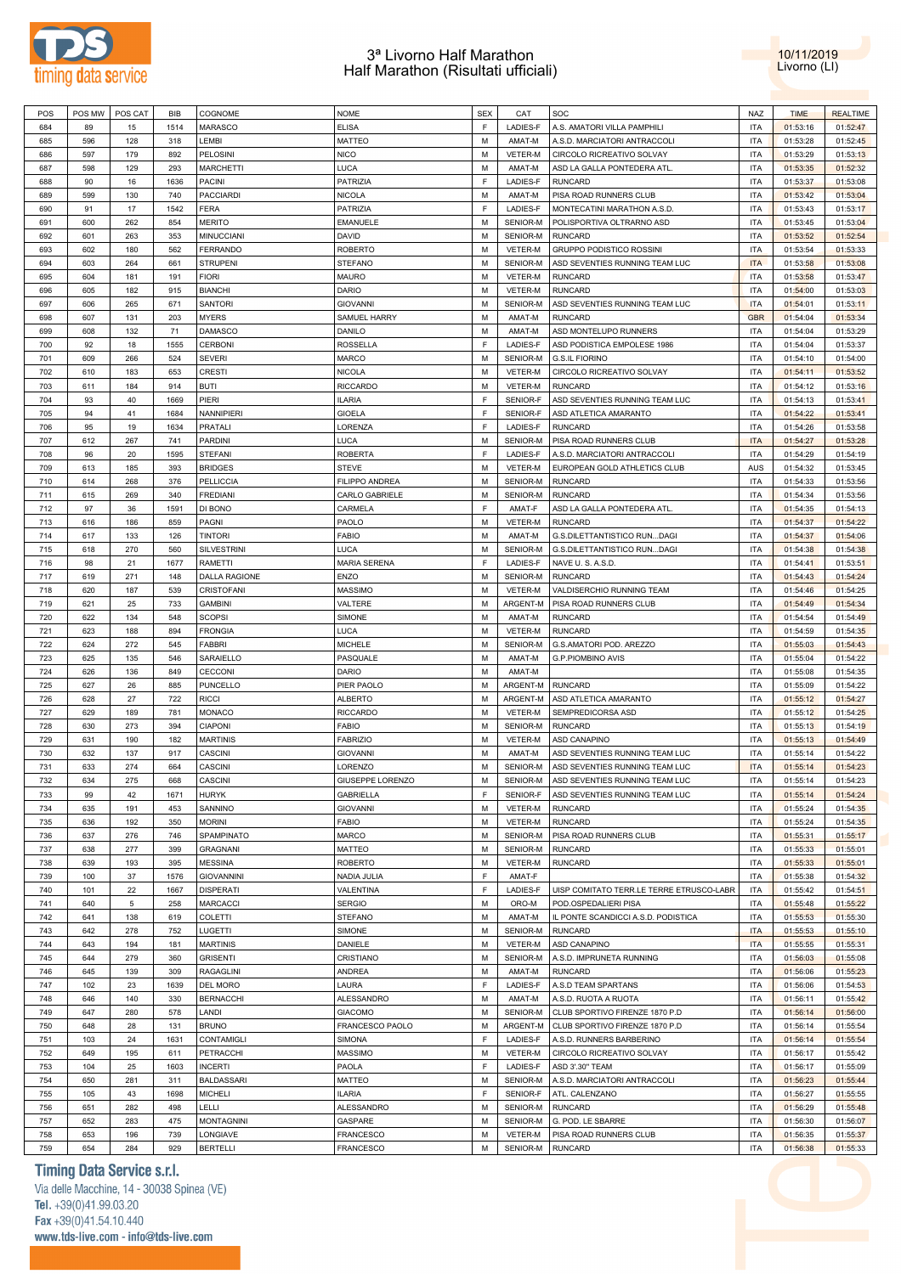



| POS | POS MW | POS CAT | BIB  | COGNOME              | <b>NOME</b>         | <b>SEX</b>  | CAT      | SOC                                      | <b>NAZ</b> | <b>TIME</b> | <b>REALTIME</b> |
|-----|--------|---------|------|----------------------|---------------------|-------------|----------|------------------------------------------|------------|-------------|-----------------|
| 684 | 89     | 15      | 1514 | <b>MARASCO</b>       | <b>ELISA</b>        | $\mathsf F$ | LADIES-F | A.S. AMATORI VILLA PAMPHILI              | <b>ITA</b> | 01:53:16    | 01:52:47        |
| 685 | 596    | 128     | 318  | LEMBI                | <b>MATTEO</b>       | М           | AMAT-M   | A.S.D. MARCIATORI ANTRACCOLI             | <b>ITA</b> | 01:53:28    | 01:52:45        |
| 686 | 597    | 179     | 892  | <b>PELOSINI</b>      | <b>NICO</b>         | M           | VETER-M  | CIRCOLO RICREATIVO SOLVAY                | <b>ITA</b> | 01:53:29    | 01:53:13        |
|     | 598    | 129     | 293  | <b>MARCHETTI</b>     | LUCA                | M           | AMAT-M   |                                          | <b>ITA</b> | 01:53:35    | 01:52:32        |
| 687 |        |         |      |                      |                     |             |          | ASD LA GALLA PONTEDERA ATL               |            |             |                 |
| 688 | 90     | 16      | 1636 | <b>PACINI</b>        | <b>PATRIZIA</b>     | $\mathsf F$ | LADIES-F | <b>RUNCARD</b>                           | <b>ITA</b> | 01:53:37    | 01:53:08        |
| 689 | 599    | 130     | 740  | <b>PACCIARDI</b>     | <b>NICOLA</b>       | M           | AMAT-M   | PISA ROAD RUNNERS CLUB                   | <b>ITA</b> | 01:53:42    | 01:53:04        |
| 690 | 91     | 17      | 1542 | <b>FERA</b>          | PATRIZIA            | $\mathsf F$ | LADIES-F | MONTECATINI MARATHON A.S.D.              | <b>ITA</b> | 01:53:43    | 01:53:17        |
| 691 | 600    | 262     | 854  | <b>MERITO</b>        | <b>EMANUELE</b>     | M           | SENIOR-M | POLISPORTIVA OLTRARNO ASD                | <b>ITA</b> | 01:53:45    | 01:53:04        |
| 692 | 601    | 263     | 353  | <b>MINUCCIANI</b>    | DAVID               | M           | SENIOR-M | <b>RUNCARD</b>                           | <b>ITA</b> | 01:53:52    | 01:52:54        |
| 693 | 602    | 180     | 562  | <b>FERRANDO</b>      | <b>ROBERTO</b>      | M           | VETER-M  | GRUPPO PODISTICO ROSSINI                 | <b>ITA</b> | 01:53:54    | 01:53:33        |
| 694 | 603    | 264     | 661  | <b>STRUPENI</b>      | <b>STEFANO</b>      | M           | SENIOR-M | ASD SEVENTIES RUNNING TEAM LUC           | <b>ITA</b> | 01:53:58    | 01:53:08        |
| 695 | 604    | 181     | 191  | <b>FIORI</b>         | <b>MAURO</b>        | M           | VETER-M  | <b>RUNCARD</b>                           | <b>ITA</b> | 01:53:58    | 01:53:47        |
| 696 | 605    | 182     | 915  | <b>BIANCHI</b>       | DARIO               | M           | VETER-M  | <b>RUNCARD</b>                           | <b>ITA</b> | 01:54:00    | 01:53:03        |
|     |        |         |      |                      |                     |             |          |                                          |            |             |                 |
| 697 | 606    | 265     | 671  | <b>SANTORI</b>       | <b>GIOVANNI</b>     | M           | SENIOR-M | ASD SEVENTIES RUNNING TEAM LUC           | <b>ITA</b> | 01:54:01    | 01:53:11        |
| 698 | 607    | 131     | 203  | <b>MYERS</b>         | SAMUEL HARRY        | M           | AMAT-M   | <b>RUNCARD</b>                           | <b>GBR</b> | 01:54:04    | 01:53:34        |
| 699 | 608    | 132     | 71   | DAMASCO              | DANILO              | M           | AMAT-M   | ASD MONTELUPO RUNNERS                    | <b>ITA</b> | 01:54:04    | 01:53:29        |
| 700 | 92     | 18      | 1555 | <b>CERBONI</b>       | <b>ROSSELLA</b>     | $\mathsf F$ | LADIES-F | ASD PODISTICA EMPOLESE 1986              | <b>ITA</b> | 01:54:04    | 01:53:37        |
| 701 | 609    | 266     | 524  | <b>SEVERI</b>        | <b>MARCO</b>        | M           | SENIOR-M | <b>G.S.IL FIORINO</b>                    | <b>ITA</b> | 01:54:10    | 01:54:00        |
| 702 | 610    | 183     | 653  | <b>CRESTI</b>        | <b>NICOLA</b>       | M           | VETER-M  | CIRCOLO RICREATIVO SOLVAY                | <b>ITA</b> | 01:54:11    | 01:53:52        |
| 703 | 611    | 184     | 914  | <b>BUTI</b>          | <b>RICCARDO</b>     | M           | VETER-M  | <b>RUNCARD</b>                           | <b>ITA</b> | 01:54:12    | 01:53:16        |
| 704 | 93     | 40      | 1669 | PIERI                | <b>ILARIA</b>       | $\mathsf F$ | SENIOR-F | ASD SEVENTIES RUNNING TEAM LUC           | <b>ITA</b> | 01:54:13    | 01:53:41        |
| 705 | 94     | 41      | 1684 | NANNIPIERI           | <b>GIOELA</b>       | $\mathsf F$ | SENIOR-F | ASD ATLETICA AMARANTO                    | <b>ITA</b> | 01:54:22    | 01:53:41        |
|     |        |         |      |                      |                     |             |          |                                          |            |             |                 |
| 706 | 95     | 19      | 1634 | <b>PRATALI</b>       | LORENZA             | $\mathsf F$ | LADIES-F | <b>RUNCARD</b>                           | <b>ITA</b> | 01:54:26    | 01:53:58        |
| 707 | 612    | 267     | 741  | PARDINI              | <b>LUCA</b>         | M           | SENIOR-M | PISA ROAD RUNNERS CLUB                   | <b>ITA</b> | 01:54:27    | 01:53:28        |
| 708 | 96     | 20      | 1595 | <b>STEFANI</b>       | <b>ROBERTA</b>      | $\mathsf F$ | LADIES-F | A.S.D. MARCIATORI ANTRACCOLI             | <b>ITA</b> | 01:54:29    | 01:54:19        |
| 709 | 613    | 185     | 393  | <b>BRIDGES</b>       | <b>STEVE</b>        | M           | VETER-M  | EUROPEAN GOLD ATHLETICS CLUB             | <b>AUS</b> | 01:54:32    | 01:53:45        |
| 710 | 614    | 268     | 376  | <b>PELLICCIA</b>     | FILIPPO ANDREA      | M           | SENIOR-M | <b>RUNCARD</b>                           | <b>ITA</b> | 01:54:33    | 01:53:56        |
| 711 | 615    | 269     | 340  | <b>FREDIANI</b>      | CARLO GABRIELE      | M           | SENIOR-M | <b>RUNCARD</b>                           | <b>ITA</b> | 01:54:34    | 01:53:56        |
| 712 | 97     | 36      | 1591 | DI BONO              | CARMELA             | $\mathsf F$ | AMAT-F   | ASD LA GALLA PONTEDERA ATL               | <b>ITA</b> | 01:54:35    | 01:54:13        |
| 713 | 616    | 186     | 859  | PAGNI                | PAOLO               | M           | VETER-M  | <b>RUNCARD</b>                           | <b>ITA</b> | 01:54:37    | 01:54:22        |
| 714 | 617    | 133     | 126  | <b>TINTORI</b>       | <b>FABIO</b>        | M           | AMAT-M   | G.S.DILETTANTISTICO RUNDAGI              | <b>ITA</b> | 01:54:37    | 01:54:06        |
|     |        |         |      |                      |                     |             |          |                                          |            |             |                 |
| 715 | 618    | 270     | 560  | <b>SILVESTRINI</b>   | <b>LUCA</b>         | M           | SENIOR-M | G.S.DILETTANTISTICO RUNDAGI              | <b>ITA</b> | 01:54:38    | 01:54:38        |
| 716 | 98     | 21      | 1677 | RAMETTI              | <b>MARIA SERENA</b> | $\mathsf F$ | LADIES-F | NAVE U.S.A.S.D.                          | <b>ITA</b> | 01:54:41    | 01:53:51        |
| 717 | 619    | 271     | 148  | <b>DALLA RAGIONE</b> | ENZO                | M           | SENIOR-M | <b>RUNCARD</b>                           | <b>ITA</b> | 01:54:43    | 01:54:24        |
| 718 | 620    | 187     | 539  | CRISTOFANI           | <b>MASSIMO</b>      | M           | VETER-M  | VALDISERCHIO RUNNING TEAM                | <b>ITA</b> | 01:54:46    | 01:54:25        |
| 719 | 621    | 25      | 733  | <b>GAMBINI</b>       | VALTERE             | M           | ARGENT-M | PISA ROAD RUNNERS CLUB                   | <b>ITA</b> | 01:54:49    | 01:54:34        |
| 720 | 622    | 134     | 548  | <b>SCOPSI</b>        | SIMONE              | M           | AMAT-M   | <b>RUNCARD</b>                           | <b>ITA</b> | 01:54:54    | 01:54:49        |
| 721 | 623    | 188     | 894  | <b>FRONGIA</b>       | <b>LUCA</b>         | M           | VETER-M  | <b>RUNCARD</b>                           | <b>ITA</b> | 01:54:59    | 01:54:35        |
| 722 | 624    | 272     | 545  | <b>FABBRI</b>        | <b>MICHELE</b>      | M           | SENIOR-M | G.S.AMATORI POD. AREZZO                  | <b>ITA</b> | 01:55:03    | 01:54:43        |
| 723 | 625    | 135     | 546  | SARAIELLO            | PASQUALE            | M           | AMAT-M   | <b>G.P.PIOMBINO AVIS</b>                 | <b>ITA</b> | 01:55:04    | 01:54:22        |
|     |        |         |      |                      |                     | M           |          |                                          | <b>ITA</b> |             |                 |
| 724 | 626    | 136     | 849  | CECCONI              | DARIO               |             | AMAT-M   |                                          |            | 01:55:08    | 01:54:35        |
| 725 | 627    | 26      | 885  | <b>PUNCELLO</b>      | PIER PAOLO          | M           | ARGENT-M | <b>RUNCARD</b>                           | <b>ITA</b> | 01:55:09    | 01:54:22        |
| 726 | 628    | 27      | 722  | <b>RICCI</b>         | <b>ALBERTO</b>      | M           | ARGENT-M | ASD ATLETICA AMARANTO                    | <b>ITA</b> | 01:55:12    | 01:54:27        |
| 727 | 629    | 189     | 781  | MONACO               | <b>RICCARDO</b>     | M           | VETER-M  | SEMPREDICORSA ASD                        | <b>ITA</b> | 01:55:12    | 01:54:25        |
| 728 | 630    | 273     | 394  | <b>CIAPONI</b>       | <b>FABIO</b>        | M           | SENIOR-M | <b>RUNCARD</b>                           | <b>ITA</b> | 01:55:13    | 01:54:19        |
| 729 | 631    | 190     | 182  | <b>MARTINIS</b>      | <b>FABRIZIO</b>     | М           | VETER-M  | ASD CANAPINO                             | <b>ITA</b> | 01:55:13    | 01:54:49        |
| 730 | 632    | 137     | 917  | CASCINI              | <b>GIOVANNI</b>     | M           | AMAT-M   | ASD SEVENTIES RUNNING TEAM LUC           | <b>ITA</b> | 01:55:14    | 01:54:22        |
| 731 | 633    | 274     | 664  | <b>CASCINI</b>       | <b>LORENZO</b>      | M           | SENIOR-M | ASD SEVENTIES RUNNING TEAM LUC           | <b>ITA</b> | 01:55:14    | 01:54:23        |
| 732 | 634    | 275     | 668  | CASCINI              | GIUSEPPE LORENZO    | M           | SENIOR-M | ASD SEVENTIES RUNNING TEAM LUC           | <b>ITA</b> | 01:55:14    | 01:54:23        |
|     |        |         |      |                      | <b>GABRIELLA</b>    | F           |          |                                          | <b>ITA</b> |             |                 |
| 733 | 99     | 42      | 1671 | <b>HURYK</b>         |                     |             | SENIOR-F | ASD SEVENTIES RUNNING TEAM LUC           |            | 01:55:14    | 01:54:24        |
| 734 | 635    | 191     | 453  | SANNINO              | <b>GIOVANNI</b>     | M           | VETER-M  | <b>RUNCARD</b>                           | <b>ITA</b> | 01:55:24    | 01:54:35        |
| 735 | 636    | 192     | 350  | <b>MORINI</b>        | <b>FABIO</b>        | M           | VETER-M  | <b>RUNCARD</b>                           | <b>ITA</b> | 01:55:24    | 01:54:35        |
| 736 | 637    | 276     | 746  | SPAMPINATO           | MARCO               | M           | SENIOR-M | PISA ROAD RUNNERS CLUB                   | <b>ITA</b> | 01:55:31    | 01:55:17        |
| 737 | 638    | 277     | 399  | <b>GRAGNANI</b>      | MATTEO              | M           | SENIOR-M | <b>RUNCARD</b>                           | <b>ITA</b> | 01:55:33    | 01:55:01        |
| 738 | 639    | 193     | 395  | <b>MESSINA</b>       | <b>ROBERTO</b>      | M           | VETER-M  | <b>RUNCARD</b>                           | <b>ITA</b> | 01:55:33    | 01:55:01        |
| 739 | 100    | 37      | 1576 | <b>GIOVANNINI</b>    | NADIA JULIA         | $\mathsf F$ | AMAT-F   |                                          | <b>ITA</b> | 01:55:38    | 01:54:32        |
| 740 | 101    | 22      | 1667 | <b>DISPERATI</b>     | VALENTINA           | $\mathsf F$ | LADIES-F | UISP COMITATO TERR.LE TERRE ETRUSCO-LABR | <b>ITA</b> | 01:55:42    | 01:54:51        |
| 741 | 640    | 5       | 258  | <b>MARCACCI</b>      | <b>SERGIO</b>       | M           | ORO-M    | POD.OSPEDALIERI PISA                     | <b>ITA</b> | 01:55:48    | 01:55:22        |
|     |        |         |      |                      |                     | M           |          |                                          |            |             |                 |
| 742 | 641    | 138     | 619  | COLETTI              | <b>STEFANO</b>      |             | AMAT-M   | IL PONTE SCANDICCI A.S.D. PODISTICA      | <b>ITA</b> | 01:55:53    | 01:55:30        |
| 743 | 642    | 278     | 752  | LUGETTI              | SIMONE              | M           | SENIOR-M | <b>RUNCARD</b>                           | <b>ITA</b> | 01:55:53    | 01:55:10        |
| 744 | 643    | 194     | 181  | <b>MARTINIS</b>      | DANIELE             | M           | VETER-M  | ASD CANAPINO                             | <b>ITA</b> | 01:55:55    | 01:55:31        |
| 745 | 644    | 279     | 360  | <b>GRISENTI</b>      | CRISTIANO           | M           | SENIOR-M | A.S.D. IMPRUNETA RUNNING                 | <b>ITA</b> | 01:56:03    | 01:55:08        |
| 746 | 645    | 139     | 309  | RAGAGLINI            | ANDREA              | M           | AMAT-M   | <b>RUNCARD</b>                           | <b>ITA</b> | 01:56:06    | 01:55:23        |
| 747 | 102    | 23      | 1639 | DEL MORO             | LAURA               | $\mathsf F$ | LADIES-F | A.S.D TEAM SPARTANS                      | <b>ITA</b> | 01:56:06    | 01:54:53        |
| 748 | 646    | 140     | 330  | <b>BERNACCHI</b>     | ALESSANDRO          | M           | AMAT-M   | A.S.D. RUOTA A RUOTA                     | <b>ITA</b> | 01:56:11    | 01:55:42        |
| 749 | 647    | 280     | 578  | LANDI                | <b>GIACOMO</b>      | M           | SENIOR-M | CLUB SPORTIVO FIRENZE 1870 P.D           | <b>ITA</b> | 01:56:14    | 01:56:00        |
| 750 | 648    | 28      | 131  | <b>BRUNO</b>         | FRANCESCO PAOLO     | M           | ARGENT-M | CLUB SPORTIVO FIRENZE 1870 P.D           | <b>ITA</b> | 01:56:14    | 01:55:54        |
|     |        |         |      |                      |                     |             |          |                                          |            |             |                 |
| 751 | 103    | 24      | 1631 | CONTAMIGLI           | <b>SIMONA</b>       | $\mathsf F$ | LADIES-F | A.S.D. RUNNERS BARBERINO                 | <b>ITA</b> | 01:56:14    | 01:55:54        |
| 752 | 649    | 195     | 611  | PETRACCHI            | <b>MASSIMO</b>      | M           | VETER-M  | CIRCOLO RICREATIVO SOLVAY                | <b>ITA</b> | 01:56:17    | 01:55:42        |
| 753 | 104    | 25      | 1603 | <b>INCERTI</b>       | PAOLA               | $\mathsf F$ | LADIES-F | ASD 3'.30" TEAM                          | <b>ITA</b> | 01:56:17    | 01:55:09        |
| 754 | 650    | 281     | 311  | <b>BALDASSARI</b>    | MATTEO              | M           | SENIOR-M | A.S.D. MARCIATORI ANTRACCOLI             | <b>ITA</b> | 01:56:23    | 01:55:44        |
| 755 | 105    | 43      | 1698 | <b>MICHELI</b>       | ILARIA              | $\mathsf F$ | SENIOR-F | ATL. CALENZANO                           | <b>ITA</b> | 01:56:27    | 01:55:55        |
| 756 | 651    | 282     | 498  | LELLI                | ALESSANDRO          | M           | SENIOR-M | <b>RUNCARD</b>                           | <b>ITA</b> | 01:56:29    | 01:55:48        |
| 757 | 652    | 283     | 475  | <b>MONTAGNINI</b>    | GASPARE             | M           | SENIOR-M | G. POD. LE SBARRE                        | <b>ITA</b> | 01:56:30    | 01:56:07        |
| 758 | 653    | 196     | 739  | LONGIAVE             | <b>FRANCESCO</b>    | M           | VETER-M  | PISA ROAD RUNNERS CLUB                   | <b>ITA</b> | 01:56:35    | 01:55:37        |
| 759 | 654    | 284     | 929  | <b>BERTELLI</b>      | <b>FRANCESCO</b>    | M           | SENIOR-M | <b>RUNCARD</b>                           | <b>ITA</b> | 01:56:38    | 01:55:33        |
|     |        |         |      |                      |                     |             |          |                                          |            |             |                 |

# **Timing Data Service s.r.l.**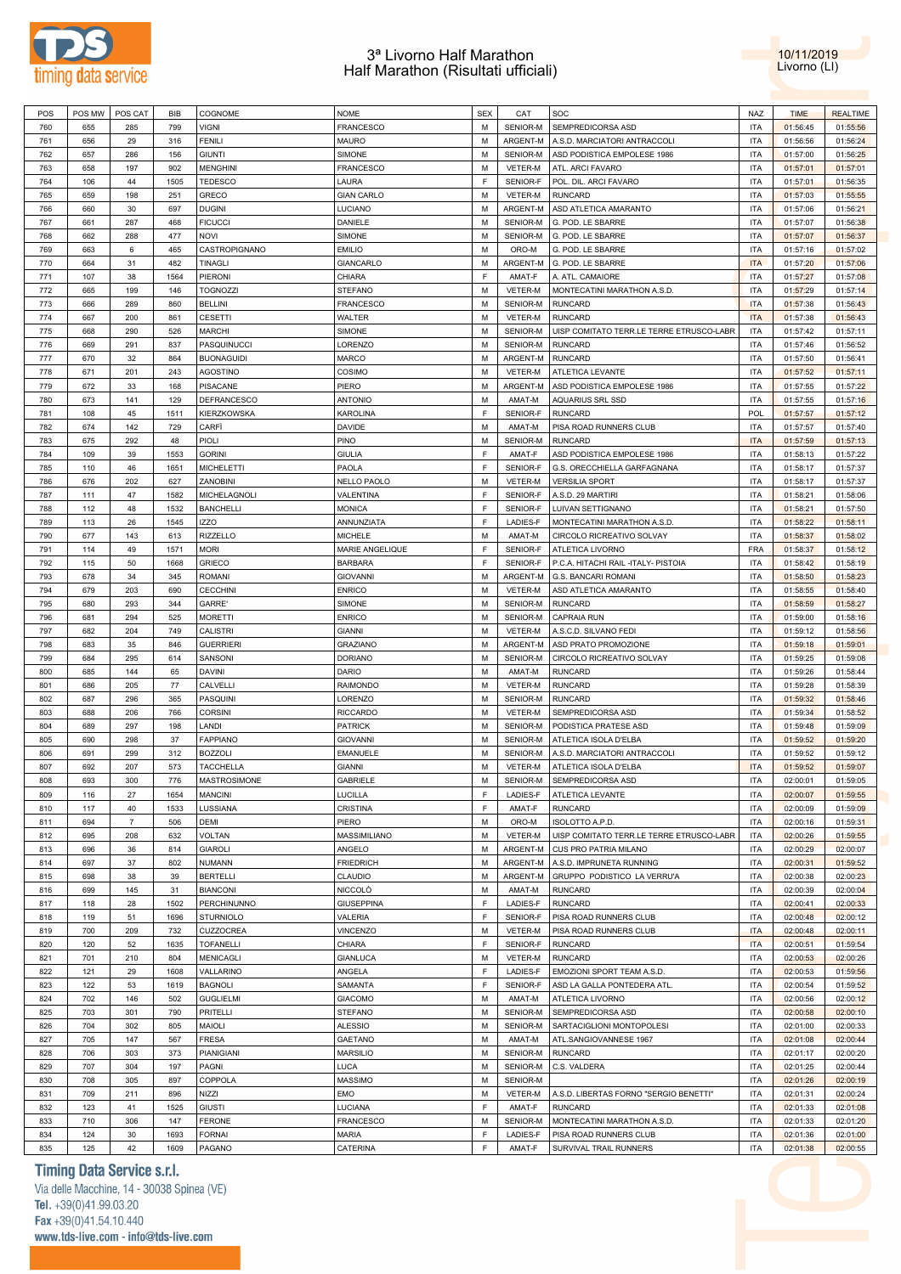



| POS | POS MW | POS CAT        | BIB  | COGNOME             | <b>NOME</b>       | <b>SEX</b> | CAT            | SOC                                      | <b>NAZ</b> | <b>TIME</b> | <b>REALTIME</b> |
|-----|--------|----------------|------|---------------------|-------------------|------------|----------------|------------------------------------------|------------|-------------|-----------------|
| 760 | 655    | 285            | 799  | <b>VIGNI</b>        | <b>FRANCESCO</b>  | M          | SENIOR-M       | SEMPREDICORSA ASD                        | <b>ITA</b> | 01:56:45    | 01:55:56        |
| 761 | 656    | 29             | 316  | <b>FENILI</b>       | <b>MAURO</b>      | M          | ARGENT-M       | A.S.D. MARCIATORI ANTRACCOLI             | <b>ITA</b> | 01:56:56    | 01:56:24        |
| 762 | 657    | 286            | 156  | <b>GIUNTI</b>       | <b>SIMONE</b>     | M          | SENIOR-M       | ASD PODISTICA EMPOLESE 1986              | <b>ITA</b> | 01:57:00    | 01:56:25        |
|     |        |                |      |                     |                   |            |                |                                          |            |             |                 |
| 763 | 658    | 197            | 902  | <b>MENGHINI</b>     | <b>FRANCESCO</b>  | M          | VETER-M        | ATL. ARCI FAVARO                         | <b>ITA</b> | 01:57:01    | 01:57:01        |
| 764 | 106    | 44             | 1505 | <b>TEDESCO</b>      | LAURA             | F          | SENIOR-F       | POL. DIL. ARCI FAVARO                    | <b>ITA</b> | 01:57:01    | 01:56:35        |
| 765 | 659    | 198            | 251  | <b>GRECO</b>        | <b>GIAN CARLO</b> | M          | VETER-M        | <b>RUNCARD</b>                           | ITA        | 01:57:03    | 01:55:55        |
| 766 | 660    | 30             | 697  | <b>DUGINI</b>       | LUCIANO           | M          | ARGENT-M       | ASD ATLETICA AMARANTO                    | <b>ITA</b> | 01:57:06    | 01:56:21        |
| 767 | 661    | 287            | 468  | <b>FICUCCI</b>      | DANIELE           | М          | SENIOR-M       | G. POD. LE SBARRE                        | ITA        | 01:57:07    | 01:56:38        |
| 768 | 662    | 288            | 477  | <b>NOVI</b>         | <b>SIMONE</b>     | M          | SENIOR-M       | G. POD. LE SBARRE                        | <b>ITA</b> | 01:57:07    | 01:56:37        |
| 769 | 663    | 6              | 465  | CASTROPIGNANO       | <b>EMILIO</b>     | м          | ORO-M          | G. POD. LE SBARRE                        | <b>ITA</b> | 01:57:16    | 01:57:02        |
| 770 | 664    | 31             | 482  | <b>TINAGLI</b>      | <b>GIANCARLO</b>  | М          | ARGENT-M       | G. POD. LE SBARRE                        | <b>ITA</b> | 01:57:20    | 01:57:06        |
|     |        |                |      |                     |                   |            |                |                                          |            |             |                 |
| 771 | 107    | 38             | 1564 | PIERONI             | CHIARA            | F          | AMAT-F         | A. ATL. CAMAIORE                         | <b>ITA</b> | 01:57:27    | 01:57:08        |
| 772 | 665    | 199            | 146  | <b>TOGNOZZI</b>     | <b>STEFANO</b>    | M          | <b>VETER-M</b> | MONTECATINI MARATHON A.S.D.              | <b>ITA</b> | 01:57:29    | 01:57:14        |
| 773 | 666    | 289            | 860  | <b>BELLINI</b>      | <b>FRANCESCO</b>  | М          | SENIOR-M       | <b>RUNCARD</b>                           | <b>ITA</b> | 01:57:38    | 01:56:43        |
| 774 | 667    | 200            | 861  | <b>CESETTI</b>      | WALTER            | M          | VETER-M        | <b>RUNCARD</b>                           | <b>ITA</b> | 01:57:38    | 01:56:43        |
| 775 | 668    | 290            | 526  | <b>MARCHI</b>       | SIMONE            | М          | SENIOR-M       | UISP COMITATO TERR.LE TERRE ETRUSCO-LABR | <b>ITA</b> | 01:57:42    | 01:57:11        |
| 776 | 669    | 291            | 837  | PASQUINUCCI         | LORENZO           | M          | SENIOR-M       | <b>RUNCARD</b>                           | <b>ITA</b> | 01:57:46    | 01:56:52        |
| 777 | 670    | 32             | 864  | <b>BUONAGUIDI</b>   | <b>MARCO</b>      | M          | ARGENT-M       | <b>RUNCARD</b>                           | <b>ITA</b> | 01:57:50    | 01:56:41        |
| 778 | 671    | 201            | 243  | <b>AGOSTINO</b>     | COSIMO            | M          | VETER-M        | ATLETICA LEVANTE                         | <b>ITA</b> | 01:57:52    | 01:57:11        |
| 779 | 672    | 33             | 168  | <b>PISACANE</b>     | PIERO             | M          | ARGENT-M       | ASD PODISTICA EMPOLESE 1986              | <b>ITA</b> | 01:57:55    | 01:57:22        |
|     |        |                |      |                     |                   |            |                |                                          |            |             |                 |
| 780 | 673    | 141            | 129  | DEFRANCESCO         | <b>ANTONIO</b>    | M          | AMAT-M         | <b>AQUARIUS SRL SSD</b>                  | <b>ITA</b> | 01:57:55    | 01:57:16        |
| 781 | 108    | 45             | 1511 | KIERZKOWSKA         | <b>KAROLINA</b>   | F          | SENIOR-F       | <b>RUNCARD</b>                           | <b>POL</b> | 01:57:57    | 01:57:12        |
| 782 | 674    | 142            | 729  | CARFI               | <b>DAVIDE</b>     | M          | AMAT-M         | PISA ROAD RUNNERS CLUB                   | <b>ITA</b> | 01:57:57    | 01:57:40        |
| 783 | 675    | 292            | 48   | PIOLI               | PINO              | М          | SENIOR-M       | <b>RUNCARD</b>                           | <b>ITA</b> | 01:57:59    | 01:57:13        |
| 784 | 109    | 39             | 1553 | <b>GORINI</b>       | <b>GIULIA</b>     | F          | AMAT-F         | ASD PODISTICA EMPOLESE 1986              | <b>ITA</b> | 01:58:13    | 01:57:22        |
| 785 | 110    | 46             | 1651 | <b>MICHELETTI</b>   | PAOLA             | F          | SENIOR-F       | G.S. ORECCHIELLA GARFAGNANA              | <b>ITA</b> | 01:58:17    | 01:57:37        |
| 786 | 676    | 202            | 627  | ZANOBINI            | NELLO PAOLO       | М          | VETER-M        | <b>VERSILIA SPORT</b>                    | <b>ITA</b> | 01:58:17    | 01:57:37        |
| 787 | 111    | 47             | 1582 | MICHELAGNOLI        | VALENTINA         | F          | SENIOR-F       | A.S.D. 29 MARTIRI                        | <b>ITA</b> | 01:58:21    | 01:58:06        |
| 788 | 112    | 48             | 1532 | <b>BANCHELLI</b>    | <b>MONICA</b>     | F          | SENIOR-F       | LUIVAN SETTIGNANO                        | <b>ITA</b> | 01:58:21    | 01:57:50        |
| 789 | 113    | 26             | 1545 | <b>IZZO</b>         | ANNUNZIATA        | F          | LADIES-F       | MONTECATINI MARATHON A.S.D.              | <b>ITA</b> | 01:58:22    | 01:58:11        |
|     |        |                |      |                     |                   |            |                |                                          |            |             |                 |
| 790 | 677    | 143            | 613  | <b>RIZZELLO</b>     | <b>MICHELE</b>    | M          | AMAT-M         | CIRCOLO RICREATIVO SOLVAY                | <b>ITA</b> | 01:58:37    | 01:58:02        |
| 791 | 114    | 49             | 1571 | <b>MORI</b>         | MARIE ANGELIQUE   | E          | SENIOR-F       | ATLETICA LIVORNO                         | <b>FRA</b> | 01:58:37    | 01:58:12        |
| 792 | 115    | 50             | 1668 | <b>GRIECO</b>       | <b>BARBARA</b>    | F          | SENIOR-F       | P.C.A. HITACHI RAIL -ITALY- PISTOIA      | <b>ITA</b> | 01:58:42    | 01:58:19        |
| 793 | 678    | 34             | 345  | <b>ROMANI</b>       | <b>GIOVANNI</b>   | M          | ARGENT-M       | G.S. BANCARI ROMANI                      | <b>ITA</b> | 01:58:50    | 01:58:23        |
| 794 | 679    | 203            | 690  | <b>CECCHINI</b>     | <b>ENRICO</b>     | M          | VETER-M        | ASD ATLETICA AMARANTO                    | <b>ITA</b> | 01:58:55    | 01:58:40        |
| 795 | 680    | 293            | 344  | <b>GARRE'</b>       | SIMONE            | M          | SENIOR-M       | <b>RUNCARD</b>                           | <b>ITA</b> | 01:58:59    | 01:58:27        |
| 796 | 681    | 294            | 525  | <b>MORETTI</b>      | <b>ENRICO</b>     | M          | SENIOR-M       | <b>CAPRAIA RUN</b>                       | <b>ITA</b> | 01:59:00    | 01:58:16        |
| 797 | 682    | 204            | 749  | <b>CALISTRI</b>     | <b>GIANNI</b>     | M          | VETER-M        | A.S.C.D. SILVANO FEDI                    | ITA        | 01:59:12    | 01:58:56        |
| 798 | 683    | 35             | 846  |                     |                   | M          | ARGENT-M       | ASD PRATO PROMOZIONE                     | <b>ITA</b> |             |                 |
|     |        |                |      | <b>GUERRIERI</b>    | <b>GRAZIANO</b>   |            |                |                                          |            | 01:59:18    | 01:59:01        |
| 799 | 684    | 295            | 614  | SANSONI             | <b>DORIANO</b>    | М          | SENIOR-M       | CIRCOLO RICREATIVO SOLVAY                | <b>ITA</b> | 01:59:25    | 01:59:08        |
| 800 | 685    | 144            | 65   | <b>DAVINI</b>       | <b>DARIO</b>      | м          | AMAT-M         | <b>RUNCARD</b>                           | <b>ITA</b> | 01:59:26    | 01:58:44        |
| 801 | 686    | 205            | 77   | CALVELLI            | RAIMONDO          | М          | VETER-M        | <b>RUNCARD</b>                           | <b>ITA</b> | 01:59:28    | 01:58:39        |
| 802 | 687    | 296            | 365  | PASQUINI            | LORENZO           | М          | SENIOR-M       | <b>RUNCARD</b>                           | <b>ITA</b> | 01:59:32    | 01:58:46        |
| 803 | 688    | 206            | 766  | <b>CORSINI</b>      | <b>RICCARDO</b>   | М          | VETER-M        | SEMPREDICORSA ASD                        | <b>ITA</b> | 01:59:34    | 01:58:52        |
| 804 | 689    | 297            | 198  | LANDI               | <b>PATRICK</b>    | M          | SENIOR-M       | PODISTICA PRATESE ASD                    | <b>ITA</b> | 01:59:48    | 01:59:09        |
| 805 | 690    | 298            | 37   | <b>FAPPIANO</b>     | <b>GIOVANNI</b>   | М          | SENIOR-M       | ATLETICA ISOLA D'ELBA                    | <b>ITA</b> | 01:59:52    | 01:59:20        |
| 806 | 691    | 299            | 312  | <b>BOZZOLI</b>      | EMANUELE          | м          | SENIOR-M       | A.S.D. MARCIATORI ANTRACCOLI             | <b>ITA</b> | 01:59:52    | 01:59:12        |
| 807 | 692    | 207            | 573  | <b>TACCHELLA</b>    | <b>GIANNI</b>     | M          | VETER-M        | ATLETICA ISOLA D'ELBA                    | <b>ITA</b> | 01:59:52    | 01:59:07        |
|     |        |                |      |                     |                   |            |                |                                          |            |             |                 |
| 808 | 693    | 300            | 776  | <b>MASTROSIMONE</b> | <b>GABRIELE</b>   | M          | SENIOR-M       | SEMPREDICORSA ASD                        | <b>ITA</b> | 02:00:01    | 01:59:05        |
| 809 | 116    | 27             | 1654 | <b>MANCINI</b>      | LUCILLA           | F          | LADIES-F       | ATLETICA LEVANTE                         | <b>ITA</b> | 02:00:07    | 01:59:55        |
| 810 | 117    | 40             | 1533 | LUSSIANA            | CRISTINA          | E          | AMAT-F         | <b>RUNCARD</b>                           | <b>ITA</b> | 02:00:09    | 01:59:09        |
| 811 | 694    | $\overline{7}$ | 506  | DEMI                | PIERO             | M          | ORO-M          | ISOLOTTO A.P.D.                          | <b>ITA</b> | 02:00:16    | 01:59:31        |
| 812 | 695    | 208            | 632  | VOLTAN              | MASSIMILIANO      | М          | VETER-M        | UISP COMITATO TERR.LE TERRE ETRUSCO-LABR | <b>ITA</b> | 02:00:26    | 01:59:55        |
| 813 | 696    | 36             | 814  | <b>GIAROLI</b>      | ANGELO            | M          | ARGENT-M       | CUS PRO PATRIA MILANO                    | <b>ITA</b> | 02:00:29    | 02:00:07        |
| 814 | 697    | 37             | 802  | <b>NUMANN</b>       | <b>FRIEDRICH</b>  | М          | ARGENT-M       | A.S.D. IMPRUNETA RUNNING                 | <b>ITA</b> | 02:00:31    | 01:59:52        |
| 815 | 698    | 38             | 39   | <b>BERTELLI</b>     | CLAUDIO           | М          | ARGENT-M       | GRUPPO PODISTICO LA VERRU'A              | <b>ITA</b> | 02:00:38    | 02:00:23        |
| 816 | 699    | 145            | 31   | <b>BIANCONI</b>     | <b>NICCOLO</b>    | М          | AMAT-M         | <b>RUNCARD</b>                           | <b>ITA</b> | 02:00:39    | 02:00:04        |
|     |        |                |      |                     |                   | F          | LADIES-F       |                                          |            |             |                 |
| 817 | 118    | 28             | 1502 | PERCHINUNNO         | <b>GIUSEPPINA</b> |            |                | <b>RUNCARD</b>                           | <b>ITA</b> | 02:00:41    | 02:00:33        |
| 818 | 119    | 51             | 1696 | <b>STURNIOLO</b>    | VALERIA           | F          | SENIOR-F       | PISA ROAD RUNNERS CLUB                   | <b>ITA</b> | 02:00:48    | 02:00:12        |
| 819 | 700    | 209            | 732  | <b>CUZZOCREA</b>    | <b>VINCENZO</b>   | M          | VETER-M        | PISA ROAD RUNNERS CLUB                   | <b>ITA</b> | 02:00:48    | 02:00:11        |
| 820 | 120    | 52             | 1635 | <b>TOFANELLI</b>    | CHIARA            | F          | SENIOR-F       | <b>RUNCARD</b>                           | <b>ITA</b> | 02:00:51    | 01:59:54        |
| 821 | 701    | 210            | 804  | MENICAGLI           | <b>GIANLUCA</b>   | M          | VETER-M        | <b>RUNCARD</b>                           | <b>ITA</b> | 02:00:53    | 02:00:26        |
| 822 | 121    | 29             | 1608 | VALLARINO           | ANGELA            | F          | LADIES-F       | EMOZIONI SPORT TEAM A.S.D.               | <b>ITA</b> | 02:00:53    | 01:59:56        |
| 823 | 122    | 53             | 1619 | <b>BAGNOLI</b>      | SAMANTA           | F          | SENIOR-F       | ASD LA GALLA PONTEDERA ATL.              | <b>ITA</b> | 02:00:54    | 01:59:52        |
| 824 | 702    | 146            | 502  | <b>GUGLIELMI</b>    | <b>GIACOMO</b>    | М          | AMAT-M         | ATLETICA LIVORNO                         | <b>ITA</b> | 02:00:56    | 02:00:12        |
| 825 | 703    | 301            | 790  | PRITELLI            | <b>STEFANO</b>    | M          | SENIOR-M       | SEMPREDICORSA ASD                        | <b>ITA</b> | 02:00:58    | 02:00:10        |
|     |        | 302            | 805  | MAIOLI              |                   | М          |                |                                          | <b>ITA</b> |             |                 |
| 826 | 704    |                |      |                     | <b>ALESSIO</b>    |            | SENIOR-M       | SARTACIGLIONI MONTOPOLESI                |            | 02:01:00    | 02:00:33        |
| 827 | 705    | 147            | 567  | <b>FRESA</b>        | GAETANO           | M          | AMAT-M         | ATL.SANGIOVANNESE 1967                   | <b>ITA</b> | 02:01:08    | 02:00:44        |
| 828 | 706    | 303            | 373  | PIANIGIANI          | <b>MARSILIO</b>   | М          | SENIOR-M       | <b>RUNCARD</b>                           | <b>ITA</b> | 02:01:17    | 02:00:20        |
| 829 | 707    | 304            | 197  | PAGNI               | LUCA              | М          | SENIOR-M       | C.S. VALDERA                             | <b>ITA</b> | 02:01:25    | 02:00:44        |
| 830 | 708    | 305            | 897  | COPPOLA             | MASSIMO           | М          | SENIOR-M       |                                          | <b>ITA</b> | 02:01:26    | 02:00:19        |
| 831 | 709    | 211            | 896  | NIZZI               | EMO               | M          | VETER-M        | A.S.D. LIBERTAS FORNO "SERGIO BENETTI"   | <b>ITA</b> | 02:01:31    | 02:00:24        |
| 832 | 123    | 41             | 1525 | <b>GIUSTI</b>       | LUCIANA           | F          | AMAT-F         | <b>RUNCARD</b>                           | <b>ITA</b> | 02:01:33    | 02:01:08        |
| 833 | 710    | 306            | 147  | <b>FERONE</b>       | <b>FRANCESCO</b>  | M          | SENIOR-M       | MONTECATINI MARATHON A.S.D.              | <b>ITA</b> | 02:01:33    | 02:01:20        |
| 834 | 124    | 30             | 1693 | <b>FORNAI</b>       | MARIA             | F          | LADIES-F       | PISA ROAD RUNNERS CLUB                   | <b>ITA</b> | 02:01:36    | 02:01:00        |
|     |        |                |      |                     |                   |            |                |                                          |            |             |                 |
| 835 | 125    | 42             | 1609 | PAGANO              | CATERINA          | F          | AMAT-F         | SURVIVAL TRAIL RUNNERS                   | <b>ITA</b> | 02:01:38    | 02:00:55        |

# **Timing Data Service s.r.l.**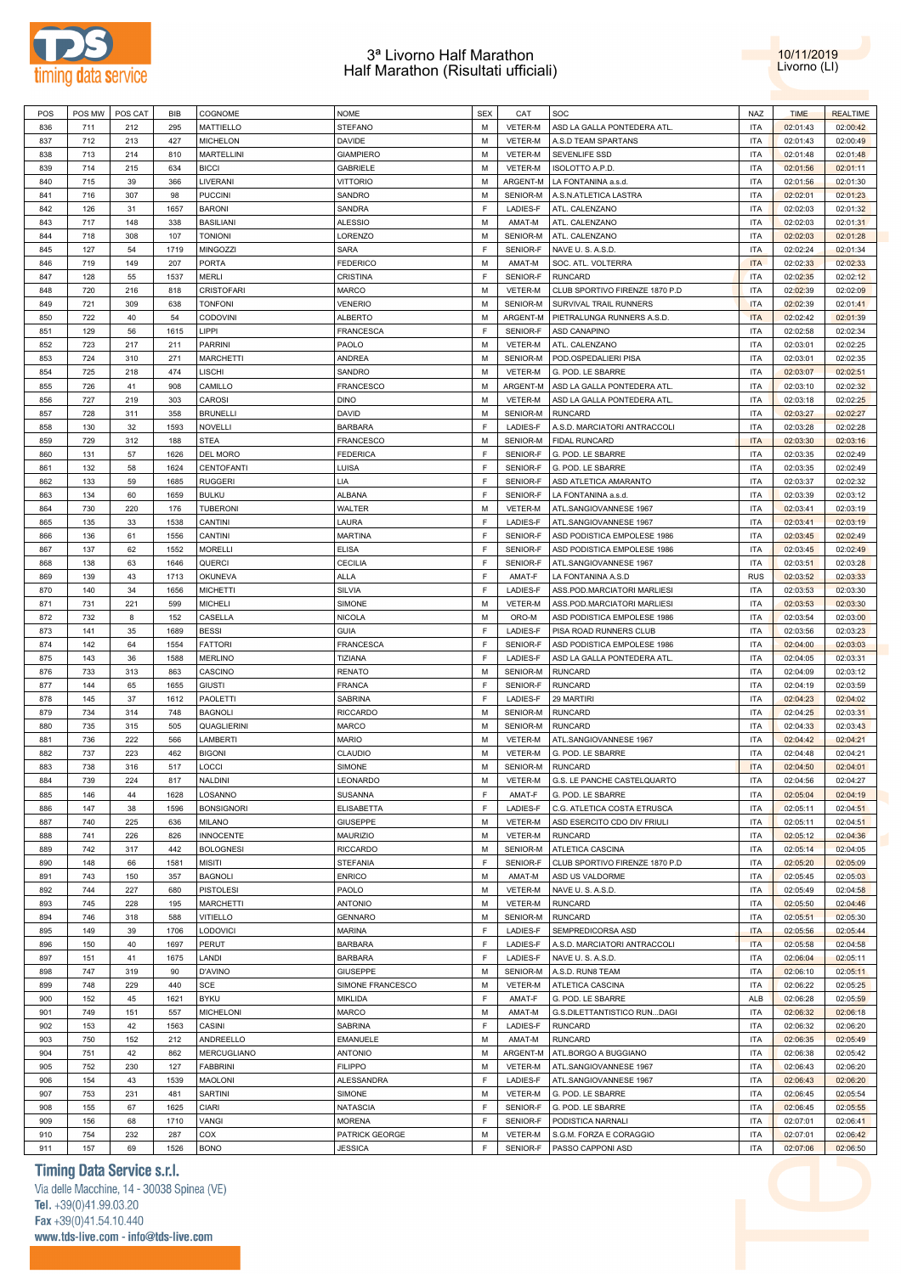



| POS | POS MW | POS CAT | BIB  | COGNOME            | <b>NOME</b>       | <b>SEX</b> | CAT             | SOC                            | <b>NAZ</b> | <b>TIME</b> | <b>REALTIME</b> |
|-----|--------|---------|------|--------------------|-------------------|------------|-----------------|--------------------------------|------------|-------------|-----------------|
| 836 | 711    | 212     | 295  | <b>MATTIELLO</b>   | <b>STEFANO</b>    | M          | <b>VETER-M</b>  | ASD LA GALLA PONTEDERA ATL     | <b>ITA</b> | 02:01:43    | 02:00:42        |
|     |        |         |      |                    |                   |            |                 |                                |            |             |                 |
| 837 | 712    | 213     | 427  | <b>MICHELON</b>    | <b>DAVIDE</b>     | M          | VETER-M         | A.S.D TEAM SPARTANS            | <b>ITA</b> | 02:01:43    | 02:00:49        |
| 838 | 713    | 214     | 810  | <b>MARTELLINI</b>  | <b>GIAMPIERO</b>  | M          | VETER-M         | SEVENLIFE SSD                  | <b>ITA</b> | 02:01:48    | 02:01:48        |
| 839 | 714    | 215     | 634  | <b>BICCI</b>       | <b>GABRIELE</b>   | M          | VETER-M         | <b>ISOLOTTO A.P.D</b>          | <b>ITA</b> | 02:01:56    | 02:01:11        |
| 840 | 715    | 39      | 366  | LIVERANI           | <b>VITTORIO</b>   | M          | ARGENT-M        | LA FONTANINA a.s.d.            | <b>ITA</b> | 02:01:56    | 02:01:30        |
| 841 | 716    | 307     | 98   | <b>PUCCINI</b>     | SANDRO            | M          | SENIOR-M        | A.S.N.ATLETICA LASTRA          | <b>ITA</b> | 02:02:01    | 02:01:23        |
|     |        |         |      |                    |                   |            |                 |                                |            |             |                 |
| 842 | 126    | 31      | 1657 | <b>BARONI</b>      | SANDRA            | F          | LADIES-F        | ATL. CALENZANO                 | <b>ITA</b> | 02:02:03    | 02:01:32        |
| 843 | 717    | 148     | 338  | <b>BASILIANI</b>   | <b>ALESSIO</b>    | M          | AMAT-M          | ATL. CALENZANO                 | <b>ITA</b> | 02:02:03    | 02:01:31        |
| 844 | 718    | 308     | 107  | <b>TONIONI</b>     | LORENZO           | M          | SENIOR-M        | ATL. CALENZANO                 | <b>ITA</b> | 02:02:03    | 02:01:28        |
| 845 | 127    | 54      | 1719 | MINGOZZI           | SARA              | F          | SENIOR-F        | NAVE U.S. A.S.D.               | <b>ITA</b> | 02:02:24    | 02:01:34        |
|     |        |         |      |                    |                   | M          |                 |                                |            |             |                 |
| 846 | 719    | 149     | 207  | PORTA              | <b>FEDERICO</b>   |            | AMAT-M          | SOC. ATL. VOLTERRA             | <b>ITA</b> | 02:02:33    | 02:02:33        |
| 847 | 128    | 55      | 1537 | MERLI              | CRISTINA          | F          | SENIOR-F        | <b>RUNCARD</b>                 | <b>ITA</b> | 02:02:35    | 02:02:12        |
| 848 | 720    | 216     | 818  | <b>CRISTOFARI</b>  | <b>MARCO</b>      | M          | VETER-M         | CLUB SPORTIVO FIRENZE 1870 P.D | <b>ITA</b> | 02:02:39    | 02:02:09        |
| 849 | 721    | 309     | 638  | <b>TONFONI</b>     | <b>VENERIO</b>    | M          | SENIOR-M        | SURVIVAL TRAIL RUNNERS         | <b>ITA</b> | 02:02:39    | 02:01:41        |
| 850 | 722    | 40      | 54   | <b>CODOVINI</b>    | <b>ALBERTO</b>    | M          | ARGENT-M        | PIETRALUNGA RUNNERS A.S.D.     | <b>ITA</b> | 02:02:42    | 02:01:39        |
| 851 | 129    | 56      | 1615 | LIPPI              | FRANCESCA         | E          | SENIOR-F        | ASD CANAPINO                   | <b>ITA</b> | 02:02:58    | 02:02:34        |
|     |        |         |      |                    |                   |            |                 |                                |            |             |                 |
| 852 | 723    | 217     | 211  | <b>PARRINI</b>     | PAOLO             | M          | VETER-M         | ATL. CALENZANO                 | <b>ITA</b> | 02:03:01    | 02:02:25        |
| 853 | 724    | 310     | 271  | <b>MARCHETTI</b>   | ANDREA            | M          | SENIOR-M        | POD.OSPEDALIERI PISA           | <b>ITA</b> | 02:03:01    | 02:02:35        |
| 854 | 725    | 218     | 474  | LISCHI             | SANDRO            | M          | VETER-M         | G. POD. LE SBARRE              | <b>ITA</b> | 02:03:07    | 02:02:51        |
| 855 | 726    | 41      | 908  | CAMILLO            | FRANCESCO         | M          | ARGENT-M        | ASD LA GALLA PONTEDERA ATL     | <b>ITA</b> | 02:03:10    | 02:02:32        |
|     |        |         |      |                    |                   |            |                 |                                |            |             |                 |
| 856 | 727    | 219     | 303  | CAROSI             | <b>DINO</b>       | M          | VETER-M         | ASD LA GALLA PONTEDERA ATL     | <b>ITA</b> | 02:03:18    | 02:02:25        |
| 857 | 728    | 311     | 358  | <b>BRUNELLI</b>    | DAVID             | M          | SENIOR-M        | <b>RUNCARD</b>                 | <b>ITA</b> | 02:03:27    | 02:02:27        |
| 858 | 130    | 32      | 1593 | <b>NOVELLI</b>     | <b>BARBARA</b>    | E          | LADIES-F        | A.S.D. MARCIATORI ANTRACCOLI   | <b>ITA</b> | 02:03:28    | 02:02:28        |
| 859 | 729    | 312     | 188  | <b>STEA</b>        | <b>FRANCESCO</b>  | M          | SENIOR-M        | <b>FIDAL RUNCARD</b>           | <b>ITA</b> | 02:03:30    | 02:03:16        |
| 860 | 131    | 57      | 1626 | <b>DEL MORO</b>    | <b>FEDERICA</b>   | F          | SENIOR-F        | G. POD. LE SBARRE              | <b>ITA</b> | 02:03:35    | 02:02:49        |
|     |        |         |      |                    |                   |            |                 |                                |            |             |                 |
| 861 | 132    | 58      | 1624 | CENTOFANTI         | LUISA             | F          | SENIOR-F        | G. POD. LE SBARRE              | <b>ITA</b> | 02:03:35    | 02:02:49        |
| 862 | 133    | 59      | 1685 | <b>RUGGERI</b>     | LIA               | F          | SENIOR-F        | ASD ATLETICA AMARANTO          | <b>ITA</b> | 02:03:37    | 02:02:32        |
| 863 | 134    | 60      | 1659 | <b>BULKU</b>       | ALBANA            | F          | SENIOR-F        | LA FONTANINA a.s.d.            | <b>ITA</b> | 02:03:39    | 02:03:12        |
| 864 | 730    | 220     | 176  | <b>TUBERONI</b>    | WALTER            | M          | VETER-M         | ATL.SANGIOVANNESE 1967         | <b>ITA</b> | 02:03:41    | 02:03:19        |
| 865 | 135    | 33      | 1538 | CANTINI            | LAURA             | F          | LADIES-F        | ATL.SANGIOVANNESE 1967         | <b>ITA</b> | 02:03:41    | 02:03:19        |
|     |        |         |      |                    |                   |            |                 |                                |            |             |                 |
| 866 | 136    | 61      | 1556 | CANTINI            | <b>MARTINA</b>    | E          | SENIOR-F        | ASD PODISTICA EMPOLESE 1986    | <b>ITA</b> | 02:03:45    | 02:02:49        |
| 867 | 137    | 62      | 1552 | <b>MORELLI</b>     | <b>ELISA</b>      | E          | SENIOR-F        | ASD PODISTICA EMPOLESE 1986    | <b>ITA</b> | 02:03:45    | 02:02:49        |
| 868 | 138    | 63      | 1646 | QUERCI             | CECILIA           | E          | SENIOR-F        | ATL.SANGIOVANNESE 1967         | <b>ITA</b> | 02:03:51    | 02:03:28        |
| 869 | 139    | 43      | 1713 | OKUNEVA            | <b>ALLA</b>       | E          | AMAT-F          | LA FONTANINA A.S.D             | <b>RUS</b> | 02:03:52    | 02:03:33        |
| 870 | 140    | 34      | 1656 | <b>MICHETTI</b>    | SILVIA            | E          | <b>LADIES-F</b> | ASS.POD.MARCIATORI MARLIESI    | <b>ITA</b> | 02:03:53    | 02:03:30        |
|     |        |         |      |                    |                   |            |                 |                                |            |             |                 |
| 871 | 731    | 221     | 599  | <b>MICHELI</b>     | <b>SIMONE</b>     | M          | VETER-M         | ASS.POD.MARCIATORI MARLIESI    | <b>ITA</b> | 02:03:53    | 02:03:30        |
| 872 | 732    | 8       | 152  | CASELLA            | <b>NICOLA</b>     | M          | ORO-M           | ASD PODISTICA EMPOLESE 1986    | <b>ITA</b> | 02:03:54    | 02:03:00        |
| 873 | 141    | 35      | 1689 | <b>BESSI</b>       | <b>GUIA</b>       | E          | <b>LADIES-F</b> | PISA ROAD RUNNERS CLUB         | <b>ITA</b> | 02:03:56    | 02:03:23        |
| 874 | 142    | 64      | 1554 | <b>FATTORI</b>     | FRANCESCA         | E          | SENIOR-F        | ASD PODISTICA EMPOLESE 1986    | <b>ITA</b> | 02:04:00    | 02:03:03        |
| 875 | 143    | 36      | 1588 | <b>MERLINO</b>     | TIZIANA           | E          | <b>LADIES-F</b> | ASD LA GALLA PONTEDERA ATL     | <b>ITA</b> | 02:04:05    | 02:03:31        |
|     |        |         |      |                    |                   |            |                 |                                |            |             |                 |
| 876 | 733    | 313     | 863  | CASCINO            | <b>RENATO</b>     | M          | SENIOR-M        | <b>RUNCARD</b>                 | <b>ITA</b> | 02:04:09    | 02:03:12        |
| 877 | 144    | 65      | 1655 | <b>GIUSTI</b>      | <b>FRANCA</b>     | F          | SENIOR-F        | <b>RUNCARD</b>                 | <b>ITA</b> | 02:04:19    | 02:03:59        |
| 878 | 145    | 37      | 1612 | <b>PAOLETTI</b>    | SABRINA           | F          | <b>LADIES-F</b> | 29 MARTIRI                     | <b>ITA</b> | 02:04:23    | 02:04:02        |
| 879 | 734    | 314     | 748  | <b>BAGNOLI</b>     | <b>RICCARDO</b>   | M          | SENIOR-M        | <b>RUNCARD</b>                 | <b>ITA</b> | 02:04:25    | 02:03:31        |
| 880 | 735    | 315     | 505  | QUAGLIERINI        | MARCO             | M          | SENIOR-M        | <b>RUNCARD</b>                 | <b>ITA</b> | 02:04:33    | 02:03:43        |
|     |        |         |      |                    |                   |            |                 |                                |            |             |                 |
| 881 | 736    | 222     | 566  | LAMBERTI           | <b>MARIO</b>      | M          | VETER-M         | ATL.SANGIOVANNESE 1967         | <b>ITA</b> | 02:04:42    | 02:04:21        |
| 882 | 737    | 223     | 462  | <b>BIGONI</b>      | CLAUDIO           | M          | <b>VETER-M</b>  | G. POD. LE SBARRE              | <b>ITA</b> | 02:04:48    | 02:04:21        |
| 883 | 738    | 316     | 517  | LOCCI              | <b>SIMONE</b>     | M          | SENIOR-M        | <b>RUNCARD</b>                 | <b>ITA</b> | 02:04:50    | 02:04:01        |
| 884 | 739    | 224     | 817  | <b>NALDINI</b>     | LEONARDO          | M          | VETER-M         | G.S. LE PANCHE CASTELQUARTO    | <b>ITA</b> | 02:04:56    | 02:04:27        |
| 885 | 146    |         | 1628 | LOSANNO            | <b>SUSANNA</b>    | F          | AMAT-F          | G. POD. LE SBARRE              | <b>ITA</b> | 02:05:04    | 02:04:19        |
|     |        | 44      |      |                    |                   |            |                 |                                |            |             |                 |
| 886 | 147    | 38      | 1596 | <b>BONSIGNORI</b>  | <b>ELISABETTA</b> | F          | LADIES-F        | C.G. ATLETICA COSTA ETRUSCA    | <b>ITA</b> | 02:05:11    | 02:04:51        |
| 887 | 740    | 225     | 636  | <b>MILANO</b>      | <b>GIUSEPPE</b>   | M          | VETER-M         | ASD ESERCITO CDO DIV FRIULI    | <b>ITA</b> | 02:05:11    | 02:04:51        |
| 888 | 741    | 226     | 826  | <b>INNOCENTE</b>   | <b>MAURIZIO</b>   | M          | VETER-M         | <b>RUNCARD</b>                 | <b>ITA</b> | 02:05:12    | 02:04:36        |
| 889 | 742    | 317     | 442  | <b>BOLOGNESI</b>   | <b>RICCARDO</b>   | M          | SENIOR-M        | ATLETICA CASCINA               | <b>ITA</b> | 02:05:14    | 02:04:05        |
| 890 | 148    | 66      | 1581 | <b>MISITI</b>      | <b>STEFANIA</b>   | E          | SENIOR-F        | CLUB SPORTIVO FIRENZE 1870 P.D | <b>ITA</b> | 02:05:20    | 02:05:09        |
|     |        |         |      |                    |                   |            |                 |                                |            |             |                 |
| 891 | 743    | 150     | 357  | <b>BAGNOLI</b>     | <b>ENRICO</b>     | M          | AMAT-M          | ASD US VALDORME                | <b>ITA</b> | 02:05:45    | 02:05:03        |
| 892 | 744    | 227     | 680  | <b>PISTOLESI</b>   | PAOLO             | M          | VETER-M         | NAVE U.S.A.S.D.                | <b>ITA</b> | 02:05:49    | 02:04:58        |
| 893 | 745    | 228     | 195  | <b>MARCHETTI</b>   | <b>ANTONIO</b>    | M          | VETER-M         | RUNCARD                        | <b>ITA</b> | 02:05:50    | 02:04:46        |
| 894 | 746    | 318     | 588  | <b>VITIELLO</b>    | <b>GENNARO</b>    | M          | SENIOR-M        | <b>RUNCARD</b>                 | <b>ITA</b> | 02:05:51    | 02:05:30        |
|     |        |         |      |                    |                   | F          |                 |                                |            |             |                 |
| 895 | 149    | 39      | 1706 | LODOVICI           | MARINA            |            | LADIES-F        | SEMPREDICORSA ASD              | <b>ITA</b> | 02:05:56    | 02:05:44        |
| 896 | 150    | 40      | 1697 | PERUT              | <b>BARBARA</b>    | F          | LADIES-F        | A.S.D. MARCIATORI ANTRACCOLI   | <b>ITA</b> | 02:05:58    | 02:04:58        |
| 897 | 151    | 41      | 1675 | LANDI              | <b>BARBARA</b>    | F          | LADIES-F        | NAVE U.S.A.S.D.                | <b>ITA</b> | 02:06:04    | 02:05:11        |
| 898 | 747    | 319     | 90   | <b>D'AVINO</b>     | <b>GIUSEPPE</b>   | M          | SENIOR-M        | A.S.D. RUN8 TEAM               | <b>ITA</b> | 02:06:10    | 02:05:11        |
| 899 | 748    | 229     | 440  | <b>SCE</b>         | SIMONE FRANCESCO  | M          | VETER-M         | ATLETICA CASCINA               | <b>ITA</b> | 02:06:22    | 02:05:25        |
|     |        |         |      |                    |                   |            |                 |                                |            |             |                 |
| 900 | 152    | 45      | 1621 | <b>BYKU</b>        | <b>MIKLIDA</b>    | E          | AMAT-F          | G. POD. LE SBARRE              | ALB        | 02:06:28    | 02:05:59        |
| 901 | 749    | 151     | 557  | <b>MICHELONI</b>   | MARCO             | M          | AMAT-M          | G.S.DILETTANTISTICO RUNDAGI    | <b>ITA</b> | 02:06:32    | 02:06:18        |
| 902 | 153    | 42      | 1563 | CASINI             | SABRINA           | F          | LADIES-F        | <b>RUNCARD</b>                 | <b>ITA</b> | 02:06:32    | 02:06:20        |
| 903 | 750    | 152     | 212  | ANDREELLO          | <b>EMANUELE</b>   | M          | AMAT-M          | <b>RUNCARD</b>                 | <b>ITA</b> | 02:06:35    | 02:05:49        |
| 904 | 751    |         | 862  | <b>MERCUGLIANO</b> | <b>ANTONIO</b>    | M          | ARGENT-M        | ATL.BORGO A BUGGIANO           | <b>ITA</b> |             |                 |
|     |        | 42      |      |                    |                   |            |                 |                                |            | 02:06:38    | 02:05:42        |
| 905 | 752    | 230     | 127  | <b>FABBRINI</b>    | <b>FILIPPO</b>    | M          | VETER-M         | ATL.SANGIOVANNESE 1967         | <b>ITA</b> | 02:06:43    | 02:06:20        |
| 906 | 154    | 43      | 1539 | MAOLONI            | <b>ALESSANDRA</b> | E          | LADIES-F        | ATL.SANGIOVANNESE 1967         | <b>ITA</b> | 02:06:43    | 02:06:20        |
| 907 | 753    | 231     | 481  | <b>SARTINI</b>     | SIMONE            | M          | VETER-M         | G. POD. LE SBARRE              | <b>ITA</b> | 02:06:45    | 02:05:54        |
| 908 | 155    | 67      | 1625 | <b>CIARI</b>       | <b>NATASCIA</b>   | E          | SENIOR-F        | G. POD. LE SBARRE              | <b>ITA</b> | 02:06:45    | 02:05:55        |
|     |        |         |      |                    |                   | E          |                 |                                |            |             |                 |
| 909 | 156    | 68      | 1710 | VANGI              | <b>MORENA</b>     |            | SENIOR-F        | PODISTICA NARNALI              | <b>ITA</b> | 02:07:01    | 02:06:41        |
| 910 | 754    | 232     | 287  | COX                | PATRICK GEORGE    | M          | VETER-M         | S.G.M. FORZA E CORAGGIO        | <b>ITA</b> | 02:07:01    | 02:06:42        |
| 911 | 157    | 69      | 1526 | <b>BONO</b>        | <b>JESSICA</b>    | E          | SENIOR-F        | PASSO CAPPONI ASD              | <b>ITA</b> | 02:07:06    | 02:06:50        |

# **Timing Data Service s.r.l.**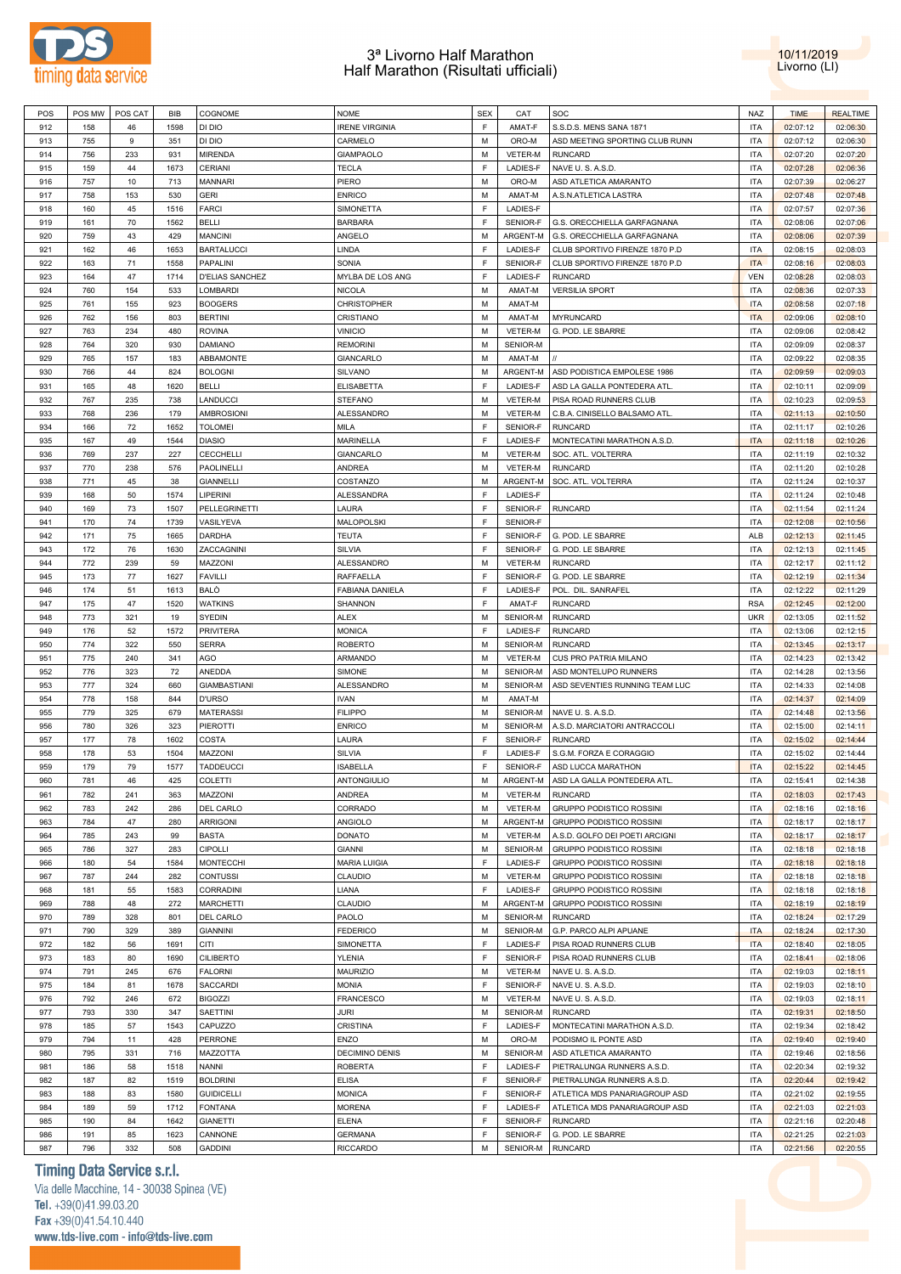



| POS        | POS MW     | POS CAT   | <b>BIB</b>  | COGNOME                   | <b>NOME</b>                       | <b>SEX</b> | CAT                  | SOC                                 | <b>NAZ</b> | <b>TIME</b>          | <b>REALTIME</b>      |
|------------|------------|-----------|-------------|---------------------------|-----------------------------------|------------|----------------------|-------------------------------------|------------|----------------------|----------------------|
|            |            |           |             |                           |                                   |            |                      |                                     |            |                      |                      |
| 912        | 158        | 46        | 1598        | DI DIO                    | <b>IRENE VIRGINIA</b>             | E          | AMAT-F               | S.S.D.S. MENS SANA 1871             | <b>ITA</b> | 02:07:12             | 02:06:30             |
| 913        | 755        | 9         | 351         | DI DIO                    | CARMELO                           | M          | ORO-M                | ASD MEETING SPORTING CLUB RUNN      | <b>ITA</b> | 02:07:12             | 02:06:30             |
| 914        | 756        | 233       | 931         | <b>MIRENDA</b>            | <b>GIAMPAOLO</b>                  | M          | VETER-M              | <b>RUNCARD</b>                      | <b>ITA</b> | 02:07:20             | 02:07:20             |
| 915        | 159        | 44        | 1673        | CERIANI                   | <b>TECLA</b>                      | F          | LADIES-F             | NAVE U.S.A.S.D.                     | <b>ITA</b> | 02:07:28             | 02:06:36             |
| 916        | 757        | 10        | 713         | <b>MANNARI</b>            | PIERO                             | M          | ORO-M                | ASD ATLETICA AMARANTO               | <b>ITA</b> | 02:07:39             | 02:06:27             |
|            |            |           |             |                           |                                   |            |                      |                                     |            |                      |                      |
| 917        | 758        | 153       | 530         | <b>GERI</b>               | <b>ENRICO</b>                     | M          | AMAT-M               | A.S.N.ATLETICA LASTRA               | <b>ITA</b> | 02:07:48             | 02:07:48             |
| 918        | 160        | 45        | 1516        | <b>FARCI</b>              | SIMONETTA                         | F.         | LADIES-F             |                                     | <b>ITA</b> | 02:07:57             | 02:07:36             |
| 919        | 161        | 70        | 1562        | <b>BELLI</b>              | <b>BARBARA</b>                    | F          | SENIOR-F             | G.S. ORECCHIELLA GARFAGNANA         | <b>ITA</b> | 02:08:06             | 02:07:06             |
| 920        | 759        | 43        | 429         | <b>MANCINI</b>            | ANGELO                            | M          | ARGENT-M             | G.S. ORECCHIELLA GARFAGNANA         | <b>ITA</b> | 02:08:06             | 02:07:39             |
|            |            | 46        | 1653        | <b>BARTALUCCI</b>         | LINDA                             | F          | <b>LADIES-F</b>      |                                     | <b>ITA</b> |                      |                      |
| 921        | 162        |           |             |                           |                                   |            |                      | CLUB SPORTIVO FIRENZE 1870 P.D      |            | 02:08:15             | 02:08:03             |
| 922        | 163        | 71        | 1558        | PAPALINI                  | SONIA                             | F          | SENIOR-F             | CLUB SPORTIVO FIRENZE 1870 P.D      | <b>ITA</b> | 02:08:16             | 02:08:03             |
| 923        | 164        | 47        | 1714        | <b>D'ELIAS SANCHEZ</b>    | MYLBA DE LOS ANG                  | F          | LADIES-F             | <b>RUNCARD</b>                      | <b>VEN</b> | 02:08:28             | 02:08:03             |
| 924        | 760        | 154       | 533         | <b>LOMBARDI</b>           | <b>NICOLA</b>                     | M          | AMAT-M               | <b>VERSILIA SPORT</b>               | <b>ITA</b> | 02:08:36             | 02:07:33             |
| 925        | 761        | 155       | 923         | <b>BOOGERS</b>            | <b>CHRISTOPHER</b>                | M          | AMAT-M               |                                     | <b>ITA</b> | 02:08:58             | 02:07:18             |
|            |            |           |             |                           |                                   | M          |                      |                                     | <b>ITA</b> |                      |                      |
| 926        | 762        | 156       | 803         | <b>BERTINI</b>            | CRISTIANO                         |            | AMAT-M               | <b>MYRUNCARD</b>                    |            | 02:09:06             | 02:08:10             |
| 927        | 763        | 234       | 480         | <b>ROVINA</b>             | <b>VINICIO</b>                    | M          | VETER-M              | G. POD. LE SBARRE                   | <b>ITA</b> | 02:09:06             | 02:08:42             |
| 928        | 764        | 320       | 930         | <b>DAMIANO</b>            | <b>REMORINI</b>                   | M          | SENIOR-M             |                                     | <b>ITA</b> | 02:09:09             | 02:08:37             |
| 929        | 765        | 157       | 183         | ABBAMONTE                 | <b>GIANCARLO</b>                  | M          | AMAT-M               |                                     | <b>ITA</b> | 02:09:22             | 02:08:35             |
| 930        | 766        | 44        | 824         | <b>BOLOGNI</b>            | <b>SILVANO</b>                    | M          | ARGENT-M             | ASD PODISTICA EMPOLESE 1986         | <b>ITA</b> | 02:09:59             | 02:09:03             |
|            |            |           |             |                           |                                   |            |                      |                                     |            |                      |                      |
| 931        | 165        | 48        | 1620        | <b>BELLI</b>              | <b>ELISABETTA</b>                 | F          | LADIES-F             | ASD LA GALLA PONTEDERA ATL          | <b>ITA</b> | 02:10:11             | 02:09:09             |
| 932        | 767        | 235       | 738         | LANDUCCI                  | <b>STEFANO</b>                    | M          | <b>VETER-M</b>       | PISA ROAD RUNNERS CLUB              | <b>ITA</b> | 02:10:23             | 02:09:53             |
| 933        | 768        | 236       | 179         | <b>AMBROSIONI</b>         | ALESSANDRO                        | М          | <b>VETER-M</b>       | C.B.A. CINISELLO BALSAMO ATL        | <b>ITA</b> | 02:11:13             | 02:10:50             |
| 934        | 166        | 72        | 1652        | <b>TOLOMEI</b>            | MILA                              | F          | SENIOR-F             | <b>RUNCARD</b>                      | <b>ITA</b> | 02:11:17             | 02:10:26             |
| 935        | 167        | 49        | 1544        | <b>DIASIO</b>             | <b>MARINELLA</b>                  | F          | LADIES-F             | MONTECATINI MARATHON A.S.D          | <b>ITA</b> | 02:11:18             | 02:10:26             |
|            |            |           |             |                           |                                   |            |                      |                                     |            |                      |                      |
| 936        | 769        | 237       | 227         | CECCHELLI                 | <b>GIANCARLO</b>                  | M          | VETER-M              | SOC. ATL. VOLTERRA                  | <b>ITA</b> | 02:11:19             | 02:10:32             |
| 937        | 770        | 238       | 576         | PAOLINELLI                | <b>ANDREA</b>                     | М          | <b>VETER-M</b>       | <b>RUNCARD</b>                      | <b>ITA</b> | 02:11:20             | 02:10:28             |
| 938        | 771        | 45        | 38          | <b>GIANNELLI</b>          | COSTANZO                          | M          | ARGENT-M             | SOC. ATL. VOLTERRA                  | <b>ITA</b> | 02:11:24             | 02:10:37             |
| 939        | 168        | 50        | 1574        | LIPERINI                  | ALESSANDRA                        | F          | <b>LADIES-F</b>      |                                     | <b>ITA</b> | 02:11:24             | 02:10:48             |
| 940        | 169        | 73        | 1507        | <b>PELLEGRINETTI</b>      | LAURA                             | E          | SENIOR-F             | <b>RUNCARD</b>                      | <b>ITA</b> | 02:11:54             | 02:11:24             |
|            |            |           |             |                           |                                   |            |                      |                                     |            |                      |                      |
| 941        | 170        | 74        | 1739        | VASILYEVA                 | MALOPOLSKI                        | E          | SENIOR-F             |                                     | <b>ITA</b> | 02:12:08             | 02:10:56             |
| 942        | 171        | 75        | 1665        | <b>DARDHA</b>             | <b>TEUTA</b>                      | F          | SENIOR-F             | G. POD. LE SBARRE                   | ALB        | 02:12:13             | 02:11:45             |
| 943        | 172        | 76        | 1630        | ZACCAGNINI                | SILVIA                            | F          | SENIOR-F             | G. POD. LE SBARRE                   | <b>ITA</b> | 02:12:13             | 02:11:45             |
| 944        | 772        | 239       | 59          | MAZZONI                   | ALESSANDRO                        | M          | VETER-M              | <b>RUNCARD</b>                      | <b>ITA</b> | 02:12:17             | 02:11:12             |
| 945        | 173        | 77        | 1627        | <b>FAVILLI</b>            | RAFFAELLA                         | F          | SENIOR-F             | G. POD. LE SBARRE                   | <b>ITA</b> | 02:12:19             | 02:11:34             |
|            |            |           |             |                           |                                   |            |                      |                                     |            |                      |                      |
| 946        | 174        | 51        | 1613        | <b>BALO</b>               | FABIANA DANIELA                   | F          | LADIES-F             | POL. DIL. SANRAFEL                  | <b>ITA</b> | 02:12:22             | 02:11:29             |
| 947        | 175        | 47        | 1520        | <b>WATKINS</b>            | SHANNON                           | F          | AMAT-F               | <b>RUNCARD</b>                      | <b>RSA</b> | 02:12:45             | 02:12:00             |
| 948        | 773        | 321       | 19          | SYEDIN                    | ALEX                              | M          | SENIOR-M             | <b>RUNCARD</b>                      | <b>UKR</b> | 02:13:05             | 02:11:52             |
| 949        | 176        | 52        | 1572        | <b>PRIVITERA</b>          | <b>MONICA</b>                     | F          | LADIES-F             | <b>RUNCARD</b>                      | <b>ITA</b> | 02:13:06             | 02:12:15             |
|            |            |           |             |                           |                                   |            |                      |                                     |            |                      |                      |
|            |            |           |             |                           |                                   |            |                      |                                     |            |                      |                      |
| 950        | 774        | 322       | 550         | <b>SERRA</b>              | <b>ROBERTO</b>                    | M          | SENIOR-M             | <b>RUNCARD</b>                      | <b>ITA</b> | 02:13:45             | 02:13:17             |
| 951        | 775        | 240       | 341         | AGO                       | ARMANDO                           | M          | VETER-M              | CUS PRO PATRIA MILANO               | <b>ITA</b> | 02:14:23             | 02:13:42             |
| 952        | 776        | 323       | 72          | ANEDDA                    | SIMONE                            | M          | SENIOR-M             | ASD MONTELUPO RUNNERS               | <b>ITA</b> | 02:14:28             | 02:13:56             |
| 953        | 777        | 324       | 660         | <b>GIAMBASTIANI</b>       | ALESSANDRO                        | М          | SENIOR-M             | ASD SEVENTIES RUNNING TEAM LUC      | <b>ITA</b> | 02:14:33             | 02:14:08             |
| 954        | 778        | 158       | 844         | <b>D'URSO</b>             | <b>IVAN</b>                       | M          | AMAT-M               |                                     | <b>ITA</b> | 02:14:37             | 02:14:09             |
|            |            |           |             |                           |                                   |            |                      |                                     |            |                      |                      |
| 955        | 779        | 325       | 679         | <b>MATERASSI</b>          | <b>FILIPPO</b>                    | М          | SENIOR-M             | NAVE U.S.A.S.D.                     | <b>ITA</b> | 02:14:48             | 02:13:56             |
| 956        | 780        | 326       | 323         | <b>PIEROTTI</b>           | <b>ENRICO</b>                     | M          | SENIOR-M             | A.S.D. MARCIATORI ANTRACCOLI        | <b>ITA</b> | 02:15:00             | 02:14:11             |
| 957        | 177        | 78        | 1602        | COSTA                     | LAURA                             | F          | SENIOR-F             | <b>RUNCARD</b>                      | <b>ITA</b> | 02:15:02             | 02:14:44             |
| 958        | 178        | 53        | 1504        | MAZZONI                   | SILVIA                            | F          | LADIES-F             | S.G.M. FORZA E CORAGGIO             | <b>ITA</b> | 02:15:02             | 02:14:44             |
| 959        | 179        | 79        | 1577        | <b>TADDEUCCI</b>          | <b>ISABELLA</b>                   | F          | SENIOR-F             | ASD LUCCA MARATHON                  | <b>ITA</b> | 02:15:22             | 02:14:45             |
| 960        | 781        | 46        | 425         | COLETTI                   | ANTONGIULIO                       | м          |                      |                                     | ITA        | 02:15:41             | 02:14:38             |
|            |            |           |             |                           |                                   |            |                      | ARGENT-M ASD LA GALLA PONTEDERA ATL |            |                      |                      |
| 961        | 782        | 241       | 363         | MAZZONI                   | <b>ANDREA</b>                     | М          | VETER-M              | <b>RUNCARD</b>                      | <b>ITA</b> | 02:18:03             | 02:17:43             |
| 962        | 783        | 242       | 286         | DEL CARLO                 | CORRADO                           | М          | VETER-M              | GRUPPO PODISTICO ROSSINI            | <b>ITA</b> | 02:18:16             | 02:18:16             |
| 963        | 784        | 47        | 280         | <b>ARRIGONI</b>           | ANGIOLO                           | М          | ARGENT-M             | GRUPPO PODISTICO ROSSINI            | ITA        | 02:18:17             | 02:18:17             |
| 964        | 785        | 243       | 99          | <b>BASTA</b>              | <b>DONATO</b>                     | M          | VETER-M              | A.S.D. GOLFO DEI POETI ARCIGNI      | <b>ITA</b> | 02:18:17             | 02:18:17             |
| 965        | 786        | 327       | 283         | <b>CIPOLLI</b>            | <b>GIANNI</b>                     | М          | SENIOR-M             | GRUPPO PODISTICO ROSSINI            | <b>ITA</b> | 02:18:18             | 02:18:18             |
|            |            |           |             |                           |                                   |            |                      |                                     |            |                      |                      |
| 966        | 180        | 54        | 1584        | <b>MONTECCHI</b>          | <b>MARIA LUIGIA</b>               | E          | LADIES-F             | GRUPPO PODISTICO ROSSINI            | <b>ITA</b> | 02:18:18             | 02:18:18             |
| 967        | 787        | 244       | 282         | <b>CONTUSSI</b>           | CLAUDIO                           | M          | VETER-M              | GRUPPO PODISTICO ROSSINI            | <b>ITA</b> | 02:18:18             | 02:18:18             |
| 968        | 181        | 55        | 1583        | CORRADINI                 | LIANA                             | F          | LADIES-F             | GRUPPO PODISTICO ROSSINI            | <b>ITA</b> | 02:18:18             | 02:18:18             |
| 969        | 788        | 48        | 272         | <b>MARCHETTI</b>          | CLAUDIO                           | М          | ARGENT-M             | GRUPPO PODISTICO ROSSINI            | <b>ITA</b> | 02:18:19             | 02:18:19             |
| 970        | 789        | 328       | 801         | DEL CARLO                 | PAOLO                             | М          | SENIOR-M             | <b>RUNCARD</b>                      | <b>ITA</b> | 02:18:24             | 02:17:29             |
|            |            |           |             |                           |                                   |            |                      |                                     |            |                      |                      |
| 971        | 790        | 329       | 389         | <b>GIANNINI</b>           | <b>FEDERICO</b>                   | М          | SENIOR-M             | G.P. PARCO ALPI APUANE              | <b>ITA</b> | 02:18:24             | 02:17:30             |
| 972        | 182        | 56        | 1691        | CITI                      | SIMONETTA                         | F          | LADIES-F             | PISA ROAD RUNNERS CLUB              | <b>ITA</b> | 02:18:40             | 02:18:05             |
| 973        | 183        | 80        | 1690        | <b>CILIBERTO</b>          | <b>YLENIA</b>                     | F          | SENIOR-F             | PISA ROAD RUNNERS CLUB              | <b>ITA</b> | 02:18:41             | 02:18:06             |
| 974        | 791        | 245       | 676         | <b>FALORNI</b>            | <b>MAURIZIO</b>                   | М          | VETER-M              | NAVE U.S.A.S.D.                     | <b>ITA</b> | 02:19:03             | 02:18:11             |
| 975        | 184        | 81        | 1678        | SACCARDI                  | <b>MONIA</b>                      | F          | SENIOR-F             | NAVE U.S.A.S.D.                     | ITA        | 02:19:03             | 02:18:10             |
|            |            |           |             |                           |                                   |            |                      |                                     |            |                      |                      |
| 976        | 792        | 246       | 672         | <b>BIGOZZI</b>            | FRANCESCO                         | М          | VETER-M              | NAVE U.S.A.S.D.                     | <b>ITA</b> | 02:19:03             | 02:18:11             |
| 977        | 793        | 330       | 347         | SAETTINI                  | JURI                              | М          | SENIOR-M             | <b>RUNCARD</b>                      | <b>ITA</b> | 02:19:31             | 02:18:50             |
| 978        | 185        | 57        | 1543        | CAPUZZO                   | CRISTINA                          | E          | LADIES-F             | MONTECATINI MARATHON A.S.D.         | <b>ITA</b> | 02:19:34             | 02:18:42             |
| 979        | 794        | 11        | 428         | PERRONE                   | ENZO                              | M          | ORO-M                | PODISMO IL PONTE ASD                | <b>ITA</b> | 02:19:40             | 02:19:40             |
| 980        | 795        | 331       | 716         | MAZZOTTA                  | <b>DECIMINO DENIS</b>             | M          | SENIOR-M             | ASD ATLETICA AMARANTO               | <b>ITA</b> | 02:19:46             | 02:18:56             |
|            |            |           |             |                           |                                   |            |                      |                                     |            |                      |                      |
| 981        | 186        | 58        | 1518        | <b>NANNI</b>              | <b>ROBERTA</b>                    | F          | LADIES-F             | PIETRALUNGA RUNNERS A.S.D.          | <b>ITA</b> | 02:20:34             | 02:19:32             |
| 982        | 187        | 82        | 1519        | <b>BOLDRINI</b>           | <b>ELISA</b>                      | F          | SENIOR-F             | PIETRALUNGA RUNNERS A.S.D.          | <b>ITA</b> | 02:20:44             | 02:19:42             |
| 983        | 188        | 83        | 1580        | <b>GUIDICELLI</b>         | <b>MONICA</b>                     | F          | SENIOR-F             | ATLETICA MDS PANARIAGROUP ASD       | <b>ITA</b> | 02:21:02             | 02:19:55             |
| 984        | 189        | 59        | 1712        | <b>FONTANA</b>            | <b>MORENA</b>                     | F          | LADIES-F             | ATLETICA MDS PANARIAGROUP ASD       | <b>ITA</b> | 02:21:03             | 02:21:03             |
|            |            |           |             |                           |                                   |            |                      |                                     |            |                      |                      |
| 985        | 190        | 84        | 1642        | <b>GIANETTI</b>           | <b>ELENA</b>                      | F          | SENIOR-F             | <b>RUNCARD</b>                      | ITA        | 02:21:16             | 02:20:48             |
| 986<br>987 | 191<br>796 | 85<br>332 | 1623<br>508 | CANNONE<br><b>GADDINI</b> | <b>GERMANA</b><br><b>RICCARDO</b> | F<br>М     | SENIOR-F<br>SENIOR-M | G. POD. LE SBARRE<br><b>RUNCARD</b> | ITA<br>ITA | 02:21:25<br>02:21:56 | 02:21:03<br>02:20:55 |

# **Timing Data Service s.r.l.**